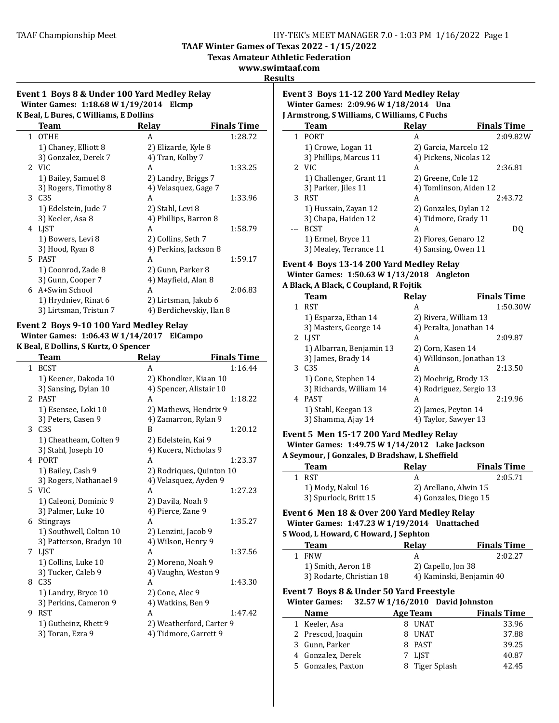**TAAF Winter Games of Texas 2022 - 1/15/2022** 

**Texas Amateur Athletic Federation**

**www.swimtaaf.com**

**Results**

#### **Event 1 Boys 8 & Under 100 Yard Medley Relay Winter Games: 1:18.68 W 1/19/2014 Elcmp K** Beal, L. Bures, C. Williams, E. Dollins,

| к осан в оагсэ, с тгинашэ, в оошнэ |                        |                          |                    |  |  |
|------------------------------------|------------------------|--------------------------|--------------------|--|--|
|                                    | Team                   | Relay                    | <b>Finals Time</b> |  |  |
|                                    | 1 OTHE                 | A                        | 1:28.72            |  |  |
|                                    | 1) Chaney, Elliott 8   | 2) Elizarde, Kyle 8      |                    |  |  |
|                                    | 3) Gonzalez, Derek 7   | 4) Tran, Kolby 7         |                    |  |  |
|                                    | 2 VIC                  | A                        | 1:33.25            |  |  |
|                                    | 1) Bailey, Samuel 8    | 2) Landry, Briggs 7      |                    |  |  |
|                                    | 3) Rogers, Timothy 8   | 4) Velasquez, Gage 7     |                    |  |  |
|                                    | 3 C <sub>3</sub> S     | A                        | 1:33.96            |  |  |
|                                    | 1) Edelstein, Jude 7   | 2) Stahl, Levi 8         |                    |  |  |
|                                    | 3) Keeler, Asa 8       | 4) Phillips, Barron 8    |                    |  |  |
|                                    | 4 LIST                 | A                        | 1:58.79            |  |  |
|                                    | 1) Bowers, Levi 8      | 2) Collins, Seth 7       |                    |  |  |
|                                    | 3) Hood, Ryan 8        | 4) Perkins, Jackson 8    |                    |  |  |
| 5.                                 | PAST                   | A                        | 1:59.17            |  |  |
|                                    | 1) Coonrod, Zade 8     | 2) Gunn, Parker 8        |                    |  |  |
|                                    | 3) Gunn, Cooper 7      | 4) Mayfield, Alan 8      |                    |  |  |
|                                    | 6 A+Swim School        | A                        | 2:06.83            |  |  |
|                                    | 1) Hrydniev, Rinat 6   | 2) Lirtsman, Jakub 6     |                    |  |  |
|                                    | 3) Lirtsman, Tristun 7 | 4) Berdichevskiy, Ilan 8 |                    |  |  |
|                                    |                        |                          |                    |  |  |

# Event 2 Boys 9-10 100 Yard Medley Relay

**Winter Games: 1:06.43 W 1/14/2017 ElCampo K** Beal, E Dollins, S Kurtz, O Spencer

|   | Team                    | <b>Relay</b>             | <b>Finals Time</b> |
|---|-------------------------|--------------------------|--------------------|
|   | 1 BCST                  | A                        | 1:16.44            |
|   | 1) Keener, Dakoda 10    | 2) Khondker, Kiaan 10    |                    |
|   | 3) Sansing, Dylan 10    | 4) Spencer, Alistair 10  |                    |
|   | 2 PAST                  | A                        | 1:18.22            |
|   | 1) Esensee, Loki 10     | 2) Mathews, Hendrix 9    |                    |
|   | 3) Peters, Casen 9      | 4) Zamarron, Rylan 9     |                    |
|   | 3 C <sub>3</sub> S      | R                        | 1:20.12            |
|   | 1) Cheatheam, Colten 9  | 2) Edelstein, Kai 9      |                    |
|   | 3) Stahl, Joseph 10     | 4) Kucera, Nicholas 9    |                    |
|   | 4 PORT                  | A                        | 1:23.37            |
|   | 1) Bailey, Cash 9       | 2) Rodriques, Quinton 10 |                    |
|   | 3) Rogers, Nathanael 9  | 4) Velasquez, Ayden 9    |                    |
|   | 5 VIC                   | A                        | 1:27.23            |
|   | 1) Caleoni, Dominic 9   | 2) Davila, Noah 9        |                    |
|   | 3) Palmer, Luke 10      | 4) Pierce, Zane 9        |                    |
|   | 6 Stingrays             | A                        | 1:35.27            |
|   | 1) Southwell, Colton 10 | 2) Lenzini, Jacob 9      |                    |
|   | 3) Patterson, Bradyn 10 | 4) Wilson, Henry 9       |                    |
|   | 7 LJST                  | A                        | 1:37.56            |
|   | 1) Collins, Luke 10     | 2) Moreno, Noah 9        |                    |
|   | 3) Tucker, Caleb 9      | 4) Vaughn, Weston 9      |                    |
| 8 | C <sub>3S</sub>         | A                        | 1:43.30            |
|   | 1) Landry, Bryce 10     | 2) Cone, Alec 9          |                    |
|   | 3) Perkins, Cameron 9   | 4) Watkins, Ben 9        |                    |
| 9 | <b>RST</b>              | A                        | 1:47.42            |
|   | 1) Gutheinz, Rhett 9    | 2) Weatherford, Carter 9 |                    |
|   | 3) Toran, Ezra 9        | 4) Tidmore, Garrett 9    |                    |

#### **Event 3 Boys 11-12 200 Yard Medley Relay Winter Games: 2:09.96 W 1/18/2014 Una J Armstrong, S Williams, C Williams, C Fuchs**

|   | Team                    | Relay                  | <b>Finals Time</b> |
|---|-------------------------|------------------------|--------------------|
|   | <b>PORT</b>             | А                      | 2:09.82W           |
|   | 1) Crowe, Logan 11      | 2) Garcia, Marcelo 12  |                    |
|   | 3) Phillips, Marcus 11  | 4) Pickens, Nicolas 12 |                    |
|   | 2 VIC                   | А                      | 2:36.81            |
|   | 1) Challenger, Grant 11 | 2) Greene, Cole 12     |                    |
|   | 3) Parker, Jiles 11     | 4) Tomlinson, Aiden 12 |                    |
| 3 | RST                     | А                      | 2:43.72            |
|   | 1) Hussain, Zayan 12    | 2) Gonzales, Dylan 12  |                    |
|   | 3) Chapa, Haiden 12     | 4) Tidmore, Grady 11   |                    |
|   | <b>BCST</b>             | А                      | D0                 |
|   | 1) Ermel, Bryce 11      | 2) Flores, Genaro 12   |                    |
|   | 3) Mealey, Terrance 11  | 4) Sansing, Owen 11    |                    |

#### **Event 4 Boys 13-14 200 Yard Medley Relay Winter Games: 1:50.63 W 1/13/2018 Angleton**

#### **A Black, A Black, C Coupland, R Fojtik**

|   | <b>Team</b>              | <b>Relay</b>              | <b>Finals Time</b> |
|---|--------------------------|---------------------------|--------------------|
| 1 | RST                      | А                         | 1:50.30W           |
|   | 1) Esparza, Ethan 14     | 2) Rivera, William 13     |                    |
|   | 3) Masters, George 14    | 4) Peralta, Jonathan 14   |                    |
|   | 2 LIST                   | А                         | 2:09.87            |
|   | 1) Albarran, Benjamin 13 | 2) Corn, Kasen 14         |                    |
|   | 3) James, Brady 14       | 4) Wilkinson, Jonathan 13 |                    |
| 3 | C3S                      | А                         | 2:13.50            |
|   | 1) Cone, Stephen 14      | 2) Moehrig, Brody 13      |                    |
|   | 3) Richards, William 14  | 4) Rodriguez, Sergio 13   |                    |
| 4 | <b>PAST</b>              | А                         | 2:19.96            |
|   | 1) Stahl, Keegan 13      | 2) James, Peyton 14       |                    |
|   | 3) Shamma, Ajay 14       | 4) Taylor, Sawyer 13      |                    |

# **Event 5 Men 15-17 200 Yard Medley Relay**

**Winter Games: 1:49.75 W 1/14/2012 Lake Jackson** A Seymour, J Gonzales, D Bradshaw, L Sheffield

| <b>Team</b>           | Relay                 | <b>Finals Time</b> |
|-----------------------|-----------------------|--------------------|
| 1 RST                 |                       | 2:05.71            |
| 1) Mody, Nakul 16     | 2) Arellano, Alwin 15 |                    |
| 3) Spurlock, Britt 15 | 4) Gonzales, Diego 15 |                    |

#### **Event 6 Men 18 & Over 200 Yard Medley Relay Winter Games: 1:47.23 W 1/19/2014 Unattached S** Wood, L Howard, C Howard, J Sephton

| <b>Team</b>              | <b>Relav</b>       | <b>Finals Time</b>       |
|--------------------------|--------------------|--------------------------|
| <b>FNW</b>               |                    | 2:02.27                  |
| 1) Smith, Aeron 18       | 2) Capello, Jon 38 |                          |
| 3) Rodarte, Christian 18 |                    | 4) Kaminski, Benjamin 40 |

# Event 7 Boys 8 & Under 50 Yard Freestyle

# **Winter Games:** 32.57 **W** 1/16/2010 David Johnston

| <b>Name</b>        | <b>Age Team</b> | <b>Finals Time</b> |
|--------------------|-----------------|--------------------|
| 1 Keeler, Asa      | 8 UNAT          | 33.96              |
| 2 Prescod, Joaquin | 8 UNAT          | 37.88              |
| 3 Gunn, Parker     | 8 PAST          | 39.25              |
| 4 Gonzalez, Derek  | 7 LIST          | 40.87              |
| 5 Gonzales, Paxton | 8 Tiger Splash  | 42.45              |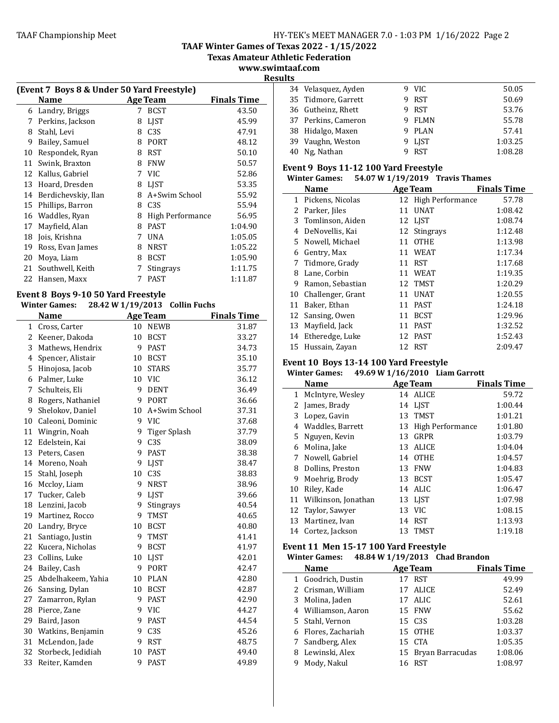**TAAF Winter Games of Texas 2022 - 1/15/2022**

**Texas Amateur Athletic Federation** 

**www.swimtaaf.com Results**

| (Event 7 Boys 8 & Under 50 Yard Freestyle) |                     |                    |                  |         |
|--------------------------------------------|---------------------|--------------------|------------------|---------|
|                                            | Name                | <b>Finals Time</b> |                  |         |
| 6                                          | Landry, Briggs      | 7                  | <b>BCST</b>      | 43.50   |
| 7                                          | Perkins, Jackson    | 8                  | <b>LIST</b>      | 45.99   |
| 8                                          | Stahl, Levi         | 8                  | C <sub>3</sub> S | 47.91   |
| 9                                          | Bailey, Samuel      | 8                  | <b>PORT</b>      | 48.12   |
| 10                                         | Respondek, Ryan     | 8                  | <b>RST</b>       | 50.10   |
| 11                                         | Swink, Braxton      | 8                  | <b>FNW</b>       | 50.57   |
| 12                                         | Kallus, Gabriel     | 7                  | VIC.             | 52.86   |
| 13                                         | Hoard, Dresden      | 8                  | <b>LIST</b>      | 53.35   |
| 14                                         | Berdichevskiy, Ilan | 8                  | A+Swim School    | 55.92   |
| 15                                         | Phillips, Barron    | 8                  | C <sub>3</sub> S | 55.94   |
| 16                                         | Waddles, Ryan       | 8                  | High Performance | 56.95   |
| 17                                         | Mayfield, Alan      | 8                  | <b>PAST</b>      | 1:04.90 |
| 18                                         | Jois, Krishna       | 7                  | <b>UNA</b>       | 1:05.05 |
| 19                                         | Ross, Evan James    | 8                  | <b>NRST</b>      | 1:05.22 |
| 20                                         | Moya, Liam          | 8                  | <b>BCST</b>      | 1:05.90 |
| 21                                         | Southwell, Keith    | 7                  | Stingrays        | 1:11.75 |
| 22                                         | Hansen, Maxx        | 7                  | <b>PAST</b>      | 1:11.87 |

#### Event 8 Boys 9-10 50 Yard Freestyle **Winter Games: 28.42 W 1/19/2013 Collin Fuchs**

 $\mathbf{r}$ 

| uumco.<br>$20.12 \text{ W}$ $1/17/2010$ comm ruchs |                     |    |                     |                    |
|----------------------------------------------------|---------------------|----|---------------------|--------------------|
|                                                    | <b>Name</b>         |    | <b>Age Team</b>     | <b>Finals Time</b> |
| $\mathbf{1}$                                       | Cross, Carter       | 10 | <b>NEWB</b>         | 31.87              |
| 2                                                  | Keener, Dakoda      | 10 | <b>BCST</b>         | 33.27              |
| 3                                                  | Mathews, Hendrix    | 9  | <b>PAST</b>         | 34.73              |
| 4                                                  | Spencer, Alistair   | 10 | <b>BCST</b>         | 35.10              |
| 5                                                  | Hinojosa, Jacob     | 10 | <b>STARS</b>        | 35.77              |
| 6                                                  | Palmer, Luke        | 10 | <b>VIC</b>          | 36.12              |
| 7                                                  | Schulteis, Eli      | 9  | <b>DENT</b>         | 36.49              |
| 8                                                  | Rogers, Nathaniel   | 9  | <b>PORT</b>         | 36.66              |
| 9                                                  | Shelokov, Daniel    | 10 | A+Swim School       | 37.31              |
|                                                    | 10 Caleoni, Dominic | 9  | VIC                 | 37.68              |
| 11                                                 | Wingrin, Noah       | 9  | <b>Tiger Splash</b> | 37.79              |
| 12                                                 | Edelstein, Kai      | 9  | C3S                 | 38.09              |
| 13                                                 | Peters, Casen       | 9  | <b>PAST</b>         | 38.38              |
| 14                                                 | Moreno, Noah        | 9  | <b>LJST</b>         | 38.47              |
|                                                    | 15 Stahl, Joseph    | 10 | C3S                 | 38.83              |
|                                                    | 16 Mccloy, Liam     | 9  | <b>NRST</b>         | 38.96              |
|                                                    | 17 Tucker, Caleb    | 9  | <b>LJST</b>         | 39.66              |
|                                                    | 18 Lenzini, Jacob   | 9  | Stingrays           | 40.54              |
|                                                    | 19 Martinez, Rocco  | 9  | <b>TMST</b>         | 40.65              |
|                                                    | 20 Landry, Bryce    | 10 | <b>BCST</b>         | 40.80              |
| 21                                                 | Santiago, Justin    | 9  | TMST                | 41.41              |
|                                                    | 22 Kucera, Nicholas | 9  | <b>BCST</b>         | 41.97              |
| 23                                                 | Collins, Luke       | 10 | <b>LJST</b>         | 42.01              |
| 24                                                 | Bailey, Cash        | 9  | PORT                | 42.47              |
| 25                                                 | Abdelhakeem, Yahia  | 10 | <b>PLAN</b>         | 42.80              |
|                                                    | 26 Sansing, Dylan   | 10 | <b>BCST</b>         | 42.87              |
| 27                                                 | Zamarron, Rylan     | 9  | <b>PAST</b>         | 42.90              |
|                                                    | 28 Pierce, Zane     | 9  | <b>VIC</b>          | 44.27              |
| 29                                                 | Baird, Jason        | 9  | <b>PAST</b>         | 44.54              |
| 30                                                 | Watkins, Benjamin   | 9  | C <sub>3</sub> S    | 45.26              |
| 31                                                 | McLendon, Jade      | 9  | <b>RST</b>          | 48.75              |
| 32                                                 | Storbeck, Jedidiah  | 10 | <b>PAST</b>         | 49.40              |
| 33                                                 | Reiter, Kamden      | 9  | <b>PAST</b>         | 49.89              |

| டை |                     |        |         |
|----|---------------------|--------|---------|
|    | 34 Velasquez, Ayden | 9 VIC  | 50.05   |
|    | 35 Tidmore, Garrett | 9 RST  | 50.69   |
|    | 36 Gutheinz, Rhett  | 9 RST  | 53.76   |
|    | 37 Perkins, Cameron | 9 FLMN | 55.78   |
|    | 38 Hidalgo, Maxen   | 9 PLAN | 57.41   |
|    | 39 Vaughn, Weston   | 9 LIST | 1:03.25 |
|    | 40 Ng, Nathan       | RST    | 1:08.28 |

# **Event 9 Boys 11-12 100 Yard Freestyle**<br>Winter Games: 54.07.10.11.110.12040

|    | <b>Winter Games:</b> |    | 54.07 W 1/19/2019 Travis Thames |                    |
|----|----------------------|----|---------------------------------|--------------------|
|    | <b>Name</b>          |    | <b>Age Team</b>                 | <b>Finals Time</b> |
| 1  | Pickens, Nicolas     |    | 12 High Performance             | 57.78              |
| 2  | Parker, Jiles        | 11 | <b>UNAT</b>                     | 1:08.42            |
|    | 3 Tomlinson, Aiden   |    | 12 LIST                         | 1:08.74            |
| 4  | DeNovellis, Kai      |    | 12 Stingrays                    | 1:12.48            |
|    | 5 Nowell, Michael    | 11 | <b>OTHE</b>                     | 1:13.98            |
| 6  | Gentry, Max          | 11 | <b>WEAT</b>                     | 1:17.34            |
| 7  | Tidmore, Grady       | 11 | <b>RST</b>                      | 1:17.68            |
| 8  | Lane, Corbin         | 11 | <b>WEAT</b>                     | 1:19.35            |
| 9  | Ramon, Sebastian     | 12 | TMST                            | 1:20.29            |
| 10 | Challenger, Grant    | 11 | <b>UNAT</b>                     | 1:20.55            |
| 11 | Baker, Ethan         | 11 | PAST                            | 1:24.18            |
|    | 12 Sansing, Owen     | 11 | <b>BCST</b>                     | 1:29.96            |
| 13 | Mayfield, Jack       | 11 | <b>PAST</b>                     | 1:32.52            |
|    | 14 Etheredge, Luke   | 12 | <b>PAST</b>                     | 1:52.43            |
|    | 15 Hussain, Zayan    |    | 12 RST                          | 2:09.47            |

## Event 10 Boys 13-14 100 Yard Freestyle

|    | <b>Winter Games:</b>   |     | 49.69 W 1/16/2010 Liam Garrott |                    |
|----|------------------------|-----|--------------------------------|--------------------|
|    | <b>Name</b>            |     | Age Team                       | <b>Finals Time</b> |
| 1  | McIntyre, Wesley       |     | 14 ALICE                       | 59.72              |
| 2  | James, Brady           |     | 14 LJST                        | 1:00.44            |
| 3  | Lopez, Gavin           | 13  | TMST                           | 1:01.21            |
| 4  | Waddles, Barrett       | 13  | High Performance               | 1:01.80            |
|    | 5 Nguyen, Kevin        | 13  | GRPR                           | 1:03.79            |
| 6  | Molina, Jake           | 13  | ALICE                          | 1:04.04            |
| 7  | Nowell, Gabriel        | 14  | OTHE                           | 1:04.57            |
| 8  | Dollins, Preston       | 13. | FNW                            | 1:04.83            |
| 9  | Moehrig, Brody         |     | 13 BCST                        | 1:05.47            |
| 10 | Riley, Kade            |     | 14 ALIC                        | 1:06.47            |
|    | 11 Wilkinson, Jonathan |     | 13 LIST                        | 1:07.98            |
|    | 12 Taylor, Sawyer      |     | 13 VIC                         | 1:08.15            |
| 13 | Martinez, Ivan         | 14  | RST                            | 1:13.93            |
|    | 14 Cortez, Jackson     |     | 13 TMST                        | 1:19.18            |

## Event 11 Men 15-17 100 Yard Freestyle

|   | <b>Winter Games:</b> |                 | 48.84 W 1/19/2013 Chad Brandon |                    |
|---|----------------------|-----------------|--------------------------------|--------------------|
|   | <b>Name</b>          | <b>Age Team</b> |                                | <b>Finals Time</b> |
|   | 1 Goodrich, Dustin   | 17 RST          |                                | 49.99              |
|   | 2 Crisman, William   | 17 ALICE        |                                | 52.49              |
|   | 3 Molina, Jaden      | 17 ALIC         |                                | 52.61              |
|   | 4 Williamson, Aaron  | 15 FNW          |                                | 55.62              |
|   | 5 Stahl, Vernon      | 15 C3S          |                                | 1:03.28            |
|   | 6 Flores, Zachariah  | 15 OTHE         |                                | 1:03.37            |
|   | 7 Sandberg, Alex     | 15 CTA          |                                | 1:05.35            |
|   | 8 Lewinski, Alex     |                 | 15 Bryan Barracudas            | 1:08.06            |
| 9 | Mody, Nakul          | 16 RST          |                                | 1:08.97            |
|   |                      |                 |                                |                    |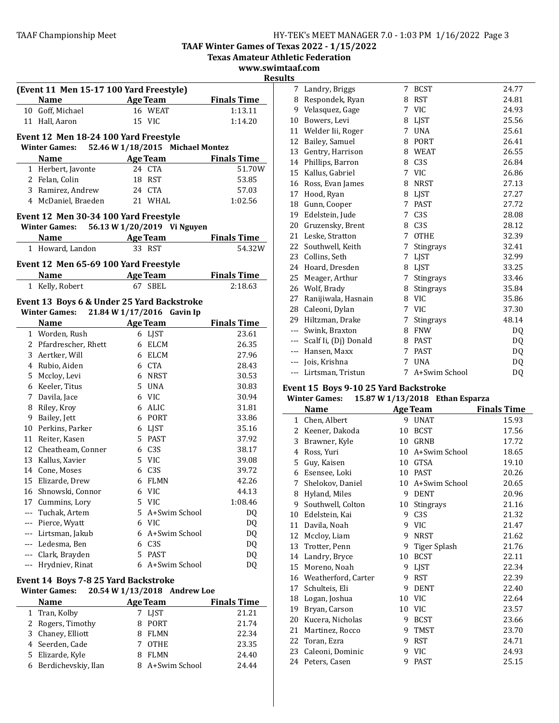**TAAF Winter Games of Texas 2022 - 1/15/2022**

**Texas Amateur Athletic Federation** 

**www.swimtaaf.com**

|              |                                                                     |                 |                                  | Texas Alliateur Athleti<br>www.swimtaat |                |
|--------------|---------------------------------------------------------------------|-----------------|----------------------------------|-----------------------------------------|----------------|
|              |                                                                     |                 |                                  |                                         | <b>Results</b> |
|              | (Event 11 Men 15-17 100 Yard Freestyle)                             |                 |                                  |                                         | 7              |
|              | Name                                                                |                 | <b>Age Team</b>                  | <b>Finals Time</b>                      | 8              |
|              | 10 Goff, Michael                                                    |                 | 16 WEAT                          | 1:13.11                                 | 9              |
|              | 11 Hall, Aaron                                                      |                 | 15 VIC                           | 1:14.20                                 | 10             |
|              |                                                                     |                 |                                  |                                         | 11             |
|              | Event 12 Men 18-24 100 Yard Freestyle                               |                 |                                  |                                         | 12             |
|              | <b>Winter Games:</b>                                                |                 | 52.46 W 1/18/2015 Michael Montez |                                         | 13             |
|              | <b>Name</b>                                                         | <b>Age Team</b> |                                  | <b>Finals Time</b>                      | 14             |
|              | 1 Herbert, Javonte                                                  |                 | 24 CTA                           | 51.70W                                  | 15             |
|              | 2 Felan, Colin                                                      |                 | 18 RST                           | 53.85                                   | 16             |
|              | 3 Ramirez, Andrew                                                   | 24 CTA          |                                  | 57.03                                   | 17             |
|              | 4 McDaniel, Braeden                                                 |                 | 21 WHAL                          | 1:02.56                                 | 18             |
|              | Event 12 Men 30-34 100 Yard Freestyle                               |                 |                                  |                                         | 19             |
|              | Winter Games: 56.13 W 1/20/2019 Vi Nguyen                           |                 |                                  |                                         | 20             |
|              | <b>Name</b>                                                         |                 | <b>Age Team</b>                  | <b>Finals Time</b>                      | 21             |
|              | 1 Howard, Landon                                                    |                 | 33 RST                           | 54.32W                                  | 22             |
|              |                                                                     |                 |                                  |                                         | 23             |
|              | Event 12 Men 65-69 100 Yard Freestyle                               |                 |                                  |                                         | 24             |
|              | Name Age Team Finals Time                                           |                 |                                  |                                         | 25             |
|              | 1 Kelly, Robert                                                     |                 | 67 SBEL                          | 2:18.63                                 | 26             |
|              | Event 13 Boys 6 & Under 25 Yard Backstroke                          |                 |                                  |                                         | 27             |
|              | <b>Winter Games:</b>                                                |                 | 21.84 W 1/17/2016 Gavin Ip       |                                         | 28             |
|              | <b>Name</b>                                                         |                 | <b>Age Team</b> Finals Time      |                                         | 29             |
|              | 1 Worden, Rush                                                      |                 | 6 LJST                           | 23.61                                   |                |
|              | 2 Pfardrescher, Rhett                                               |                 | 6 ELCM                           | 26.35                                   |                |
|              | 3 Aertker, Will                                                     |                 | 6 ELCM                           | 27.96                                   |                |
|              | 4 Rubio, Aiden                                                      |                 | 6 CTA                            | 28.43                                   |                |
|              | 5 Mccloy, Levi                                                      |                 | 6 NRST                           | 30.53                                   |                |
|              | 6 Keeler, Titus                                                     |                 | 5 UNA                            | 30.83                                   | Ever           |
|              | 7 Davila, Jace                                                      |                 | 6 VIC                            | 30.94                                   | Wii            |
|              | 8 Riley, Kroy                                                       |                 | 6 ALIC                           | 31.81                                   |                |
|              | 9 Bailey, Jett                                                      |                 | 6 PORT                           | 33.86                                   | 1              |
|              | 10 Perkins, Parker                                                  |                 | 6 LJST                           | 35.16                                   | $\overline{c}$ |
|              | 11 Reiter, Kasen                                                    |                 | 5 PAST                           | 37.92                                   | 3              |
|              | 12 Cheatheam, Conner                                                |                 | 6 C3S                            | 38.17                                   | $\overline{4}$ |
|              | 13 Kallus, Xavier                                                   |                 | 5 VIC                            | 39.08                                   | 5              |
|              | 14 Cone, Moses                                                      |                 | 6 C3S                            | 39.72                                   | 6              |
| 15           | Elizarde, Drew                                                      |                 | 6 FLMN                           | 42.26                                   | 7              |
|              | 16 Shnowski, Connor                                                 |                 | 6 VIC                            | 44.13                                   | 8              |
|              | 17 Cummins, Lory                                                    |                 | 5 VIC                            | 1:08.46                                 | 9              |
|              | --- Tuchak, Artem                                                   |                 | 5 A+Swim School                  | DQ                                      | 10             |
|              | --- Pierce, Wyatt                                                   |                 | 6 VIC                            | DQ                                      | 11             |
|              | --- Lirtsman, Jakub                                                 |                 | 6 A+Swim School                  | DQ                                      | 12             |
|              | --- Ledesma, Ben                                                    |                 | 6 C3S                            | DQ                                      | 13             |
|              | --- Clark, Brayden                                                  |                 | 5 PAST                           | DQ                                      | 14             |
|              | --- Hrydniev, Rinat                                                 |                 | 6 A+Swim School                  | DQ                                      | 15             |
|              |                                                                     |                 |                                  |                                         | 16             |
|              | <b>Event 14 Boys 7-8 25 Yard Backstroke</b><br><b>Winter Games:</b> |                 | 20.54 W 1/13/2018 Andrew Loe     |                                         | 17             |
|              |                                                                     |                 |                                  |                                         | 18             |
| $\mathbf{1}$ | Name<br><b>Example 2</b> Age Team<br>Tran Kolby                     |                 | <b>7 IICT</b>                    | <b>Finals Time</b><br>21.21             | 19             |

| inter Games:          | 20.54 W 1/13/2018 Andrew Loe |                    |
|-----------------------|------------------------------|--------------------|
| <b>Name</b>           | Age Team                     | <b>Finals Time</b> |
| 1 Tran, Kolby         | 7 LIST                       | 21.21              |
| 2 Rogers, Timothy     | 8 PORT                       | 21.74              |
| 3 Chaney, Elliott     | 8 FLMN                       | 22.34              |
| 4 Seerden, Cade       | OTHE                         | 23.35              |
| 5 Elizarde, Kyle      | <b>FLMN</b>                  | 24.40              |
| 6 Berdichevskiy, Ilan | 8 A+Swim School              | 24.44              |

| 7              | Landry, Briggs        | 7 | <b>BCST</b>      | 24.77 |
|----------------|-----------------------|---|------------------|-------|
| 8              | Respondek, Ryan       | 8 | <b>RST</b>       | 24.81 |
| 9              | Velasquez, Gage       | 7 | <b>VIC</b>       | 24.93 |
| 10             | Bowers, Levi          | 8 | LIST             | 25.56 |
| 11             | Welder Iii, Roger     | 7 | <b>UNA</b>       | 25.61 |
| 12             | Bailey, Samuel        | 8 | <b>PORT</b>      | 26.41 |
| 13             | Gentry, Harrison      | 8 | <b>WEAT</b>      | 26.55 |
| 14             | Phillips, Barron      | 8 | C <sub>3S</sub>  | 26.84 |
| 15             | Kallus, Gabriel       | 7 | <b>VIC</b>       | 26.86 |
| 16             | Ross, Evan James      | 8 | <b>NRST</b>      | 27.13 |
| 17             | Hood, Ryan            | 8 | <b>LIST</b>      | 27.27 |
| 18             | Gunn, Cooper          | 7 | <b>PAST</b>      | 27.72 |
| 19             | Edelstein, Jude       | 7 | C <sub>3S</sub>  | 28.08 |
| 20             | Gruzensky, Brent      | 8 | C <sub>3</sub> S | 28.12 |
| 21             | Leske, Stratton       | 7 | <b>OTHE</b>      | 32.39 |
| 22             | Southwell, Keith      | 7 | <b>Stingrays</b> | 32.41 |
| 23             | Collins, Seth         | 7 | <b>LIST</b>      | 32.99 |
| 24             | Hoard, Dresden        | 8 | <b>LIST</b>      | 33.25 |
| 25             | Meager, Arthur        | 7 | Stingrays        | 33.46 |
| 26             | Wolf, Brady           | 8 | <b>Stingrays</b> | 35.84 |
| 27             | Ranijiwala, Hasnain   | 8 | <b>VIC</b>       | 35.86 |
| 28             | Caleoni, Dylan        | 7 | <b>VIC</b>       | 37.30 |
| 29             | Hiltzman, Drake       | 7 | Stingrays        | 48.14 |
| ---            | Swink, Braxton        | 8 | <b>FNW</b>       | DQ    |
| $---$          | Scalf Ii, (Dj) Donald | 8 | <b>PAST</b>      | DQ    |
| ---            | Hansen, Maxx          | 7 | <b>PAST</b>      | DQ    |
| $---$          | Jois, Krishna         | 7 | <b>UNA</b>       | DQ    |
| $\overline{a}$ | Lirtsman, Tristun     | 7 | A+Swim School    | DQ    |

# Event 15 Boys 9-10 25 Yard Backstroke

## **Winter Games:** 15.87 **W** 1/13/2018 **Ethan Esparza**

|              | <b>Name</b>         | <b>Age Team</b> |                  | <b>Finals Time</b> |
|--------------|---------------------|-----------------|------------------|--------------------|
| $\mathbf{1}$ | Chen, Albert        | 9               | <b>UNAT</b>      | 15.93              |
| 2            | Keener, Dakoda      | 10              | <b>BCST</b>      | 17.56              |
| 3            | Brawner, Kyle       | 10              | GRNB             | 17.72              |
| 4            | Ross, Yuri          | 10              | A+Swim School    | 18.65              |
| 5            | Guy, Kaisen         | 10              | <b>GTSA</b>      | 19.10              |
| 6            | Esensee, Loki       | 10              | <b>PAST</b>      | 20.26              |
| 7            | Shelokov, Daniel    | 10              | A+Swim School    | 20.65              |
| 8            | Hyland, Miles       | 9               | <b>DENT</b>      | 20.96              |
| 9            | Southwell, Colton   | 10              | <b>Stingrays</b> | 21.16              |
| 10           | Edelstein, Kai      | 9               | C <sub>3</sub> S | 21.32              |
| 11           | Davila, Noah        | 9               | <b>VIC</b>       | 21.47              |
| 12           | Mccloy, Liam        | 9               | <b>NRST</b>      | 21.62              |
| 13           | Trotter, Penn       | 9               | Tiger Splash     | 21.76              |
| 14           | Landry, Bryce       | 10              | <b>BCST</b>      | 22.11              |
| 15           | Moreno, Noah        | 9               | LJST             | 22.34              |
| 16           | Weatherford, Carter | 9               | <b>RST</b>       | 22.39              |
| 17           | Schulteis, Eli      | 9               | <b>DENT</b>      | 22.40              |
| 18           | Logan, Joshua       | 10              | <b>VIC</b>       | 22.64              |
| 19           | Bryan, Carson       | 10              | <b>VIC</b>       | 23.57              |
| 20           | Kucera, Nicholas    | 9               | <b>BCST</b>      | 23.66              |
| 21           | Martinez, Rocco     | 9               | <b>TMST</b>      | 23.70              |
| 22           | Toran, Ezra         | 9               | <b>RST</b>       | 24.71              |
| 23           | Caleoni, Dominic    | 9               | <b>VIC</b>       | 24.93              |
| 24           | Peters, Casen       | 9               | <b>PAST</b>      | 25.15              |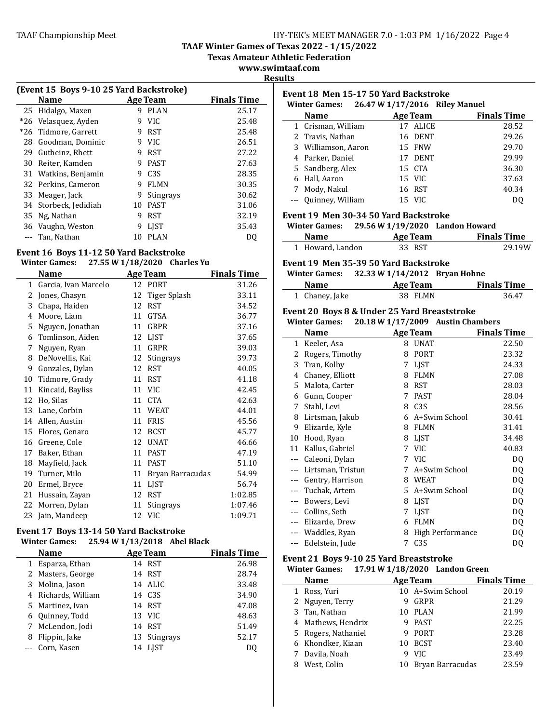**TAAF Winter Games of Texas 2022 - 1/15/2022**

**Texas Amateur Athletic Federation** 

**www.swimtaaf.com**

| ш<br>Π<br>н<br>. . |  |
|--------------------|--|
|                    |  |

| (Event 15 Boys 9-10 25 Yard Backstroke) |                      |                    |                  |       |  |  |
|-----------------------------------------|----------------------|--------------------|------------------|-------|--|--|
|                                         | Name                 | <b>Finals Time</b> |                  |       |  |  |
| 25                                      | Hidalgo, Maxen       | q                  | <b>PLAN</b>      | 25.17 |  |  |
|                                         | *26 Velasquez, Ayden | q                  | VIC.             | 25.48 |  |  |
| *26                                     | Tidmore, Garrett     | 9                  | RST              | 25.48 |  |  |
| 28                                      | Goodman, Dominic     | 9                  | VIC.             | 26.51 |  |  |
| 29                                      | Gutheinz, Rhett      | 9                  | <b>RST</b>       | 27.22 |  |  |
| 30                                      | Reiter, Kamden       | 9                  | <b>PAST</b>      | 27.63 |  |  |
| 31                                      | Watkins, Benjamin    | 9                  | C <sub>3</sub> S | 28.35 |  |  |
|                                         | 32 Perkins, Cameron  | 9                  | <b>FLMN</b>      | 30.35 |  |  |
| 33                                      | Meager, Jack         | 9                  | <b>Stingrays</b> | 30.62 |  |  |
| 34                                      | Storbeck, Jedidiah   | 10                 | <b>PAST</b>      | 31.06 |  |  |
| 35                                      | Ng, Nathan           | 9                  | <b>RST</b>       | 32.19 |  |  |
| 36                                      | Vaughn, Weston       | 9                  | <b>LIST</b>      | 35.43 |  |  |
|                                         | Tan, Nathan          | 10                 | <b>PLAN</b>      | D0    |  |  |

# Event 16 Boys 11-12 50 Yard Backstroke

# **Winter Games: 27.55 W 1/18/2020 Charles Yu**

|              | <b>Name</b>          |    | <b>Age Team</b>  | <b>Finals Time</b> |
|--------------|----------------------|----|------------------|--------------------|
| $\mathbf{1}$ | Garcia, Ivan Marcelo | 12 | <b>PORT</b>      | 31.26              |
| 2            | Jones, Chasyn        | 12 | Tiger Splash     | 33.11              |
| 3            | Chapa, Haiden        | 12 | <b>RST</b>       | 34.52              |
| 4            | Moore, Liam          | 11 | <b>GTSA</b>      | 36.77              |
| 5            | Nguyen, Jonathan     | 11 | GRPR             | 37.16              |
| 6            | Tomlinson, Aiden     | 12 | <b>LIST</b>      | 37.65              |
| 7            | Nguyen, Ryan         | 11 | GRPR             | 39.03              |
| 8            | DeNovellis, Kai      | 12 | Stingrays        | 39.73              |
| 9            | Gonzales, Dylan      | 12 | <b>RST</b>       | 40.05              |
| 10           | Tidmore, Grady       | 11 | <b>RST</b>       | 41.18              |
| 11           | Kincaid, Bayliss     | 11 | <b>VIC</b>       | 42.45              |
| 12           | Ho, Silas            | 11 | <b>CTA</b>       | 42.63              |
| 13           | Lane, Corbin         | 11 | <b>WEAT</b>      | 44.01              |
| 14           | Allen, Austin        | 11 | <b>FRIS</b>      | 45.56              |
| 15           | Flores, Genaro       | 12 | <b>BCST</b>      | 45.77              |
| 16           | Greene, Cole         | 12 | <b>UNAT</b>      | 46.66              |
| 17           | Baker, Ethan         | 11 | <b>PAST</b>      | 47.19              |
| 18           | Mayfield, Jack       | 11 | <b>PAST</b>      | 51.10              |
| 19           | Turner, Milo         | 11 | Bryan Barracudas | 54.99              |
| 20           | Ermel, Bryce         | 11 | LJST             | 56.74              |
| 21           | Hussain, Zayan       | 12 | <b>RST</b>       | 1:02.85            |
| 22           | Morren, Dylan        | 11 | Stingrays        | 1:07.46            |
| 23           | Jain, Mandeep        |    | 12 VIC           | 1:09.71            |

#### Event 17 Boys 13-14 50 Yard Backstroke **Winter Games: 25.94 W 1/13/2018** Abel Black

|   | Name              |  | Age Team            | <b>Finals Time</b> |  |  |  |  |  |
|---|-------------------|--|---------------------|--------------------|--|--|--|--|--|
|   | Esparza, Ethan    |  | 14 RST              | 26.98              |  |  |  |  |  |
|   | 2 Masters, George |  | 14 RST              | 28.74              |  |  |  |  |  |
| 3 | Molina, Jason     |  | 14 ALIC             | 33.48              |  |  |  |  |  |
| 4 | Richards, William |  | 14 C <sub>3</sub> S | 34.90              |  |  |  |  |  |
|   | 5 Martinez, Ivan  |  | 14 RST              | 47.08              |  |  |  |  |  |
|   | 6 Quinney, Todd   |  | 13 VIC              | 48.63              |  |  |  |  |  |
| 7 | McLendon, Jodi    |  | 14 RST              | 51.49              |  |  |  |  |  |
| 8 | Flippin, Jake     |  | 13 Stingrays        | 52.17              |  |  |  |  |  |
|   | Corn, Kasen       |  | 14 LIST             | D0                 |  |  |  |  |  |

|    | 26.47 W 1/17/2016 Riley Manuel<br><b>Winter Games:</b><br>Name                         |                                              | <b>Finals Time</b> |
|----|----------------------------------------------------------------------------------------|----------------------------------------------|--------------------|
|    |                                                                                        | <b>Age Team</b>                              |                    |
|    | 1 Crisman, William                                                                     | 17 ALICE                                     | 28.52              |
|    | 2 Travis, Nathan                                                                       | 16 DENT                                      | 29.26              |
|    | 3 Williamson, Aaron                                                                    | 15 FNW                                       | 29.70              |
|    | 4 Parker, Daniel                                                                       | 17 DENT                                      | 29.99              |
|    | 5 Sandberg, Alex                                                                       | 15 CTA                                       | 36.30              |
| 6  | Hall, Aaron                                                                            | 15 VIC                                       | 37.63              |
|    | 7 Mody, Nakul                                                                          | 16 RST                                       | 40.34              |
|    | --- Quinney, William                                                                   | 15 VIC                                       | DQ                 |
|    | Event 19 Men 30-34 50 Yard Backstroke                                                  |                                              |                    |
|    | <b>Winter Games:</b>                                                                   | 29.56 W 1/19/2020 Landon Howard              |                    |
|    | <b>Name</b>                                                                            | <b>Age Team</b>                              | <b>Finals Time</b> |
|    | 1 Howard, Landon                                                                       | 33 RST                                       | 29.19W             |
|    | Event 19 Men 35-39 50 Yard Backstroke                                                  |                                              |                    |
|    | Winter Games: 32.33 W 1/14/2012 Bryan Hohne                                            |                                              |                    |
|    | <b>Name</b>                                                                            | <b>Example 2</b> Age Team                    | <b>Finals Time</b> |
|    |                                                                                        |                                              |                    |
|    | 1 Chaney, Jake<br>Event 20 Boys 8 & Under 25 Yard Breaststroke<br><b>Winter Games:</b> | 38 FLMN<br>20.18 W 1/17/2009 Austin Chambers | 36.47              |
|    | <b>Name</b>                                                                            | <b>Age Team</b>                              | <b>Finals Time</b> |
|    | 1 Keeler, Asa                                                                          | 8 UNAT                                       | 22.50              |
| 2  | Rogers, Timothy                                                                        | 8 PORT                                       | 23.32              |
| 3  | Tran, Kolby                                                                            | 7 LJST                                       | 24.33              |
|    | 4 Chaney, Elliott                                                                      | 8 FLMN                                       | 27.08              |
| 5. | Malota, Carter                                                                         | 8 RST                                        | 28.03              |
|    | 6 Gunn, Cooper                                                                         | 7 PAST                                       | 28.04              |
| 7  | Stahl, Levi                                                                            | 8 C3S                                        | 28.56              |
| 8  | Lirtsman, Jakub                                                                        | 6 A+Swim School                              | 30.41              |
| 9  | Elizarde, Kyle                                                                         | 8 FLMN                                       | 31.41              |
|    | 10 Hood, Ryan                                                                          | 8 LJST                                       | 34.48              |
|    | 11 Kallus, Gabriel                                                                     | 7 VIC                                        | 40.83              |
|    | --- Caleoni, Dylan                                                                     | 7 VIC                                        | DQ                 |
|    | --- Lirtsman, Tristun                                                                  | 7 A+Swim School<br>8 WEAT                    | DQ                 |
|    | --- Gentry, Harrison                                                                   |                                              | <b>DQ</b>          |
|    | --- Tuchak, Artem                                                                      | 5 A+Swim School                              | DQ                 |
|    | --- Bowers, Levi                                                                       | 8 LJST                                       | DQ                 |
|    | --- Collins, Seth                                                                      | 7 LJST<br>6 FLMN                             | DQ                 |
|    | --- Elizarde, Drew<br>--- Waddles, Ryan                                                | 8 High Performance                           | DQ<br>DQ           |

| <b>Name</b>         |    | <b>Age Team</b>  | <b>Finals Time</b> |
|---------------------|----|------------------|--------------------|
| 1 Ross, Yuri        |    | 10 A+Swim School | 20.19              |
| 2 Nguyen, Terry     |    | GRPR             | 21.29              |
| 3 Tan, Nathan       |    | 10 PLAN          | 21.99              |
| 4 Mathews, Hendrix  |    | PAST             | 22.25              |
| 5 Rogers, Nathaniel |    | PORT             | 23.28              |
| 6 Khondker, Kiaan   | 10 | <b>BCST</b>      | 23.40              |
| 7 Davila, Noah      |    | <b>VIC</b>       | 23.49              |
| West. Colin         | 10 | Bryan Barracudas | 23.59              |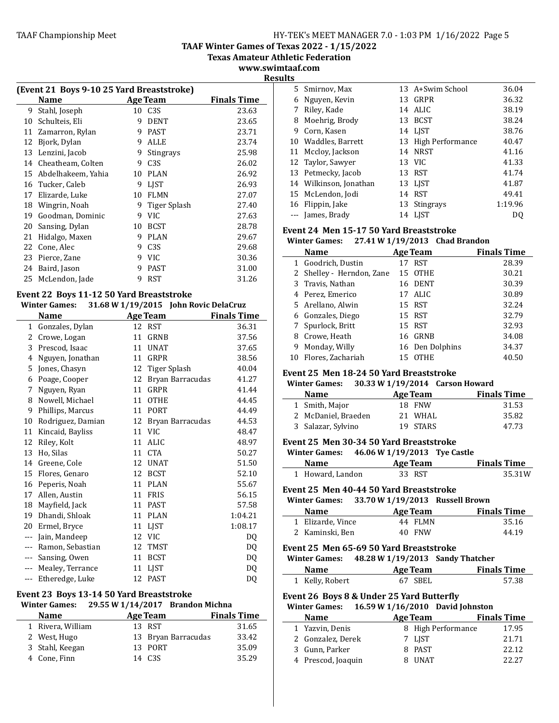**TAAF Winter Games of Texas 2022 - 1/15/2022**

**Texas Amateur Athletic Federation**

**www.swimtaaf.com Results**

|    | (Event 21 Boys 9-10 25 Yard Breaststroke) |    |                  |                    |  |  |
|----|-------------------------------------------|----|------------------|--------------------|--|--|
|    | Name                                      |    | <b>Age Team</b>  | <b>Finals Time</b> |  |  |
| 9  | Stahl, Joseph                             | 10 | C <sub>3S</sub>  | 23.63              |  |  |
| 10 | Schulteis, Eli                            | 9  | <b>DENT</b>      | 23.65              |  |  |
| 11 | Zamarron, Rylan                           | 9  | <b>PAST</b>      | 23.71              |  |  |
| 12 | Bjork, Dylan                              | 9  | <b>ALLE</b>      | 23.74              |  |  |
| 13 | Lenzini, Jacob                            | 9  | <b>Stingrays</b> | 25.98              |  |  |
| 14 | Cheatheam, Colten                         | 9  | C <sub>3</sub> S | 26.02              |  |  |
| 15 | Abdelhakeem, Yahia                        | 10 | <b>PLAN</b>      | 26.92              |  |  |
| 16 | Tucker, Caleb                             | 9  | <b>LIST</b>      | 26.93              |  |  |
| 17 | Elizarde, Luke                            | 10 | <b>FLMN</b>      | 27.07              |  |  |
| 18 | Wingrin, Noah                             | 9  | Tiger Splash     | 27.40              |  |  |
| 19 | Goodman, Dominic                          | 9  | <b>VIC</b>       | 27.63              |  |  |
| 20 | Sansing, Dylan                            | 10 | <b>BCST</b>      | 28.78              |  |  |
| 21 | Hidalgo, Maxen                            | 9  | <b>PLAN</b>      | 29.67              |  |  |
| 22 | Cone, Alec                                | 9  | C <sub>3S</sub>  | 29.68              |  |  |
| 23 | Pierce, Zane                              | 9  | VIC.             | 30.36              |  |  |
| 24 | Baird, Jason                              | 9  | <b>PAST</b>      | 31.00              |  |  |
| 25 | McLendon, Jade                            | 9  | <b>RST</b>       | 31.26              |  |  |

#### Event 22 Boys 11-12 50 Yard Breaststroke **Winter Games: 31.68 W 1/19/2015 John Rovic DelaCruz**

|           | mici games.       |    | $31.00 \text{ W}$ $1/17/2013$ John Novic Delaci uz |                    |
|-----------|-------------------|----|----------------------------------------------------|--------------------|
|           | Name              |    | <b>Age Team</b>                                    | <b>Finals Time</b> |
| $1 \quad$ | Gonzales, Dylan   |    | 12 RST                                             | 36.31              |
| 2         | Crowe, Logan      | 11 | <b>GRNB</b>                                        | 37.56              |
| 3         | Prescod, Isaac    | 11 | <b>UNAT</b>                                        | 37.65              |
| 4         | Nguyen, Jonathan  | 11 | GRPR                                               | 38.56              |
| 5         | Jones, Chasyn     | 12 | Tiger Splash                                       | 40.04              |
| 6         | Poage, Cooper     | 12 | Bryan Barracudas                                   | 41.27              |
| 7         | Nguyen, Ryan      | 11 | GRPR                                               | 41.44              |
| 8         | Nowell, Michael   | 11 | <b>OTHE</b>                                        | 44.45              |
| 9         | Phillips, Marcus  | 11 | <b>PORT</b>                                        | 44.49              |
| 10        | Rodriguez, Damian | 12 | Bryan Barracudas                                   | 44.53              |
| 11        | Kincaid, Bayliss  | 11 | <b>VIC</b>                                         | 48.47              |
| 12        | Riley, Kolt       | 11 | <b>ALIC</b>                                        | 48.97              |
| 13        | Ho, Silas         | 11 | <b>CTA</b>                                         | 50.27              |
| 14        | Greene, Cole      | 12 | <b>UNAT</b>                                        | 51.50              |
| 15        | Flores, Genaro    | 12 | <b>BCST</b>                                        | 52.10              |
| 16        | Peperis, Noah     | 11 | <b>PLAN</b>                                        | 55.67              |
| 17        | Allen, Austin     | 11 | <b>FRIS</b>                                        | 56.15              |
| 18        | Mayfield, Jack    | 11 | <b>PAST</b>                                        | 57.58              |
| 19        | Dhandi, Shloak    | 11 | <b>PLAN</b>                                        | 1:04.21            |
| 20        | Ermel, Bryce      | 11 | <b>LJST</b>                                        | 1:08.17            |
|           | Jain, Mandeep     | 12 | <b>VIC</b>                                         | DQ                 |
|           | Ramon, Sebastian  | 12 | <b>TMST</b>                                        | DQ                 |
| $---$     | Sansing, Owen     | 11 | <b>BCST</b>                                        | DQ                 |
| ---       | Mealey, Terrance  | 11 | <b>LJST</b>                                        | DQ                 |
| ---       | Etheredge, Luke   | 12 | <b>PAST</b>                                        | DQ                 |

## Event 23 Boys 13-14 50 Yard Breaststroke

**Winter Games: 29.55 W 1/14/2017 Brandon Michna**

| <b>Name</b>       | Age Team            | <b>Finals Time</b> |
|-------------------|---------------------|--------------------|
| 1 Rivera, William | 13 RST              | 31.65              |
| 2 West, Hugo      | 13 Bryan Barracudas | 33.42              |
| 3 Stahl, Keegan   | 13 PORT             | 35.09              |
| 4 Cone, Finn      | 14 C <sub>3</sub> S | 35.29              |

| .     |                        |    |                  |         |
|-------|------------------------|----|------------------|---------|
|       | 5 Smirnov, Max         |    | 13 A+Swim School | 36.04   |
| 6     | Nguyen, Kevin          | 13 | GRPR             | 36.32   |
|       | Riley, Kade            | 14 | ALIC.            | 38.19   |
| 8     | Moehrig, Brody         | 13 | <b>BCST</b>      | 38.24   |
| 9     | Corn, Kasen            |    | 14 LJST          | 38.76   |
|       | 10 Waddles, Barrett    | 13 | High Performance | 40.47   |
|       | 11 Mccloy, Jackson     | 14 | NRST             | 41.16   |
|       | 12 Taylor, Sawyer      |    | 13 VIC           | 41.33   |
|       | 13 Petmecky, Jacob     |    | 13 RST           | 41.74   |
|       | 14 Wilkinson, Jonathan |    | 13 LJST          | 41.87   |
|       | 15 McLendon, Jodi      | 14 | <b>RST</b>       | 49.41   |
|       | 16 Flippin, Jake       |    | 13 Stingrays     | 1:19.96 |
| $---$ | James, Brady           |    | 14 LJST          | DO      |

# Event 24 Men 15-17 50 Yard Breaststroke

**Winter Games: 27.41 W 1/19/2013 Chad Brandon**

|   | <b>Name</b>               |    | <b>Age Team</b> | <b>Finals Time</b> |
|---|---------------------------|----|-----------------|--------------------|
|   | 1 Goodrich, Dustin        | 17 | <b>RST</b>      | 28.39              |
|   | 2 Shelley - Herndon, Zane |    | 15 OTHE         | 30.21              |
|   | 3 Travis, Nathan          |    | 16 DENT         | 30.39              |
|   | 4 Perez, Emerico          |    | 17 ALIC         | 30.89              |
|   | 5 Arellano, Alwin         |    | 15 RST          | 32.24              |
|   | 6 Gonzales, Diego         |    | 15 RST          | 32.79              |
|   | 7 Spurlock, Britt         |    | 15 RST          | 32.93              |
| 8 | Crowe, Heath              |    | 16 GRNB         | 34.08              |
| 9 | Monday, Willy             |    | 16 Den Dolphins | 34.37              |
|   | 10 Flores, Zachariah      | 15 | <b>OTHE</b>     | 40.50              |

#### Event 25 Men 18-24 50 Yard Breaststroke

**Winter Games: 30.33 W 1/19/2014 Carson Howard**

| <b>Name</b>         | Age Team | <b>Finals Time</b> |
|---------------------|----------|--------------------|
| 1 Smith, Major      | 18 FNW   | 31.53              |
| 2 McDaniel, Braeden | 21 WHAL  | 35.82              |
| 3 Salazar, Sylvino  | 19 STARS | 47.73              |

#### **Event 25 Men 30-34 50 Yard Breaststroke**

| <b>Winter Games:</b> | 46.06 W 1/19/2013 Tye Castle |                    |
|----------------------|------------------------------|--------------------|
| <b>Name</b>          | Age Team                     | <b>Finals Time</b> |
| 1 Howard, Landon     | 33 RST                       | 35.31W             |

#### Event 25 Men 40-44 50 Yard Breaststroke

| <b>Winter Games:</b> | 33.70 W 1/19/2013 Russell Brown |                    |
|----------------------|---------------------------------|--------------------|
| <b>Name</b>          | Age Team                        | <b>Finals Time</b> |
| 1 Elizarde, Vince    | 44 FLMN                         | 35.16              |
| 2 Kaminski, Ben      | 40 FNW                          | 44.19              |

#### Event 25 Men 65-69 50 Yard Breaststroke

| <b>Winter Games:</b> | 48.28 W 1/19/2013 Sandy Thatcher |                    |
|----------------------|----------------------------------|--------------------|
| <b>Name</b>          | Age Team                         | <b>Finals Time</b> |
| 1 Kelly, Robert      | 67 SBEL                          | 57.38              |

# **Event 26 Boys 8 & Under 25 Yard Butterfly**

 $\overline{\phantom{a}}$ 

#### **Winter Games:** 16.59 **W** 1/16/2010 David Johnston

| <b>Name</b> |                    | Age Team |                    | <b>Finals Time</b> |  |
|-------------|--------------------|----------|--------------------|--------------------|--|
|             | 1 Yazvin, Denis    |          | 8 High Performance | 17.95              |  |
|             | 2 Gonzalez, Derek  |          | 7 LIST             | 21.71              |  |
|             | 3 Gunn, Parker     |          | 8 PAST             | 22.12              |  |
|             | 4 Prescod, Joaquin |          | 8 UNAT             | 22.27              |  |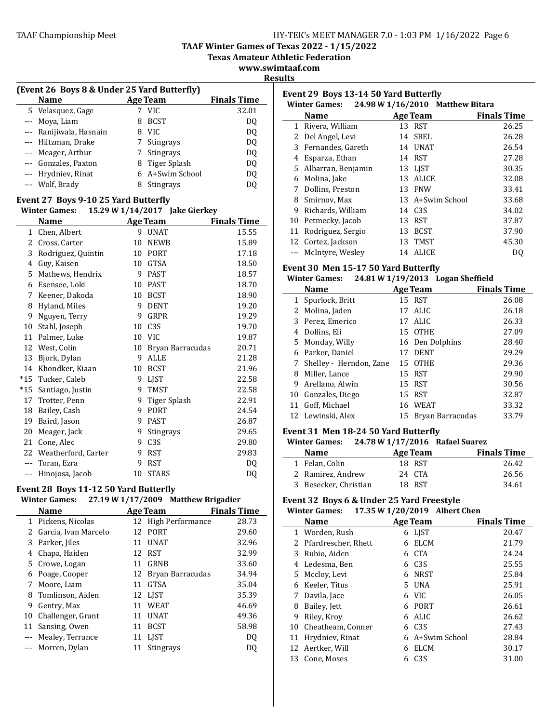**TAAF Winter Games of Texas 2022 - 1/15/2022**

**Texas Amateur Athletic Federation**

**www.swimtaaf.com Results**

 $\overline{a}$ 

| (Event 26 Boys 8 & Under 25 Yard Butterfly) |  |
|---------------------------------------------|--|
|                                             |  |
|                                             |  |

| Name                    |   | <b>Age Team</b>  | <b>Finals Time</b> |
|-------------------------|---|------------------|--------------------|
| 5 Velasquez, Gage       |   | <b>VIC</b>       | 32.01              |
| --- Moya, Liam          | 8 | <b>BCST</b>      | DO.                |
| --- Ranijiwala, Hasnain | 8 | VIC              | DQ                 |
| --- Hiltzman, Drake     |   | <b>Stingrays</b> | DQ                 |
| --- Meager, Arthur      |   | Stingrays        | DQ                 |
| --- Gonzales, Paxton    |   | 8 Tiger Splash   | DQ                 |
| --- Hrydniev, Rinat     |   | 6 A+Swim School  | DQ                 |
| --- Wolf, Brady         |   | <b>Stingrays</b> | DO                 |
|                         |   |                  |                    |

#### Event 27 Boys 9-10 25 Yard Butterfly **Winter Games: 15.29 W 1/14/2017 Jake Cierkey**

|              | willter Games:         |    | 15.49 W $1/14/201/$ Jake Gierkey |                    |
|--------------|------------------------|----|----------------------------------|--------------------|
|              | <b>Name</b>            |    | <b>Age Team</b>                  | <b>Finals Time</b> |
| $\mathbf{1}$ | Chen, Albert           | 9  | <b>UNAT</b>                      | 15.55              |
| 2            | Cross, Carter          | 10 | <b>NEWB</b>                      | 15.89              |
| 3            | Rodriguez, Quintin     | 10 | <b>PORT</b>                      | 17.18              |
| 4            | Guy, Kaisen            | 10 | <b>GTSA</b>                      | 18.50              |
| 5            | Mathews, Hendrix       | 9  | <b>PAST</b>                      | 18.57              |
| 6            | Esensee, Loki          | 10 | <b>PAST</b>                      | 18.70              |
| 7            | Keener, Dakoda         | 10 | <b>BCST</b>                      | 18.90              |
| 8            | Hyland, Miles          | 9  | <b>DENT</b>                      | 19.20              |
| 9            | Nguyen, Terry          | 9  | <b>GRPR</b>                      | 19.29              |
| 10           | Stahl, Joseph          | 10 | C <sub>3</sub> S                 | 19.70              |
| 11           | Palmer, Luke           | 10 | <b>VIC</b>                       | 19.87              |
| 12           | West, Colin            | 10 | Bryan Barracudas                 | 20.71              |
| 13           | Bjork, Dylan           | 9  | ALLE                             | 21.28              |
| 14           | Khondker, Kiaan        | 10 | <b>BCST</b>                      | 21.96              |
| $*15$        | Tucker, Caleb          | 9  | <b>LIST</b>                      | 22.58              |
| $*15$        | Santiago, Justin       | 9  | <b>TMST</b>                      | 22.58              |
| 17           | Trotter, Penn          | 9  | <b>Tiger Splash</b>              | 22.91              |
| 18           | Bailey, Cash           | 9  | <b>PORT</b>                      | 24.54              |
| 19           | Baird, Jason           | 9  | <b>PAST</b>                      | 26.87              |
| 20           | Meager, Jack           | 9  | <b>Stingrays</b>                 | 29.65              |
| 21           | Cone, Alec             | 9  | C <sub>3</sub> S                 | 29.80              |
|              | 22 Weatherford, Carter | 9  | <b>RST</b>                       | 29.83              |
|              | Toran, Ezra            | 9  | <b>RST</b>                       | DO                 |
| $---$        | Hinojosa, Jacob        | 10 | <b>STARS</b>                     | DQ                 |

## Event 28 Boys 11-12 50 Yard Butterfly

# **Winter Games: 27.19 W 1/17/2009 Matthew Brigadier**

|   | Name                   |    | <b>Age Team</b>     | <b>Finals Time</b> |  |
|---|------------------------|----|---------------------|--------------------|--|
|   | 1 Pickens, Nicolas     |    | 12 High Performance | 28.73              |  |
|   | 2 Garcia, Ivan Marcelo | 12 | <b>PORT</b>         | 29.60              |  |
|   | 3 Parker, Jiles        | 11 | <b>UNAT</b>         | 32.96              |  |
| 4 | Chapa, Haiden          |    | 12 RST              | 32.99              |  |
|   | 5 Crowe, Logan         | 11 | GRNB                | 33.60              |  |
| 6 | Poage, Cooper          |    | 12 Bryan Barracudas | 34.94              |  |
|   | Moore, Liam            | 11 | <b>GTSA</b>         | 35.04              |  |
|   | 8 Tomlinson, Aiden     |    | 12 LJST             | 35.39              |  |
| 9 | Gentry, Max            | 11 | WEAT                | 46.69              |  |
|   | 10 Challenger, Grant   | 11 | <b>UNAT</b>         | 49.36              |  |
|   | 11 Sansing, Owen       | 11 | <b>BCST</b>         | 58.98              |  |
|   | --- Mealey, Terrance   | 11 | LIST                | DO                 |  |
|   | Morren, Dylan          |    | Stingrays           | DO                 |  |

| Event 29 Boys 13-14 50 Yard Butterfly<br>24.98 W 1/16/2010 Matthew Bitara<br><b>Winter Games:</b> |                      |                     |                  |                    |
|---------------------------------------------------------------------------------------------------|----------------------|---------------------|------------------|--------------------|
|                                                                                                   | <b>Name</b>          | <b>Age Team</b>     |                  | <b>Finals Time</b> |
| 1                                                                                                 | Rivera, William      | 13 RST              |                  | 26.25              |
| $\mathbf{Z}$                                                                                      | Del Angel, Levi      | 14 SBEL             |                  | 26.28              |
|                                                                                                   | 3 Fernandes, Gareth  | 14 UNAT             |                  | 26.54              |
| 4                                                                                                 | Esparza, Ethan       | 14 RST              |                  | 27.28              |
| 5.                                                                                                | Albarran, Benjamin   | 13 LIST             |                  | 30.35              |
| 6                                                                                                 | Molina, Jake         | 13                  | <b>ALICE</b>     | 32.08              |
| 7                                                                                                 | Dollins, Preston     | 13 FNW              |                  | 33.41              |
| 8                                                                                                 | Smirnov, Max         |                     | 13 A+Swim School | 33.68              |
| 9                                                                                                 | Richards, William    | 14 C <sub>3</sub> S |                  | 34.02              |
| 10                                                                                                | Petmecky, Jacob      | RST<br>13           |                  | 37.87              |
| 11                                                                                                | Rodriguez, Sergio    | 13                  | <b>BCST</b>      | 37.90              |
|                                                                                                   | 12 Cortez, Jackson   | 13                  | TMST             | 45.30              |
|                                                                                                   | --- McIntyre, Wesley | 14                  | ALICE            | D0                 |

## Event 30 Men 15-17 50 Yard Butterfly

# **Winter Games:** 24.81 **W** 1/19/2013 **Logan** Sheffield

|   | <b>Name</b>               |    | <b>Age Team</b>  | <b>Finals Time</b> |
|---|---------------------------|----|------------------|--------------------|
|   | 1 Spurlock, Britt         |    | 15 RST           | 26.08              |
|   | 2 Molina, Jaden           |    | 17 ALIC          | 26.18              |
|   | 3 Perez. Emerico          |    | 17 ALIC          | 26.33              |
|   | 4 Dollins, Eli            |    | 15 OTHE          | 27.09              |
|   | 5 Monday, Willy           |    | 16 Den Dolphins  | 28.40              |
|   | 6 Parker, Daniel          | 17 | <b>DENT</b>      | 29.29              |
|   | 7 Shelley - Herndon, Zane |    | 15 OTHE          | 29.36              |
| 8 | Miller, Lance             |    | 15 RST           | 29.90              |
| 9 | Arellano, Alwin           |    | 15 RST           | 30.56              |
|   | 10 Gonzales, Diego        |    | 15 RST           | 32.87              |
|   | 11 Goff, Michael          |    | 16 WEAT          | 33.32              |
|   | 12 Lewinski, Alex         | 15 | Bryan Barracudas | 33.79              |

#### Event 31 Men 18-24 50 Yard Butterfly

#### **Winter Games: 24.78 W 1/17/2016 Rafael Suarez**

| <b>Name</b>           | Age Team | <b>Finals Time</b> |
|-----------------------|----------|--------------------|
| 1 Felan. Colin        | 18 RST   | 26.42              |
| 2 Ramirez, Andrew     | 24 CTA   | 26.56              |
| 3 Besecker, Christian | 18 RST   | 34.61              |

#### Event 32 Boys 6 & Under 25 Yard Freestyle **Winter Games:** 17.35 **W** 1/20/2019 Albert Chen

|    | <b>Name</b>         |    | <b>Age Team</b>  | <b>Finals Time</b> |
|----|---------------------|----|------------------|--------------------|
|    | 1 Worden, Rush      | 6  | <b>LIST</b>      | 20.47              |
| 2  | Pfardrescher, Rhett | 6  | <b>ELCM</b>      | 21.79              |
| 3  | Rubio, Aiden        | 6  | <b>CTA</b>       | 24.24              |
|    | 4 Ledesma, Ben      | 6  | C <sub>3</sub> S | 25.55              |
| 5. | Mccloy, Levi        | 6  | <b>NRST</b>      | 25.84              |
| 6  | Keeler, Titus       | 5. | <b>UNA</b>       | 25.91              |
|    | Davila, Jace        | 6  | <b>VIC</b>       | 26.05              |
| 8  | Bailey, Jett        | 6  | <b>PORT</b>      | 26.61              |
| 9  | Riley, Kroy         | 6  | <b>ALIC</b>      | 26.62              |
| 10 | Cheatheam, Conner   | 6  | C <sub>3</sub> S | 27.43              |
| 11 | Hrydniev, Rinat     | 6  | A+Swim School    | 28.84              |
| 12 | Aertker, Will       | 6  | <b>ELCM</b>      | 30.17              |
|    | 13 Cone, Moses      | 6  | C <sub>3</sub> S | 31.00              |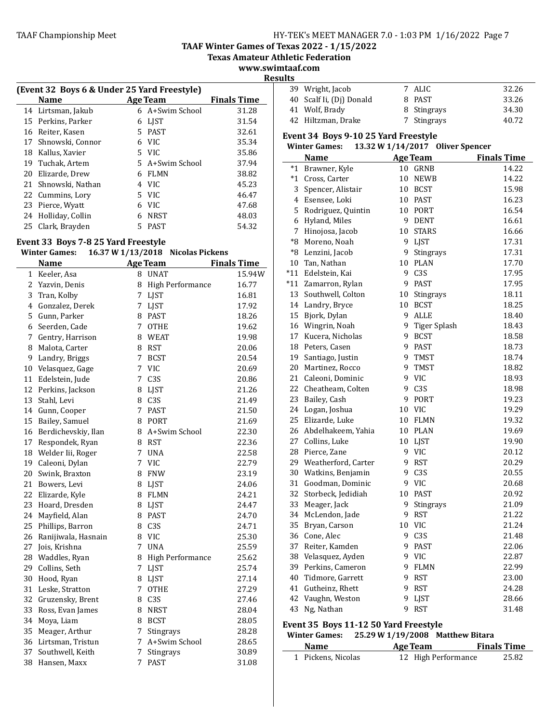**TAAF Winter Games of Texas 2022 - 1/15/2022**

**Texas Amateur Athletic Federation**

**www.swimtaaf.com Results**

|    | (Event 32 Boys 6 & Under 25 Yard Freestyle) |   |                 |                    |  |
|----|---------------------------------------------|---|-----------------|--------------------|--|
|    | Name                                        |   | <b>Age Team</b> | <b>Finals Time</b> |  |
|    | 14 Lirtsman, Jakub                          |   | 6 A+Swim School | 31.28              |  |
|    | 15 Perkins, Parker                          | 6 | LIST            | 31.54              |  |
| 16 | Reiter, Kasen                               |   | 5 PAST          | 32.61              |  |
| 17 | Shnowski, Connor                            | 6 | <b>VIC</b>      | 35.34              |  |
| 18 | Kallus, Xavier                              |   | 5 VIC           | 35.86              |  |
| 19 | Tuchak, Artem                               |   | 5 A+Swim School | 37.94              |  |
| 20 | Elizarde, Drew                              | 6 | FLMN            | 38.82              |  |
| 21 | Shnowski, Nathan                            | 4 | VIC.            | 45.23              |  |
| 22 | Cummins, Lory                               |   | 5 VIC           | 46.47              |  |
|    | 23 Pierce, Wyatt                            | 6 | VIC.            | 47.68              |  |
| 24 | Holliday, Collin                            | 6 | <b>NRST</b>     | 48.03              |  |
| 25 | Clark, Brayden                              | 5 | <b>PAST</b>     | 54.32              |  |

### Event 33 Boys 7-8 25 Yard Freestyle

#### **Winter Games: 16.37 W 1/13/2018** Nicolas Pickens

|    | <b>Name</b>            |             | <u>Age Team</u>    | <b>Finals Time</b> |
|----|------------------------|-------------|--------------------|--------------------|
| 1  | Keeler, Asa            |             | 8 UNAT             | 15.94W             |
|    | 2 Yazvin, Denis        |             | 8 High Performance | 16.77              |
|    | 3 Tran, Kolby          |             | 7 LJST             | 16.81              |
|    | 4 Gonzalez, Derek      |             | 7 LJST             | 17.92              |
|    | 5 Gunn, Parker         |             | 8 PAST             | 18.26              |
|    | 6 Seerden, Cade        | $7^{\circ}$ | <b>OTHE</b>        | 19.62              |
|    | 7 Gentry, Harrison     |             | 8 WEAT             | 19.98              |
| 8  | Malota, Carter         |             | 8 RST              | 20.06              |
| 9  | Landry, Briggs         | $7^{\circ}$ | <b>BCST</b>        | 20.54              |
|    | 10 Velasquez, Gage     | 7           | <b>VIC</b>         | 20.69              |
| 11 | Edelstein, Jude        | 7           | C <sub>3</sub> S   | 20.86              |
|    | 12 Perkins, Jackson    |             | 8 LJST             | 21.26              |
|    | 13 Stahl, Levi         |             | 8 C3S              | 21.49              |
|    | 14 Gunn, Cooper        |             | 7 PAST             | 21.50              |
|    | 15 Bailey, Samuel      |             | 8 PORT             | 21.69              |
|    | 16 Berdichevskiy, Ilan |             | 8 A+Swim School    | 22.30              |
|    | 17 Respondek, Ryan     |             | 8 RST              | 22.36              |
|    | 18 Welder Iii, Roger   | 7           | <b>UNA</b>         | 22.58              |
|    | 19 Caleoni, Dylan      | 7           | <b>VIC</b>         | 22.79              |
| 20 | Swink, Braxton         |             | 8 FNW              | 23.19              |
|    | 21 Bowers, Levi        |             | 8 LJST             | 24.06              |
|    | 22 Elizarde, Kyle      |             | 8 FLMN             | 24.21              |
|    | 23 Hoard, Dresden      |             | 8 LJST             | 24.47              |
|    | 24 Mayfield, Alan      |             | 8 PAST             | 24.70              |
| 25 | Phillips, Barron       |             | 8 C3S              | 24.71              |
| 26 | Ranijiwala, Hasnain    |             | 8 VIC              | 25.30              |
| 27 | Jois, Krishna          | 7           | <b>UNA</b>         | 25.59              |
|    | 28 Waddles, Ryan       | 8           | High Performance   | 25.62              |
| 29 | Collins, Seth          | 7           | <b>LJST</b>        | 25.74              |
| 30 | Hood, Ryan             |             | 8 LJST             | 27.14              |
| 31 | Leske, Stratton        | 7           | <b>OTHE</b>        | 27.29              |
|    | 32 Gruzensky, Brent    |             | 8 C3S              | 27.46              |
|    | 33 Ross, Evan James    |             | 8 NRST             | 28.04              |
|    | 34 Moya, Liam          |             | 8 BCST             | 28.05              |
|    | 35 Meager, Arthur      | $7^{\circ}$ | Stingrays          | 28.28              |
|    | 36 Lirtsman, Tristun   | 7           | A+Swim School      | 28.65              |
| 37 | Southwell, Keith       | 7           | Stingrays          | 30.89              |
| 38 | Hansen, Maxx           | $7^{\circ}$ | <b>PAST</b>        | 31.08              |

| . |                          |             |       |
|---|--------------------------|-------------|-------|
|   | 39 Wright, Jacob         | 7 ALIC      | 32.26 |
|   | 40 Scalf Ii, (Di) Donald | 8 PAST      | 33.26 |
|   | 41 Wolf, Brady           | 8 Stingrays | 34.30 |
|   | 42 Hiltzman, Drake       | 7 Stingrays | 40.72 |

## Event 34 Boys 9-10 25 Yard Freestyle

**Winter Games:** 13.32 **W** 1/14/2017 Oliver Spencer

|                                                                                         | <b>Name</b>          |    | <b>Age Team</b> | <b>Finals Time</b> |
|-----------------------------------------------------------------------------------------|----------------------|----|-----------------|--------------------|
| $*_{1}$                                                                                 | Brawner, Kyle        |    | 10 GRNB         | 14.22              |
| $*_{1}$                                                                                 | Cross, Carter        |    | 10 NEWB         | 14.22              |
| 3                                                                                       | Spencer, Alistair    |    | 10 BCST         | 15.98              |
| 4                                                                                       | Esensee, Loki        |    | 10 PAST         | 16.23              |
| 5                                                                                       | Rodriguez, Quintin   |    | 10 PORT         | 16.54              |
| 6                                                                                       | Hyland, Miles        |    | 9 DENT          | 16.61              |
| $\overline{7}$                                                                          | Hinojosa, Jacob      |    | 10 STARS        | 16.66              |
| *8                                                                                      | Moreno, Noah         |    | 9 LJST          | 17.31              |
| $*8$                                                                                    | Lenzini, Jacob       |    | 9 Stingrays     | 17.31              |
| 10                                                                                      | Tan, Nathan          |    | 10 PLAN         | 17.70              |
| $*11$                                                                                   | Edelstein, Kai       |    | 9 C3S           | 17.95              |
|                                                                                         | *11 Zamarron, Rylan  | 9  | PAST            | 17.95              |
| 13                                                                                      | Southwell, Colton    | 10 | Stingrays       | 18.11              |
|                                                                                         | 14 Landry, Bryce     | 10 | <b>BCST</b>     | 18.25              |
| 15                                                                                      | Bjork, Dylan         | 9  | ALLE            | 18.40              |
|                                                                                         | 16 Wingrin, Noah     |    | 9 Tiger Splash  | 18.43              |
| 17                                                                                      | Kucera, Nicholas     |    | 9 BCST          | 18.58              |
| 18                                                                                      | Peters, Casen        |    | 9 PAST          | 18.73              |
| 19                                                                                      | Santiago, Justin     |    | 9 TMST          | 18.74              |
| 20                                                                                      | Martinez, Rocco      |    | 9 TMST          | 18.82              |
| 21                                                                                      | Caleoni, Dominic     | 9  | VIC             | 18.93              |
|                                                                                         | 22 Cheatheam, Colten |    | 9 C3S           | 18.98              |
| 23                                                                                      | Bailey, Cash         | 9  | PORT            | 19.23              |
| 24                                                                                      | Logan, Joshua        |    | 10 VIC          | 19.29              |
| 25                                                                                      | Elizarde, Luke       |    | 10 FLMN         | 19.32              |
| 26                                                                                      | Abdelhakeem, Yahia   |    | 10 PLAN         | 19.69              |
| 27                                                                                      | Collins, Luke        | 10 | LJST            | 19.90              |
| 28                                                                                      | Pierce, Zane         |    | 9 VIC           | 20.12              |
| 29                                                                                      | Weatherford, Carter  |    | 9 RST           | 20.29              |
| 30                                                                                      | Watkins, Benjamin    |    | 9 C3S           | 20.55              |
| 31                                                                                      | Goodman, Dominic     |    | 9 VIC           | 20.68              |
| 32                                                                                      | Storbeck, Jedidiah   |    | 10 PAST         | 20.92              |
| 33                                                                                      | Meager, Jack         |    | 9 Stingrays     | 21.09              |
| 34                                                                                      | McLendon, Jade       |    | 9 RST           | 21.22              |
| 35                                                                                      | Bryan, Carson        |    | 10 VIC          | 21.24              |
| 36                                                                                      | Cone, Alec           |    | 9 C3S           | 21.48              |
| 37                                                                                      | Reiter, Kamden       |    | 9 PAST          | 22.06              |
|                                                                                         | 38 Velasquez, Ayden  |    | 9 VIC           | 22.87              |
| 39                                                                                      | Perkins, Cameron     | 9. | FLMN            | 22.99              |
| 40                                                                                      | Tidmore, Garrett     |    | 9 RST           | 23.00              |
| 41                                                                                      | Gutheinz, Rhett      | 9. | <b>RST</b>      | 24.28              |
| 42                                                                                      | Vaughn, Weston       |    | 9 LJST          | 28.66              |
| 43                                                                                      | Ng, Nathan           | 9  | <b>RST</b>      | 31.48              |
| Event 35 Boys 11-12 50 Yard Freestyle<br>Winter Games: 25.29 W 1/19/2008 Matthew Bitara |                      |    |                 |                    |

**Age Team Finals Time** Pickens, Nicolas 12 High Performance 25.82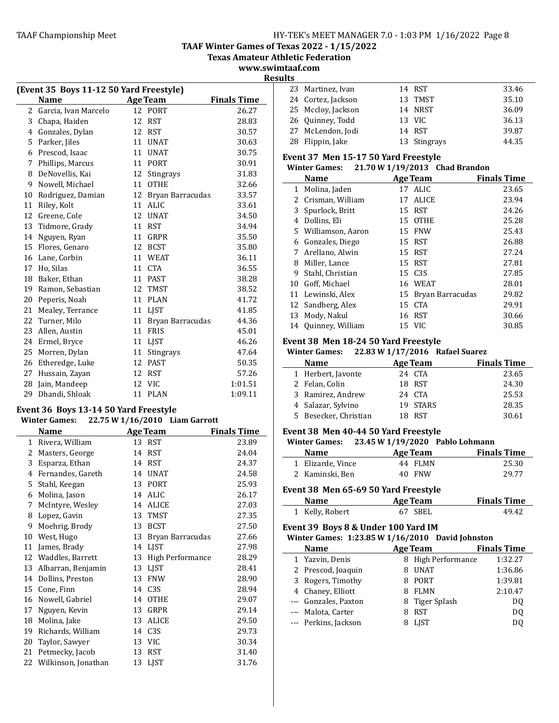**TAAF Winter Games of Texas 2022 - 1/15/2022**

**Texas Amateur Athletic Federation**

**www.swimtaaf.com Results**

 $\mathbb{R}^2$ 

j.

|    | (Event 35 Boys 11-12 50 Yard Freestyle) |    |                  |                    |  |  |
|----|-----------------------------------------|----|------------------|--------------------|--|--|
|    | Name                                    |    | <b>Age Team</b>  | <b>Finals Time</b> |  |  |
| 2  | Garcia, Ivan Marcelo                    |    | 12 PORT          | 26.27              |  |  |
| 3  | Chapa, Haiden                           | 12 | <b>RST</b>       | 28.83              |  |  |
| 4  | Gonzales, Dylan                         | 12 | <b>RST</b>       | 30.57              |  |  |
| 5  | Parker, Jiles                           | 11 | <b>UNAT</b>      | 30.63              |  |  |
| 6  | Prescod, Isaac                          | 11 | <b>UNAT</b>      | 30.75              |  |  |
| 7  | Phillips, Marcus                        | 11 | PORT             | 30.91              |  |  |
| 8  | DeNovellis, Kai                         | 12 | <b>Stingrays</b> | 31.83              |  |  |
| 9  | Nowell, Michael                         | 11 | <b>OTHE</b>      | 32.66              |  |  |
| 10 | Rodriguez, Damian                       | 12 | Bryan Barracudas | 33.57              |  |  |
| 11 | Riley, Kolt                             | 11 | <b>ALIC</b>      | 33.61              |  |  |
| 12 | Greene, Cole                            | 12 | <b>UNAT</b>      | 34.50              |  |  |
| 13 | Tidmore, Grady                          | 11 | <b>RST</b>       | 34.94              |  |  |
| 14 | Nguyen, Ryan                            | 11 | GRPR             | 35.50              |  |  |
| 15 | Flores, Genaro                          | 12 | <b>BCST</b>      | 35.80              |  |  |
| 16 | Lane, Corbin                            | 11 | <b>WEAT</b>      | 36.11              |  |  |
| 17 | Ho, Silas                               | 11 | <b>CTA</b>       | 36.55              |  |  |
| 18 | Baker, Ethan                            | 11 | <b>PAST</b>      | 38.28              |  |  |
| 19 | Ramon, Sebastian                        | 12 | <b>TMST</b>      | 38.52              |  |  |
| 20 | Peperis, Noah                           | 11 | <b>PLAN</b>      | 41.72              |  |  |
| 21 | Mealey, Terrance                        | 11 | <b>LJST</b>      | 41.85              |  |  |
| 22 | Turner, Milo                            | 11 | Bryan Barracudas | 44.36              |  |  |
| 23 | Allen, Austin                           | 11 | <b>FRIS</b>      | 45.01              |  |  |
| 24 | Ermel, Bryce                            | 11 | LIST             | 46.26              |  |  |
| 25 | Morren, Dylan                           | 11 | Stingrays        | 47.64              |  |  |
| 26 | Etheredge, Luke                         | 12 | <b>PAST</b>      | 50.35              |  |  |
| 27 | Hussain, Zayan                          | 12 | <b>RST</b>       | 57.26              |  |  |
| 28 | Jain, Mandeep                           | 12 | <b>VIC</b>       | 1:01.51            |  |  |
| 29 | Dhandi, Shloak                          | 11 | <b>PLAN</b>      | 1:09.11            |  |  |

#### Event 36 Boys 13-14 50 Yard Freestyle **Winter Games: 22.75 W 1/16/2010 Liam Garrott**

L.

|    | <b>Name</b>            |    | Age Team         | <b>Finals Time</b> |
|----|------------------------|----|------------------|--------------------|
| 1  | Rivera, William        |    | 13 RST           | 23.89              |
| 2  | Masters, George        | 14 | <b>RST</b>       | 24.04              |
| 3  | Esparza, Ethan         | 14 | RST              | 24.37              |
| 4  | Fernandes, Gareth      | 14 | <b>UNAT</b>      | 24.58              |
| 5  | Stahl, Keegan          | 13 | <b>PORT</b>      | 25.93              |
| 6  | Molina, Jason          | 14 | ALIC             | 26.17              |
| 7  | McIntyre, Wesley       | 14 | ALICE            | 27.03              |
| 8  | Lopez, Gavin           | 13 | <b>TMST</b>      | 27.35              |
| 9  | Moehrig, Brody         | 13 | <b>BCST</b>      | 27.50              |
| 10 | West, Hugo             | 13 | Bryan Barracudas | 27.66              |
| 11 | James, Brady           | 14 | LJST             | 27.98              |
| 12 | Waddles, Barrett       | 13 | High Performance | 28.29              |
| 13 | Albarran, Benjamin     | 13 | <b>LIST</b>      | 28.41              |
| 14 | Dollins, Preston       | 13 | <b>FNW</b>       | 28.90              |
| 15 | Cone, Finn             | 14 | C <sub>3S</sub>  | 28.94              |
| 16 | Nowell, Gabriel        | 14 | <b>OTHE</b>      | 29.07              |
| 17 | Nguyen, Kevin          | 13 | GRPR             | 29.14              |
| 18 | Molina, Jake           | 13 | ALICE            | 29.50              |
| 19 | Richards, William      | 14 | C3S              | 29.73              |
| 20 | Taylor, Sawyer         | 13 | VIC              | 30.34              |
| 21 | Petmecky, Jacob        | 13 | <b>RST</b>       | 31.40              |
|    | 22 Wilkinson, Jonathan | 13 | LIST             | 31.76              |

| டை |                    |              |       |
|----|--------------------|--------------|-------|
|    | 23 Martinez, Ivan  | 14 RST       | 33.46 |
|    | 24 Cortez, Jackson | 13 TMST      | 35.10 |
|    | 25 Mccloy, Jackson | 14 NRST      | 36.09 |
|    | 26 Quinney, Todd   | 13 VIC       | 36.13 |
|    | 27 McLendon, Jodi  | 14 RST       | 39.87 |
|    | 28 Flippin, Jake   | 13 Stingrays | 44.35 |
|    |                    |              |       |

## Event 37 Men 15-17 50 Yard Freestyle

## **Winter Games:** 21.70 **W**  $1/19/2013$  **Chad Brandon**

|    | <b>Name</b>         |    | <b>Age Team</b>     | <b>Finals Time</b> |
|----|---------------------|----|---------------------|--------------------|
|    | 1 Molina, Jaden     |    | 17 ALIC             | 23.65              |
| 2  | Crisman, William    |    | 17 ALICE            | 23.94              |
| 3  | Spurlock, Britt     |    | 15 RST              | 24.26              |
| 4  | Dollins, Eli        |    | 15 OTHE             | 25.28              |
|    | 5 Williamson, Aaron |    | 15 FNW              | 25.43              |
| 6  | Gonzales, Diego     |    | 15 RST              | 26.88              |
|    | 7 Arellano, Alwin   |    | 15 RST              | 27.24              |
| 8  | Miller, Lance       |    | 15 RST              | 27.81              |
| 9  | Stahl, Christian    |    | 15 C <sub>3</sub> S | 27.85              |
| 10 | Goff, Michael       |    | 16 WEAT             | 28.01              |
| 11 | Lewinski, Alex      | 15 | Bryan Barracudas    | 29.82              |
|    | 12 Sandberg, Alex   | 15 | <b>CTA</b>          | 29.91              |
| 13 | Mody, Nakul         |    | 16 RST              | 30.66              |
| 14 | Quinney, William    |    | 15 VIC              | 30.85              |

## Event 38 Men 18-24 50 Yard Freestyle

# **Winter Games:** 22.83 **W**  $1/17/2016$  **Rafael Suarez**

| <b>Name</b>           | <b>Age Team</b> | <b>Finals Time</b> |
|-----------------------|-----------------|--------------------|
| 1 Herbert, Javonte    | 24 CTA          | 23.65              |
| 2 Felan, Colin        | 18 RST          | 24.30              |
| 3 Ramirez, Andrew     | 24 CTA          | 25.53              |
| 4 Salazar, Sylvino    | 19 STARS        | 28.35              |
| 5 Besecker, Christian | 18 RST          | 30.61              |

### Event 38 Men 40-44 50 Yard Freestyle

#### **Winter Games: 23.45 W 1/19/2020 Pablo Lohmann**

| <b>Name</b>       | Age Team | <b>Finals Time</b> |
|-------------------|----------|--------------------|
| 1 Elizarde, Vince | 44 FLMN  | 25.30              |
| 2 Kaminski, Ben   | 40 FNW   | 29.77              |

#### Event 38 Men 65-69 50 Yard Freestyle

| Name            | Age Team | <b>Finals Time</b> |
|-----------------|----------|--------------------|
| 1 Kelly, Robert | 67 SBEL  | 49.42              |

#### Event 39 Boys 8 & Under 100 Yard IM **Winter Games: 1:23.85 W 1/16/2010** David Johnston

| <b>Name</b>          |   | <b>Age Team</b>    | <b>Finals Time</b> |
|----------------------|---|--------------------|--------------------|
| 1 Yazvin, Denis      |   | 8 High Performance | 1:32.27            |
| 2 Prescod, Joaquin   |   | <b>UNAT</b>        | 1:36.86            |
| 3 Rogers, Timothy    | 8 | PORT               | 1:39.81            |
| 4 Chaney, Elliott    | 8 | <b>FLMN</b>        | 2:10.47            |
| --- Gonzales, Paxton |   | 8 Tiger Splash     | DQ                 |
| --- Malota, Carter   |   | RST                | D <sub>0</sub>     |
| --- Perkins, Jackson |   | <b>LIST</b>        | D0                 |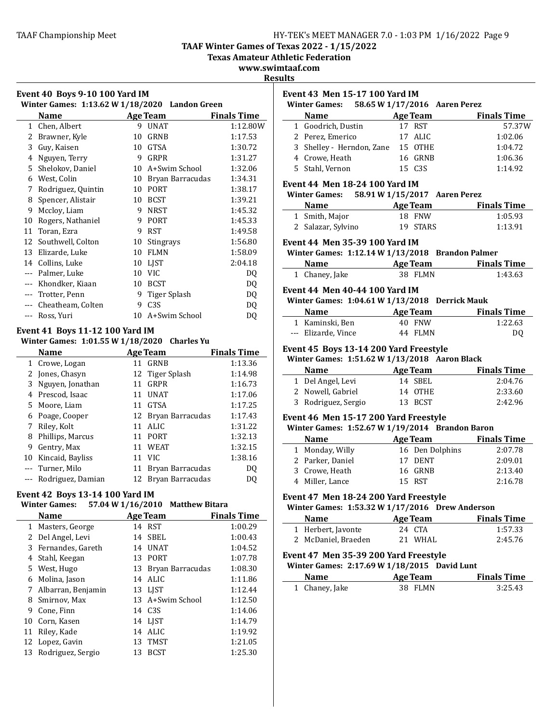**TAAF Winter Games of Texas 2022 - 1/15/2022**

**Texas Amateur Athletic Federation** 

**www.swimtaaf.com**

| Winter Games: 1:13.62 W 1/18/2020 Landon Green |                                           |    |                  |                    |  |
|------------------------------------------------|-------------------------------------------|----|------------------|--------------------|--|
|                                                | Name                                      |    | <b>Age Team</b>  | <b>Finals Time</b> |  |
| $\mathbf{1}$                                   | Chen, Albert                              | 9  | <b>UNAT</b>      | 1:12.80W           |  |
| 2                                              | Brawner, Kyle                             | 10 | GRNB             | 1:17.53            |  |
| 3                                              | Guy, Kaisen                               | 10 | <b>GTSA</b>      | 1:30.72            |  |
| 4                                              | Nguyen, Terry                             | 9  | GRPR             | 1:31.27            |  |
| 5                                              | Shelokov, Daniel                          | 10 | A+Swim School    | 1:32.06            |  |
| 6                                              | West, Colin                               | 10 | Bryan Barracudas | 1:34.31            |  |
| 7                                              | Rodriguez, Quintin                        | 10 | <b>PORT</b>      | 1:38.17            |  |
| 8                                              | Spencer, Alistair                         | 10 | <b>BCST</b>      | 1:39.21            |  |
| 9                                              | Mccloy, Liam                              | 9  | <b>NRST</b>      | 1:45.32            |  |
| 10                                             | Rogers, Nathaniel                         | 9  | <b>PORT</b>      | 1:45.33            |  |
| 11                                             | Toran, Ezra                               | 9  | <b>RST</b>       | 1:49.58            |  |
| 12                                             | Southwell, Colton                         | 10 | <b>Stingrays</b> | 1:56.80            |  |
| 13                                             | Elizarde, Luke                            | 10 | <b>FLMN</b>      | 1:58.09            |  |
| 14                                             | Collins, Luke                             | 10 | <b>LIST</b>      | 2:04.18            |  |
| $---$                                          | Palmer, Luke                              | 10 | <b>VIC</b>       | DQ                 |  |
| $---$                                          | Khondker, Kiaan                           | 10 | <b>BCST</b>      | DQ                 |  |
|                                                | Trotter, Penn                             | 9  | Tiger Splash     | DQ                 |  |
| $---$                                          | Cheatheam, Colten                         | 9  | C <sub>3S</sub>  | DQ                 |  |
| $---$                                          | Ross, Yuri                                | 10 | A+Swim School    | DQ                 |  |
|                                                | $\overline{\phantom{a}}$<br>$\cdots$<br>. |    |                  |                    |  |

# **Event 41 Boys 11-12 100 Yard IM**

**Winter Games: 1:01.55 W 1/18/2020 Charles Yu** 

|    | <b>Name</b>           |    | Age Team            | <b>Finals Time</b> |
|----|-----------------------|----|---------------------|--------------------|
|    | 1 Crowe, Logan        | 11 | GRNB                | 1:13.36            |
| 2  | Jones, Chasyn         |    | 12 Tiger Splash     | 1:14.98            |
| 3  | Nguyen, Jonathan      | 11 | GRPR                | 1:16.73            |
|    | 4 Prescod, Isaac      | 11 | <b>UNAT</b>         | 1:17.06            |
| 5. | Moore, Liam           | 11 | GTSA                | 1:17.25            |
|    | 6 Poage, Cooper       |    | 12 Bryan Barracudas | 1:17.43            |
|    | Riley, Kolt           | 11 | ALIC.               | 1:31.22            |
| 8  | Phillips, Marcus      | 11 | PORT                | 1:32.13            |
| 9  | Gentry, Max           |    | 11 WEAT             | 1:32.15            |
| 10 | Kincaid, Bayliss      |    | 11 VIC              | 1:38.16            |
|    | --- Turner, Milo      | 11 | Bryan Barracudas    | DO                 |
|    | --- Rodriguez, Damian | 12 | Bryan Barracudas    | DO.                |

## **Event 42 Boys 13-14 100 Yard IM**

# **Winter Games: 57.04 W 1/16/2010 Matthew Bitara**

|    | Name                 |    | <b>Age Team</b>     | <b>Finals Time</b> |
|----|----------------------|----|---------------------|--------------------|
| 1  | Masters, George      |    | 14 RST              | 1:00.29            |
|    | 2 Del Angel, Levi    | 14 | <b>SBEL</b>         | 1:00.43            |
|    | 3 Fernandes, Gareth  | 14 | UNAT                | 1:04.52            |
| 4  | Stahl, Keegan        | 13 | <b>PORT</b>         | 1:07.78            |
|    | 5 West, Hugo         |    | 13 Bryan Barracudas | 1:08.30            |
| 6  | Molina, Jason        |    | 14 ALIC             | 1:11.86            |
|    | 7 Albarran, Benjamin |    | 13 LIST             | 1:12.44            |
| 8  | Smirnov, Max         |    | 13 A+Swim School    | 1:12.50            |
| 9  | Cone, Finn           |    | 14 C <sub>3</sub> S | 1:14.06            |
|    | 10 Corn, Kasen       |    | 14 LIST             | 1:14.79            |
| 11 | Riley, Kade          | 14 | ALIC.               | 1:19.92            |
|    | 12 Lopez, Gavin      | 13 | TMST                | 1:21.05            |
| 13 | Rodriguez, Sergio    | 13 | <b>BCST</b>         | 1:25.30            |

| Winter Games: 58.65 W 1/17/2016 Aaren Perez                                                    |        |                 |                               |                    |
|------------------------------------------------------------------------------------------------|--------|-----------------|-------------------------------|--------------------|
| Name Age Team Finals Time                                                                      |        |                 |                               |                    |
| 1 Goodrich, Dustin                                                                             |        | 17 RST          |                               | 57.37W             |
| 2 Perez, Emerico                                                                               |        | 17 ALIC         |                               | 1:02.06            |
| 3 Shelley - Herndon, Zane 15 OTHE                                                              |        |                 |                               | 1:04.72            |
| 4 Crowe, Heath                                                                                 |        | 16 GRNB         |                               | 1:06.36            |
| 5 Stahl, Vernon                                                                                |        | 15 C3S          |                               | 1:14.92            |
| <b>Event 44 Men 18-24 100 Yard IM</b>                                                          |        |                 |                               |                    |
| <b>Winter Games:</b>                                                                           |        |                 | 58.91 W 1/15/2017 Aaren Perez |                    |
| <b>Example 2 Age Team</b> Finals Time<br><b>Name</b>                                           |        |                 |                               |                    |
| 1 Smith, Major                                                                                 |        | <b>18 FNW</b>   |                               | 1:05.93            |
| 2 Salazar, Sylvino 19 STARS                                                                    |        |                 |                               | 1:13.91            |
| Event 44 Men 35-39 100 Yard IM                                                                 |        |                 |                               |                    |
| Winter Games: 1:12.14 W 1/13/2018 Brandon Palmer                                               |        |                 |                               |                    |
| Name Age Team Finals Time                                                                      |        |                 |                               |                    |
| 1 Chaney, Jake                                                                                 |        | 38 FLMN         |                               | 1:43.63            |
| <b>Event 44 Men 40-44 100 Yard IM</b>                                                          |        |                 |                               |                    |
| Winter Games: 1:04.61 W 1/13/2018 Derrick Mauk                                                 |        |                 |                               |                    |
| <b>Name Age Team</b> Finals Time                                                               |        |                 |                               |                    |
| 1 Kaminski, Ben                                                                                |        | 40 FNW          |                               | 1:22.63            |
| --- Elizarde, Vince                                                                            |        | 44 FLMN         |                               | DQ                 |
| Winter Games: 1:51.62 W 1/13/2018 Aaron Black<br>Name<br><b>Example 2 Age Team</b> Finals Time |        |                 |                               |                    |
| 1 Del Angel, Levi                                                                              |        | 14 SBEL         |                               | 2:04.76            |
|                                                                                                |        |                 |                               |                    |
| 2 Nowell, Gabriel                                                                              |        | 14 OTHE         |                               | 2:33.60            |
| 3 Rodriguez, Sergio                                                                            |        |                 | 13 BCST                       | 2:42.96            |
| Event 46 Men 15-17 200 Yard Freestyle                                                          |        |                 |                               |                    |
| Winter Games: 1:52.67 W 1/19/2014 Brandon Baron                                                |        |                 |                               |                    |
| <b>Name Age Team Finals Time</b>                                                               |        |                 |                               |                    |
| 1 Monday, Willy                                                                                |        |                 | 16 Den Dolphins               | 2:07.78            |
| $2$ Parker, Daniel                                                                             |        | 17 DENT         |                               | 2:09.01            |
| 3 Crowe, Heath                                                                                 |        | 16 GRNB         |                               | 2:13.40            |
| 4 Miller, Lance                                                                                | 15 RST |                 |                               | 2:16.78            |
| Event 47 Men 18-24 200 Yard Freestyle                                                          |        |                 |                               |                    |
| Winter Games: 1:53.32 W 1/17/2016 Drew Anderson                                                |        |                 |                               |                    |
| Name                                                                                           |        | <b>Age Team</b> |                               | <b>Finals Time</b> |
| 1 Herbert, Javonte                                                                             |        | 24 CTA          |                               | 1:57.33            |
| 2 McDaniel, Braeden                                                                            |        | 21 WHAL         |                               | 2:45.76            |
| Event 47 Men 35-39 200 Yard Freestyle                                                          |        |                 |                               |                    |
| Winter Games: 2:17.69 W 1/18/2015 David Lunt                                                   |        |                 |                               |                    |
| Name<br><b>Age Team</b>                                                                        |        |                 |                               | <b>Finals Time</b> |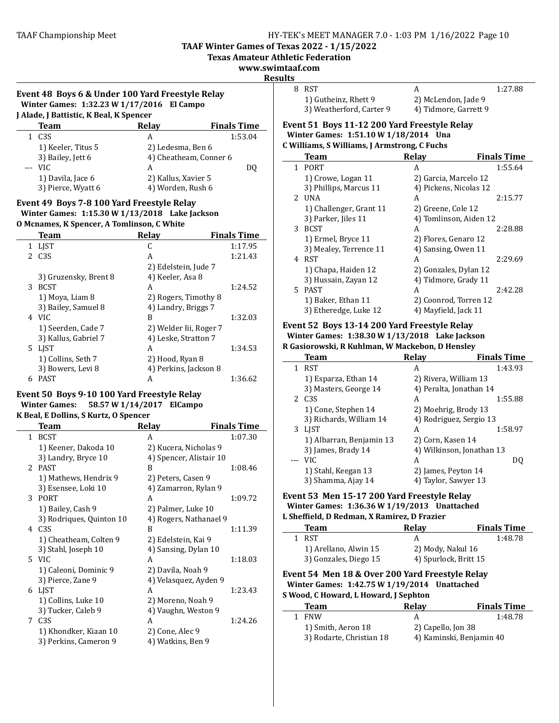**TAAF Winter Games of Texas 2022 - 1/15/2022** 

**Texas Amateur Athletic Federation**

**www.swimtaaf.com**

**Results**

| Event 48 Boys 6 & Under 100 Yard Freestyle Relay | 8 RST  |
|--------------------------------------------------|--------|
| Winter Games: 1:32.23 W 1/17/2016 El Campo       | $1)$ G |
|                                                  | 3) W   |

| J Alade, J Battistic, K Beal, K Spencer |                    |                        |                    |  |  |
|-----------------------------------------|--------------------|------------------------|--------------------|--|--|
|                                         | <b>Team</b>        | Relay                  | <b>Finals Time</b> |  |  |
|                                         | 1 C <sub>3</sub> S | А                      | 1:53.04            |  |  |
|                                         | 1) Keeler, Titus 5 | 2) Ledesma, Ben 6      |                    |  |  |
|                                         | 3) Bailey, Jett 6  | 4) Cheatheam, Conner 6 |                    |  |  |
|                                         | $---$ VIC          | А                      | DO                 |  |  |
|                                         | 1) Davila, Jace 6  | 2) Kallus, Xavier 5    |                    |  |  |
|                                         | 3) Pierce, Wyatt 6 | 4) Worden, Rush 6      |                    |  |  |

# Event 49 Boys 7-8 100 Yard Freestyle Relay

**Winter Games: 1:15.30 W 1/13/2018 Lake Jackson**

#### **O Mcnames, K Spencer, A Tomlinson, C White**

|    | <b>Team</b>           | <b>Relav</b>           | <b>Finals Time</b> |
|----|-----------------------|------------------------|--------------------|
| 1  | LIST                  | C                      | 1:17.95            |
| 2. | C <sub>3S</sub>       | A                      | 1:21.43            |
|    |                       | 2) Edelstein, Jude 7   |                    |
|    | 3) Gruzensky, Brent 8 | 4) Keeler, Asa 8       |                    |
| 3  | <b>BCST</b>           | A                      | 1:24.52            |
|    | 1) Moya, Liam 8       | 2) Rogers, Timothy 8   |                    |
|    | 3) Bailey, Samuel 8   | 4) Landry, Briggs 7    |                    |
|    | 4 VIC                 | B                      | 1:32.03            |
|    | 1) Seerden, Cade 7    | 2) Welder Iii, Roger 7 |                    |
|    | 3) Kallus, Gabriel 7  | 4) Leske, Stratton 7   |                    |
| 5. | LIST                  | A                      | 1:34.53            |
|    | 1) Collins, Seth 7    | 2) Hood, Ryan 8        |                    |
|    | 3) Bowers, Levi 8     | 4) Perkins, Jackson 8  |                    |
| 6  | <b>PAST</b>           | А                      | 1:36.62            |

# Event 50 Boys 9-10 100 Yard Freestyle Relay **Winter Games: 58.57 W 1/14/2017 ElCampo**

# **K** Beal, E Dollins, S Kurtz, O Spencer

| Team                     | Relay                   | <b>Finals Time</b> |
|--------------------------|-------------------------|--------------------|
| 1 BCST                   | A                       | 1:07.30            |
| 1) Keener, Dakoda 10     | 2) Kucera, Nicholas 9   |                    |
| 3) Landry, Bryce 10      | 4) Spencer, Alistair 10 |                    |
| 2 PAST                   | R                       | 1:08.46            |
| 1) Mathews, Hendrix 9    | 2) Peters, Casen 9      |                    |
| 3) Esensee, Loki 10      | 4) Zamarron, Rylan 9    |                    |
| 3 PORT                   | A                       | 1:09.72            |
| 1) Bailey, Cash 9        | 2) Palmer, Luke 10      |                    |
| 3) Rodriques, Quinton 10 | 4) Rogers, Nathanael 9  |                    |
| 4 C <sub>3</sub> S       | R                       | 1:11.39            |
| 1) Cheatheam, Colten 9   | 2) Edelstein, Kai 9     |                    |
| 3) Stahl, Joseph 10      | 4) Sansing, Dylan 10    |                    |
| 5 VIC                    | A                       | 1:18.03            |
| 1) Caleoni, Dominic 9    | 2) Davila, Noah 9       |                    |
| 3) Pierce, Zane 9        | 4) Velasquez, Ayden 9   |                    |
| 6 LJST                   | A                       | 1:23.43            |
| 1) Collins, Luke 10      | 2) Moreno, Noah 9       |                    |
| 3) Tucker, Caleb 9       | 4) Vaughn, Weston 9     |                    |
| 7 C <sub>3</sub> S       | A                       | 1:24.26            |
| 1) Khondker, Kiaan 10    | 2) Cone, Alec 9         |                    |
| 3) Perkins, Cameron 9    | 4) Watkins, Ben 9       |                    |
|                          |                         |                    |

| 8 RST                    |                       | 1:27.88 |
|--------------------------|-----------------------|---------|
| 1) Gutheinz, Rhett 9     | 2) McLendon, Jade 9   |         |
| 3) Weatherford, Carter 9 | 4) Tidmore, Garrett 9 |         |

#### Event 51 Boys 11-12 200 Yard Freestyle Relay **Winter Games: 1:51.10 W 1/18/2014 Una C Williams, S Williams, J Armstrong, C Fuchs**

|    | Team                    | <b>Relay</b>           | <b>Finals Time</b> |
|----|-------------------------|------------------------|--------------------|
|    | 1 PORT                  | A                      | 1:55.64            |
|    | 1) Crowe, Logan 11      | 2) Garcia, Marcelo 12  |                    |
|    | 3) Phillips, Marcus 11  | 4) Pickens, Nicolas 12 |                    |
| 2  | <b>UNA</b>              | A                      | 2:15.77            |
|    | 1) Challenger, Grant 11 | 2) Greene, Cole 12     |                    |
|    | 3) Parker, Jiles 11     | 4) Tomlinson, Aiden 12 |                    |
| 3  | <b>BCST</b>             | A                      | 2:28.88            |
|    | 1) Ermel, Bryce 11      | 2) Flores, Genaro 12   |                    |
|    | 3) Mealey, Terrence 11  | 4) Sansing, Owen 11    |                    |
| 4  | <b>RST</b>              | A                      | 2:29.69            |
|    | 1) Chapa, Haiden 12     | 2) Gonzales, Dylan 12  |                    |
|    | 3) Hussain, Zayan 12    | 4) Tidmore, Grady 11   |                    |
| 5. | <b>PAST</b>             | A                      | 2:42.28            |
|    | 1) Baker, Ethan 11      | 2) Coonrod, Torren 12  |                    |
|    | 3) Etheredge, Luke 12   | 4) Mayfield, Jack 11   |                    |

# Event 52 Boys 13-14 200 Yard Freestyle Relay

#### **Winter Games: 1:38.30 W 1/13/2018 Lake Jackson R Gasiorowski, R Kuhlman, W Mackebon, D Hensley**

|   | Team                     | <b>Relay</b>              | <b>Finals Time</b> |
|---|--------------------------|---------------------------|--------------------|
| 1 | <b>RST</b>               | A                         | 1:43.93            |
|   | 1) Esparza, Ethan 14     | 2) Rivera, William 13     |                    |
|   | 3) Masters, George 14    | 4) Peralta, Jonathan 14   |                    |
| 2 | C <sub>3</sub> S         | А                         | 1:55.88            |
|   | 1) Cone, Stephen 14      | 2) Moehrig, Brody 13      |                    |
|   | 3) Richards, William 14  | 4) Rodriguez, Sergio 13   |                    |
|   | 3 LIST                   | A                         | 1:58.97            |
|   | 1) Albarran, Benjamin 13 | 2) Corn, Kasen 14         |                    |
|   | 3) James, Brady 14       | 4) Wilkinson, Jonathan 13 |                    |
|   | <b>VIC</b>               | А                         | DΟ                 |
|   | 1) Stahl, Keegan 13      | 2) James, Peyton 14       |                    |
|   | 3) Shamma, Ajay 14       | 4) Taylor, Sawyer 13      |                    |

#### Event 53 Men 15-17 200 Yard Freestyle Relay **Winter Games: 1:36.36 W 1/19/2013 Unattached** L Sheffield, D Redman, X Ramirez, D Frazier

| Team                  | Relay                 | <b>Finals Time</b> |
|-----------------------|-----------------------|--------------------|
| <b>RST</b>            |                       | 1:48.78            |
| 1) Arellano, Alwin 15 | 2) Mody, Nakul 16     |                    |
| 3) Gonzales, Diego 15 | 4) Spurlock, Britt 15 |                    |

#### **Event 54 Men 18 & Over 200 Yard Freestyle Relay Winter Games: 1:42.75 W 1/19/2014 Unattached S** Wood, C Howard, L Howard, J Sephton

| <b>Team</b>              | <b>Relav</b>       | <b>Finals Time</b>       |
|--------------------------|--------------------|--------------------------|
| <b>FNW</b>               | А                  | 1:48.78                  |
| 1) Smith, Aeron 18       | 2) Capello, Jon 38 |                          |
| 3) Rodarte, Christian 18 |                    | 4) Kaminski, Benjamin 40 |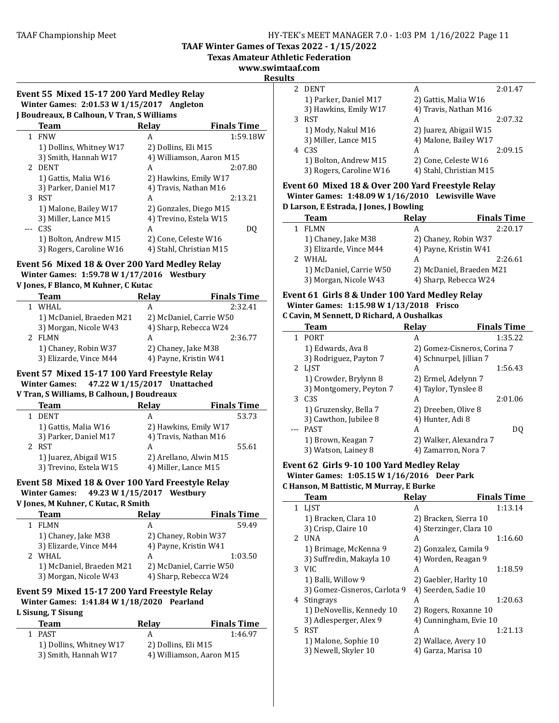**TAAF Winter Games of Texas 2022 - 1/15/2022** 

**Texas Amateur Athletic Federation**

#### **www.swimtaaf.com**

#### **Results**

#### Event 55 Mixed 15-17 200 Yard Medley Relay **Winter Games: 2:01.53 W 1/15/2017 Angleton J Boudreaux, B Calhoun, V Tran, S Williams**

| Douul Caux, D Camoum, Y Tran, 9 Williams |                         |                          |                    |  |
|------------------------------------------|-------------------------|--------------------------|--------------------|--|
|                                          | Team                    | Relay                    | <b>Finals Time</b> |  |
|                                          | <b>FNW</b>              | А                        | 1:59.18W           |  |
|                                          | 1) Dollins, Whitney W17 | 2) Dollins, Eli M15      |                    |  |
|                                          | 3) Smith, Hannah W17    | 4) Williamson, Aaron M15 |                    |  |
|                                          | 2 DENT                  | А                        | 2:07.80            |  |
|                                          | 1) Gattis, Malia W16    | 2) Hawkins, Emily W17    |                    |  |
|                                          | 3) Parker, Daniel M17   | 4) Travis, Nathan M16    |                    |  |
|                                          | 3 RST                   | A                        | 2:13.21            |  |
|                                          | 1) Malone, Bailey W17   | 2) Gonzales, Diego M15   |                    |  |
|                                          | 3) Miller, Lance M15    | 4) Trevino, Estela W15   |                    |  |
|                                          | C <sub>3</sub> S        | А                        | D0                 |  |
|                                          | 1) Bolton, Andrew M15   | 2) Cone, Celeste W16     |                    |  |
|                                          | 3) Rogers, Caroline W16 | 4) Stahl, Christian M15  |                    |  |
|                                          |                         |                          |                    |  |

## **Event 56 Mixed 18 & Over 200 Yard Medley Relay Winter Games: 1:59.78 W 1/17/2016 Westbury**

## **V Jones, F Blanco, M Kuhner, C Kutac**

| <b>Team</b> |                          | Relay |                         | <b>Finals Time</b> |
|-------------|--------------------------|-------|-------------------------|--------------------|
| WHAL        |                          |       |                         | 2:32.41            |
|             | 1) McDaniel, Braeden M21 |       | 2) McDaniel, Carrie W50 |                    |
|             | 3) Morgan, Nicole W43    |       | 4) Sharp, Rebecca W24   |                    |
| 2 FLMN      |                          | А     |                         | 2:36.77            |
|             | 1) Chaney, Robin W37     |       | 2) Chaney, Jake M38     |                    |
|             | 3) Elizarde, Vince M44   |       | 4) Payne, Kristin W41   |                    |

# Event 57 Mixed 15-17 100 Yard Freestyle Relay

#### **Winter Games: 47.22 W 1/15/2017 Unattached V Tran, S Williams, B Calhoun, J Boudreaux**

| <b>Team</b>            | Relay                  | <b>Finals Time</b> |  |
|------------------------|------------------------|--------------------|--|
| <b>DENT</b>            |                        | 53.73              |  |
| 1) Gattis, Malia W16   | 2) Hawkins, Emily W17  |                    |  |
| 3) Parker, Daniel M17  | 4) Travis, Nathan M16  |                    |  |
| <b>RST</b>             | А                      | 55.61              |  |
| 1) Juarez, Abigail W15 | 2) Arellano, Alwin M15 |                    |  |
| 3) Trevino, Estela W15 | 4) Miller, Lance M15   |                    |  |
|                        |                        |                    |  |

#### Event 58 Mixed 18 & Over 100 Yard Freestyle Relay **Winter Games: 49.23 W 1/15/2017 Westbury V** Jones, M Kuhner, C Kutac, R Smith

## **Team Relay Finals** Time 1 FLMN A 59.49 1) Chaney, Jake M38 2) Chaney, Robin W37 3) Elizarde, Vince M44 4) Payne, Kristin W41 2 WHAL A 1:03.50 1) McDaniel, Braeden M21 2) McDaniel, Carrie W50 3) Morgan, Nicole W43 4) Sharp, Rebecca W24

# Event 59 Mixed 15-17 200 Yard Freestyle Relay **Winter Games: 1:41.84 W 1/18/2020 Pearland**

# **L Sisung, T Sisung**

| <b>Team</b>             | <b>Relav</b>             | <b>Finals Time</b> |
|-------------------------|--------------------------|--------------------|
| 1 PAST                  |                          | 1:46.97            |
| 1) Dollins, Whitney W17 | 2) Dollins, Eli M15      |                    |
| 3) Smith, Hannah W17    | 4) Williamson, Aaron M15 |                    |

| <b>DENT</b>             | А                       | 2:01.47 |
|-------------------------|-------------------------|---------|
| 1) Parker, Daniel M17   | 2) Gattis, Malia W16    |         |
| 3) Hawkins, Emily W17   | 4) Travis, Nathan M16   |         |
| <b>RST</b>              | А                       | 2:07.32 |
| 1) Mody, Nakul M16      | 2) Juarez, Abigail W15  |         |
| 3) Miller, Lance M15    | 4) Malone, Bailey W17   |         |
| C <sub>3</sub> S        | А                       | 2:09.15 |
| 1) Bolton, Andrew M15   | 2) Cone, Celeste W16    |         |
| 3) Rogers, Caroline W16 | 4) Stahl, Christian M15 |         |
|                         |                         |         |

## Event 60 Mixed 18 & Over 200 Yard Freestyle Relay **Winter Games: 1:48.09 W 1/16/2010** Lewisville Wave **D** Larson, E Estrada, J Jones, J Bowling

| Team                    | <b>Relay</b>             | <b>Finals Time</b> |
|-------------------------|--------------------------|--------------------|
| <b>FLMN</b>             | А                        | 2:20.17            |
| 1) Chaney, Jake M38     | 2) Chaney, Robin W37     |                    |
| 3) Elizarde, Vince M44  | 4) Payne, Kristin W41    |                    |
| WHAI.                   |                          | 2:26.61            |
| 1) McDaniel, Carrie W50 | 2) McDaniel, Braeden M21 |                    |
| 3) Morgan, Nicole W43   | 4) Sharp, Rebecca W24    |                    |

# Event 61 Girls 8 & Under 100 Yard Medley Relay **Winter Games: 1:15.98 W 1/13/2018 Frisco**

# **C Cavin, M Sennett, D Richard, A Oushalkas**

|   | Team                    | Relav                       | <b>Finals Time</b> |
|---|-------------------------|-----------------------------|--------------------|
| 1 | <b>PORT</b>             | А                           | 1:35.22            |
|   | 1) Edwards, Ava 8       | 2) Gomez-Cisneros, Corina 7 |                    |
|   | 3) Rodriguez, Payton 7  | 4) Schnurpel, Jillian 7     |                    |
|   | 2 LIST                  | А                           | 1:56.43            |
|   | 1) Crowder, Brylynn 8   | 2) Ermel, Adelynn 7         |                    |
|   | 3) Montgomery, Peyton 7 | 4) Taylor, Tynslee 8        |                    |
|   | 3 C <sub>3</sub> S      | А                           | 2:01.06            |
|   | 1) Gruzensky, Bella 7   | 2) Dreeben, Olive 8         |                    |
|   | 3) Cawthon, Jubilee 8   | 4) Hunter, Adi 8            |                    |
|   | <b>PAST</b>             | А                           | D0                 |
|   | 1) Brown, Keagan 7      | 2) Walker, Alexandra 7      |                    |
|   | 3) Watson, Lainey 8     | 4) Zamarron, Nora 7         |                    |

## Event 62 Girls 9-10 100 Yard Medley Relay **Winter Games: 1:05.15 W 1/16/2016 Deer Park C Hanson, M Battistic, M Murray, E Burke**

|    | Team                         | <b>Relav</b>            | <b>Finals Time</b> |
|----|------------------------------|-------------------------|--------------------|
| 1  | LIST                         | А                       | 1:13.14            |
|    | 1) Bracken, Clara 10         | 2) Bracken, Sierra 10   |                    |
|    | 3) Crisp, Claire 10          | 4) Sterzinger, Clara 10 |                    |
| 2  | <b>UNA</b>                   | A                       | 1:16.60            |
|    | 1) Brimage, McKenna 9        | 2) Gonzalez, Camila 9   |                    |
|    | 3) Suffredin, Makayla 10     | 4) Worden, Reagan 9     |                    |
| 3  | -VIC                         | A                       | 1:18.59            |
|    | 1) Balli, Willow 9           | 2) Gaebler, Harlty 10   |                    |
|    | 3) Gomez-Cisneros, Carlota 9 | 4) Seerden, Sadie 10    |                    |
| 4  | Stingrays                    | А                       | 1:20.63            |
|    | 1) DeNovellis, Kennedy 10    | 2) Rogers, Roxanne 10   |                    |
|    | 3) Adlesperger, Alex 9       | 4) Cunningham, Evie 10  |                    |
| 5. | <b>RST</b>                   | A                       | 1:21.13            |
|    | 1) Malone, Sophie 10         | 2) Wallace, Avery 10    |                    |
|    | 3) Newell, Skyler 10         | 4) Garza, Marisa 10     |                    |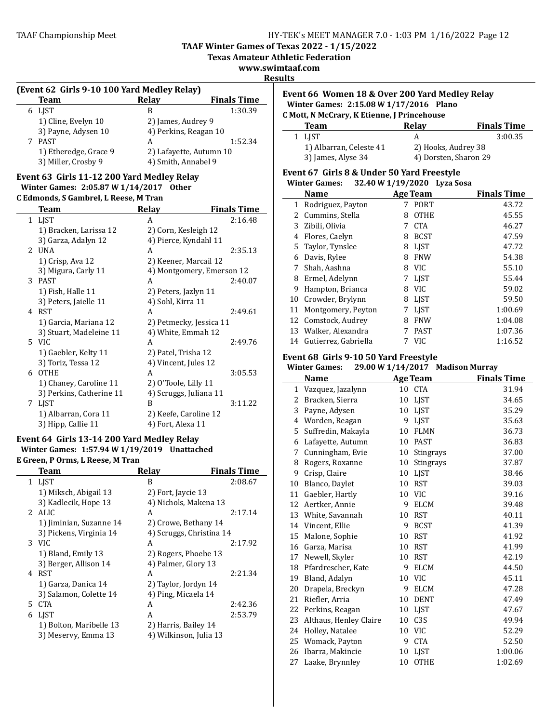**TAAF Winter Games of Texas 2022 - 1/15/2022**

**Texas Amateur Athletic Federation**

**www.swimtaaf.com**

#### **Results**

#### **(Event 62 Girls 9-10 100 Yard Medley Relay)**

| <b>Team</b>           | Relay               | <b>Finals Time</b>      |  |  |
|-----------------------|---------------------|-------------------------|--|--|
| 6 LIST                | В                   | 1:30.39                 |  |  |
| 1) Cline, Evelyn 10   | 2) James, Audrey 9  |                         |  |  |
| 3) Payne, Adysen 10   |                     | 4) Perkins, Reagan 10   |  |  |
| 7 PAST                | A                   | 1:52.34                 |  |  |
| 1) Etheredge, Grace 9 |                     | 2) Lafayette, Autumn 10 |  |  |
| 3) Miller, Crosby 9   | 4) Smith, Annabel 9 |                         |  |  |

#### Event 63 Girls 11-12 200 Yard Medley Relay **Winter Games: 2:05.87 W 1/14/2017 Other C Edmonds, S Gambrel, L Reese, M Tran**

|               | $\frac{1}{2}$<br><b>Team</b> | Relay                     | <b>Finals Time</b> |
|---------------|------------------------------|---------------------------|--------------------|
|               | 1 LJST                       | A                         | 2:16.48            |
|               | 1) Bracken, Larissa 12       | 2) Corn, Kesleigh 12      |                    |
|               | 3) Garza, Adalyn 12          | 4) Pierce, Kyndahl 11     |                    |
| $\mathcal{L}$ | <b>UNA</b>                   | A                         | 2:35.13            |
|               | 1) Crisp, Ava 12             | 2) Keener, Marcail 12     |                    |
|               | 3) Migura, Carly 11          | 4) Montgomery, Emerson 12 |                    |
| 3             | PAST                         | A                         | 2:40.07            |
|               | 1) Fish, Halle 11            | 2) Peters, Jazlyn 11      |                    |
|               | 3) Peters, Jaielle 11        | 4) Sohl, Kirra 11         |                    |
| 4             | RST                          | A                         | 2:49.61            |
|               | 1) Garcia, Mariana 12        | 2) Petmecky, Jessica 11   |                    |
|               | 3) Stuart, Madeleine 11      | 4) White, Emmah 12        |                    |
|               | 5 VIC                        | A                         | 2:49.76            |
|               | 1) Gaebler, Kelty 11         | 2) Patel, Trisha 12       |                    |
|               | 3) Toriz, Tessa 12           | 4) Vincent, Jules 12      |                    |
| 6             | <b>OTHE</b>                  | A                         | 3:05.53            |
|               | 1) Chaney, Caroline 11       | 2) O'Toole, Lilly 11      |                    |
|               | 3) Perkins, Catherine 11     | 4) Scruggs, Juliana 11    |                    |
| 7             | LJST                         | R                         | 3:11.22            |
|               | 1) Albarran, Cora 11         | 2) Keefe, Caroline 12     |                    |
|               | 3) Hipp, Callie 11           | 4) Fort, Alexa 11         |                    |

# Event 64 Girls 13-14 200 Yard Medley Relay **Winter Games: 1:57.94 W 1/19/2019 Unattached**

**E Green, P Orms, L Reese, M Tran**

| Team                    | <b>Relav</b>             | <b>Finals Time</b> |
|-------------------------|--------------------------|--------------------|
| 1 LIST                  | B                        | 2:08.67            |
| 1) Miksch, Abigail 13   | 2) Fort, Jaycie 13       |                    |
| 3) Kadlecik, Hope 13    | 4) Nichols, Makena 13    |                    |
| $2$ ALIC                | A                        | 2:17.14            |
| 1) Jiminian, Suzanne 14 | 2) Crowe, Bethany 14     |                    |
| 3) Pickens, Virginia 14 | 4) Scruggs, Christina 14 |                    |
| 3 VIC                   | A                        | 2:17.92            |
| 1) Bland, Emily 13      | 2) Rogers, Phoebe 13     |                    |
| 3) Berger, Allison 14   | 4) Palmer, Glory 13      |                    |
| 4 RST                   | A                        | 2:21.34            |
| 1) Garza, Danica 14     | 2) Taylor, Jordyn 14     |                    |
| 3) Salamon, Colette 14  | 4) Ping, Micaela 14      |                    |
| 5 CTA                   | A                        | 2:42.36            |
| 6 LIST                  | A                        | 2:53.79            |
| 1) Bolton, Maribelle 13 | 2) Harris, Bailey 14     |                    |
| 3) Meservy, Emma 13     | 4) Wilkinson, Julia 13   |                    |
|                         |                          |                    |

### **Event 66 Women 18 & Over 200 Yard Medley Relay Winter Games: 2:15.08 W 1/17/2016 Plano C Mott, N McCrary, K Etienne, J Princehouse**

| Team                    | Relav               | <b>Finals Time</b>    |
|-------------------------|---------------------|-----------------------|
| 1 LIST                  |                     | 3:00.35               |
| 1) Albarran, Celeste 41 | 2) Hooks, Audrey 38 |                       |
| 3) James, Alyse 34      |                     | 4) Dorsten, Sharon 29 |

#### Event 67 Girls 8 & Under 50 Yard Freestyle **Winter Games: 32.40 W 1/19/2020 Lyza Sosa**

| $5 - 10$ $10 - 27 - 5 - 5$ $-5$ |                                |   |             |                    |  |
|---------------------------------|--------------------------------|---|-------------|--------------------|--|
|                                 | <b>Name</b><br><b>Age Team</b> |   |             | <b>Finals Time</b> |  |
| 1                               | Rodriguez, Payton              |   | <b>PORT</b> | 43.72              |  |
| 2                               | Cummins, Stella                | 8 | <b>OTHE</b> | 45.55              |  |
|                                 | 3 Zibili, Olivia               |   | <b>CTA</b>  | 46.27              |  |
| 4                               | Flores, Caelyn                 | 8 | <b>BCST</b> | 47.59              |  |
|                                 | 5 Taylor, Tynslee              | 8 | <b>LIST</b> | 47.72              |  |
| 6                               | Davis, Rylee                   | 8 | <b>FNW</b>  | 54.38              |  |
| 7                               | Shah, Aashna                   | 8 | <b>VIC</b>  | 55.10              |  |
| 8                               | Ermel, Adelynn                 |   | <b>LIST</b> | 55.44              |  |
| 9                               | Hampton, Brianca               | 8 | <b>VIC</b>  | 59.02              |  |
| 10                              | Crowder, Brylynn               | 8 | <b>LIST</b> | 59.50              |  |
| 11                              | Montgomery, Peyton             |   | <b>LIST</b> | 1:00.69            |  |
|                                 | 12 Comstock, Audrey            | 8 | <b>FNW</b>  | 1:04.08            |  |
|                                 | 13 Walker, Alexandra           |   | <b>PAST</b> | 1:07.36            |  |
| 14                              | Gutierrez, Gabriella           |   | <b>VIC</b>  | 1:16.52            |  |

### Event 68 Girls 9-10 50 Yard Freestyle

|    | <b>Winter Games:</b>   |    | 29.00 W 1/14/2017 Madison Murray |                    |
|----|------------------------|----|----------------------------------|--------------------|
|    | <b>Name</b>            |    | <b>Age Team</b>                  | <b>Finals Time</b> |
| 1  | Vazquez, Jazalynn      | 10 | <b>CTA</b>                       | 31.94              |
| 2  | Bracken, Sierra        | 10 | LJST                             | 34.65              |
| 3  | Payne, Adysen          | 10 | LJST                             | 35.29              |
| 4  | Worden, Reagan         | 9  | LJST                             | 35.63              |
| 5  | Suffredin, Makayla     | 10 | <b>FLMN</b>                      | 36.73              |
| 6  | Lafayette, Autumn      | 10 | <b>PAST</b>                      | 36.83              |
| 7  | Cunningham, Evie       | 10 | Stingrays                        | 37.00              |
| 8  | Rogers, Roxanne        | 10 | <b>Stingrays</b>                 | 37.87              |
| 9  | Crisp, Claire          | 10 | LJST                             | 38.46              |
| 10 | Blanco, Daylet         | 10 | <b>RST</b>                       | 39.03              |
| 11 | Gaebler, Hartly        | 10 | <b>VIC</b>                       | 39.16              |
| 12 | Aertker, Annie         | 9  | <b>ELCM</b>                      | 39.48              |
| 13 | White, Savannah        | 10 | <b>RST</b>                       | 40.11              |
| 14 | Vincent, Ellie         | 9  | <b>BCST</b>                      | 41.39              |
| 15 | Malone, Sophie         | 10 | <b>RST</b>                       | 41.92              |
| 16 | Garza, Marisa          | 10 | <b>RST</b>                       | 41.99              |
| 17 | Newell, Skyler         | 10 | <b>RST</b>                       | 42.19              |
| 18 | Pfardrescher, Kate     | 9  | <b>ELCM</b>                      | 44.50              |
| 19 | Bland, Adalyn          | 10 | <b>VIC</b>                       | 45.11              |
| 20 | Drapela, Breckyn       | 9  | <b>ELCM</b>                      | 47.28              |
| 21 | Riefler, Arria         | 10 | <b>DENT</b>                      | 47.49              |
| 22 | Perkins, Reagan        | 10 | LIST                             | 47.67              |
| 23 | Althaus, Henley Claire | 10 | C <sub>3</sub> S                 | 49.94              |
| 24 | Holley, Natalee        | 10 | <b>VIC</b>                       | 52.29              |
| 25 | Womack, Payton         | 9  | <b>CTA</b>                       | 52.50              |
| 26 | Ibarra, Makincie       | 10 | LJST                             | 1:00.06            |
| 27 | Laake, Brynnley        | 10 | <b>OTHE</b>                      | 1:02.69            |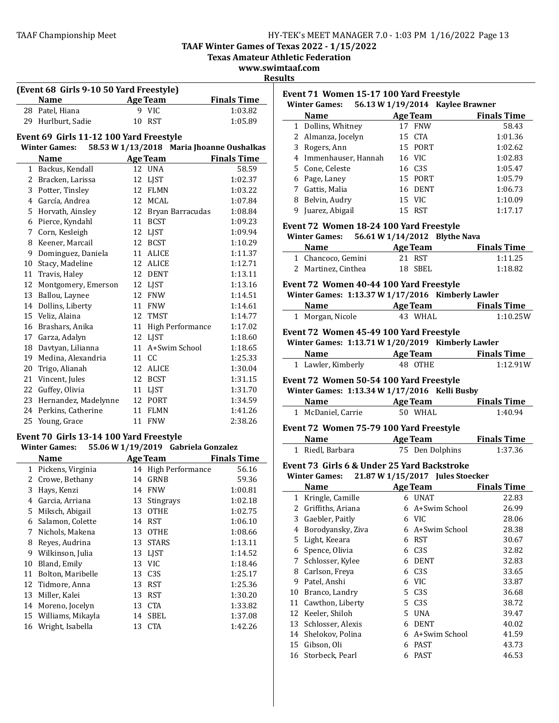**TAAF Winter Games of Texas 2022 - 1/15/2022**

**Texas Amateur Athletic Federation** 

**www.swimtaaf.com**

# **Results**

| (Event 68 Girls 9-10 50 Yard Freestyle) |                                                                 |    |                                           |                    |  |
|-----------------------------------------|-----------------------------------------------------------------|----|-------------------------------------------|--------------------|--|
|                                         | Name                                                            |    | <b>Age Team</b>                           | <b>Finals Time</b> |  |
|                                         | 28 Patel. Hiana                                                 |    | 9 VIC                                     | 1:03.82            |  |
|                                         | 29 Hurlburt, Sadie                                              | 10 | RST                                       | 1:05.89            |  |
|                                         |                                                                 |    |                                           |                    |  |
|                                         | Event 69 Girls 11-12 100 Yard Freestyle<br><b>Winter Games:</b> |    | 58.53 W 1/13/2018 Maria Jhoanne Oushalkas |                    |  |
|                                         | <b>Name</b>                                                     |    | <b>Age Team</b>                           | <b>Finals Time</b> |  |
|                                         | 1 Backus, Kendall                                               |    | 12 UNA                                    | 58.59              |  |
|                                         | 2 Bracken, Larissa                                              |    | 12 LJST                                   | 1:02.37            |  |
|                                         | 3 Potter, Tinsley                                               |    | 12 FLMN                                   | 1:03.22            |  |
|                                         | 4 García, Andrea                                                |    | 12 MCAL                                   | 1:07.84            |  |
|                                         | 5 Horvath, Ainsley                                              |    | 12 Bryan Barracudas                       | 1:08.84            |  |
|                                         |                                                                 |    | 11 BCST                                   | 1:09.23            |  |
|                                         | 6 Pierce, Kyndahl                                               |    |                                           | 1:09.94            |  |
|                                         | 7 Corn, Kesleigh                                                |    | 12 LJST<br>12 BCST                        | 1:10.29            |  |
|                                         | 8 Keener, Marcail                                               |    |                                           |                    |  |
|                                         | 9 Dominguez, Daniela                                            |    | 11 ALICE                                  | 1:11.37            |  |
|                                         | 10 Stacy, Madeline                                              |    | 12 ALICE<br>12 DENT                       | 1:12.71            |  |
|                                         | 11 Travis, Haley                                                |    |                                           | 1:13.11            |  |
|                                         | 12 Montgomery, Emerson                                          |    | 12 LJST<br>12 FNW                         | 1:13.16            |  |
|                                         | 13 Ballou, Laynee                                               |    | <b>11 FNW</b>                             | 1:14.51            |  |
|                                         | 14 Dollins, Liberty                                             |    |                                           | 1:14.61            |  |
|                                         | 15 Veliz, Alaina                                                |    | 12 TMST                                   | 1:14.77            |  |
|                                         | 16 Brashars, Anika                                              |    | 11 High Performance                       | 1:17.02            |  |
|                                         | 17 Garza, Adalyn                                                |    | 12 LJST                                   | 1:18.60            |  |
|                                         | 18 Davtyan, Lilianna                                            |    | 11 A+Swim School                          | 1:18.65            |  |
|                                         | 19 Medina, Alexandria                                           |    | 11 CC                                     | 1:25.33            |  |
|                                         | 20 Trigo, Alianah                                               |    | 12 ALICE                                  | 1:30.04            |  |
|                                         | 21 Vincent, Jules                                               |    | 12 BCST                                   | 1:31.15            |  |
|                                         | 22 Guffey, Olivia                                               |    | 11 LJST                                   | 1:31.70            |  |
|                                         | 23 Hernandez, Madelynne                                         |    | 12 PORT                                   | 1:34.59            |  |
|                                         | 24 Perkins, Catherine                                           |    | 11 FLMN                                   | 1:41.26            |  |
|                                         | 25 Young, Grace                                                 |    | 11 FNW                                    | 2:38.26            |  |
|                                         | Event 70 Girls 13-14 100 Yard Freestyle                         |    |                                           |                    |  |
|                                         | <b>Winter Games:</b>                                            |    | 55.06 W 1/19/2019 Gabriela Gonzalez       |                    |  |
|                                         | <b>Name</b>                                                     |    | Age Team                                  | <b>Finals Time</b> |  |
|                                         | 1 Pickens, Virginia                                             |    | 14 High Performance                       | 56.16              |  |
|                                         | 2 Crowe, Bethany                                                |    | 14 GRNB                                   | 59.36              |  |
|                                         | 3 Hays, Kenzi                                                   |    | <b>14 FNW</b>                             | 1:00.81            |  |
| 4                                       | Garcia, Arriana                                                 | 13 | Stingrays                                 | 1:02.18            |  |
| 5                                       | Miksch, Abigail                                                 | 13 | <b>OTHE</b>                               | 1:02.75            |  |
| 6                                       | Salamon, Colette                                                | 14 | <b>RST</b>                                | 1:06.10            |  |
| 7                                       | Nichols, Makena                                                 | 13 | <b>OTHE</b>                               | 1:08.66            |  |
| 8                                       | Reyes, Audrina                                                  | 13 | <b>STARS</b>                              | 1:13.11            |  |
| 9                                       | Wilkinson, Julia                                                |    | 13 LJST                                   | 1:14.52            |  |
| 10                                      | Bland, Emily                                                    | 13 | VIC                                       | 1:18.46            |  |
| 11                                      | Bolton, Maribelle                                               |    | 13 C3S                                    | 1:25.17            |  |
| 12                                      | Tidmore, Anna                                                   | 13 | <b>RST</b>                                | 1:25.36            |  |
| 13                                      | Miller, Kalei                                                   | 13 | <b>RST</b>                                | 1:30.20            |  |
| 14                                      | Moreno, Jocelyn                                                 | 13 | <b>CTA</b>                                | 1:33.82            |  |
| 15                                      | Williams, Mikayla                                               | 14 | SBEL                                      | 1:37.08            |  |
| 16                                      | Wright, Isabella                                                | 13 | <b>CTA</b>                                | 1:42.26            |  |

|    | Event 71 Women 15-17 100 Yard Freestyle<br>Winter Games: 56.13 W 1/19/2014 Kaylee Brawner |         |                  |                                       |
|----|-------------------------------------------------------------------------------------------|---------|------------------|---------------------------------------|
|    | <b>Name</b><br><b>Example 2</b> Age Team                                                  |         |                  | <b>Finals Time</b>                    |
|    | 1 Dollins, Whitney                                                                        | 17 FNW  |                  | 58.43                                 |
|    | 2 Almanza, Jocelyn                                                                        | 15 CTA  |                  | 1:01.36                               |
|    | 3 Rogers, Ann                                                                             | 15 PORT |                  | 1:02.62                               |
|    | 4 Immenhauser, Hannah                                                                     | 16 VIC  |                  | 1:02.83                               |
|    | 5 Cone, Celeste                                                                           | 16 C3S  |                  | 1:05.47                               |
|    | 6 Page, Laney                                                                             | 15 PORT |                  | 1:05.79                               |
|    | 7 Gattis, Malia                                                                           | 16 DENT |                  | 1:06.73                               |
|    | 8 Belvin, Audry                                                                           | 15 VIC  |                  | 1:10.09                               |
|    | 9 Juarez, Abigail                                                                         | 15 RST  |                  | 1:17.17                               |
|    | Event 72 Women 18-24 100 Yard Freestyle                                                   |         |                  |                                       |
|    | Winter Games: 56.61 W 1/14/2012 Blythe Nava                                               |         |                  |                                       |
|    | Name Age Team                                                                             |         |                  | <b>Finals Time</b>                    |
|    | 1 Chancoco, Gemini                                                                        | 21 RST  |                  | 1:11.25                               |
|    | 2 Martinez, Cinthea                                                                       | 18 SBEL |                  | 1:18.82                               |
|    | Event 72 Women 40-44 100 Yard Freestyle                                                   |         |                  |                                       |
|    | Winter Games: 1:13.37 W 1/17/2016 Kimberly Lawler                                         |         |                  |                                       |
|    | Name Age Team Finals Time                                                                 |         |                  |                                       |
|    | 1 Morgan, Nicole                                                                          | 43 WHAL |                  | 1:10.25W                              |
|    |                                                                                           |         |                  |                                       |
|    | Event 72 Women 45-49 100 Yard Freestyle                                                   |         |                  |                                       |
|    | Winter Games: 1:13.71 W 1/20/2019 Kimberly Lawler                                         |         |                  |                                       |
|    | <b>Name</b>                                                                               |         |                  | <b>Example 2 Age Team</b> Finals Time |
|    | 1 Lawler, Kimberly                                                                        | 48 OTHE |                  | 1:12.91W                              |
|    | Event 72 Women 50-54 100 Yard Freestyle                                                   |         |                  |                                       |
|    | Winter Games: 1:13.34 W 1/17/2016 Kelli Busby                                             |         |                  |                                       |
|    | <b>Name</b><br><b>Example 2 Age Team</b>                                                  |         |                  | <b>Finals Time</b>                    |
|    | 1 McDaniel, Carrie                                                                        |         | 50 WHAL          | 1:40.94                               |
|    |                                                                                           |         |                  |                                       |
|    | Event 72 Women 75-79 100 Yard Freestyle                                                   |         |                  |                                       |
|    | Name Age Team                                                                             |         |                  | <b>Finals Time</b>                    |
|    | 1 Riedl, Barbara                                                                          |         | 75 Den Dolphins  | 1:37.36                               |
|    | Event 73 Girls 6 & Under 25 Yard Backstroke                                               |         |                  |                                       |
|    | Winter Games: 21.87 W 1/15/2017 Jules Stoecker                                            |         |                  |                                       |
|    | Name Age Team Finals Time                                                                 |         |                  |                                       |
|    | 1 Kringle, Camille 6 UNAT                                                                 |         |                  | 22.83                                 |
|    | 2 Griffiths, Ariana                                                                       |         | 6 A+Swim School  | 26.99                                 |
|    | 3 Gaebler, Paitly                                                                         | 6 VIC   |                  | 28.06                                 |
|    | 4 Borodyansky, Ziva                                                                       |         | 6 A+Swim School  | 28.38                                 |
| 5  | Light, Keeara                                                                             | 6 RST   |                  | 30.67                                 |
|    | 6 Spence, Olivia                                                                          | 6       | C <sub>3</sub> S | 32.82                                 |
| 7  | Schlosser, Kylee                                                                          | 6       | <b>DENT</b>      | 32.83                                 |
|    | 8 Carlson, Freya                                                                          | 6 C3S   |                  | 33.65                                 |
| 9  | Patel, Anshi                                                                              | 6 VIC   |                  | 33.87                                 |
| 10 | Branco, Landry                                                                            | 5 C3S   |                  | 36.68                                 |
|    | 11 Cawthon, Liberty                                                                       | 5 C3S   |                  | 38.72                                 |
|    | 12 Keeler, Shiloh                                                                         |         |                  |                                       |
|    |                                                                                           | 5 UNA   |                  | 39.47                                 |
|    | 13 Schlosser, Alexis                                                                      |         | 6 DENT           | 40.02                                 |
|    | 14 Shelokov, Polina                                                                       |         | 6 A+Swim School  | 41.59                                 |
| 15 | Gibson, Oli                                                                               | 6 PAST  |                  | 43.73                                 |
|    | 16 Storbeck, Pearl                                                                        |         | 6 PAST           | 46.53                                 |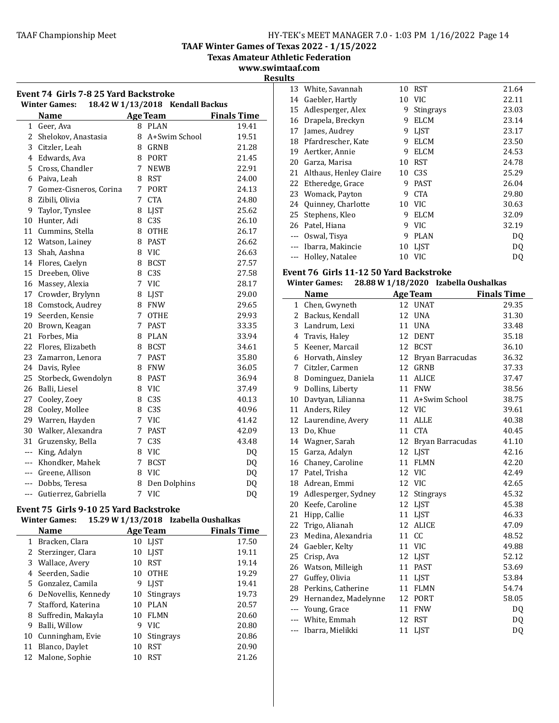**TAAF Winter Games of Texas 2022 - 1/15/2022**

**Texas Amateur Athletic Federation** 

**www.swimtaaf.com Results**

| Event 74  Girls 7-8 25 Yard Backstroke<br><b>Winter Games:</b><br>18.42 W 1/13/2018 Kendall Backus |                        |             |                 |                    |  |
|----------------------------------------------------------------------------------------------------|------------------------|-------------|-----------------|--------------------|--|
|                                                                                                    | <b>Name</b>            |             | <b>Age Team</b> | <b>Finals Time</b> |  |
| 1                                                                                                  | Geer, Ava              |             | 8 PLAN          | 19.41              |  |
| 2                                                                                                  | Shelokov, Anastasia    | 8           | A+Swim School   | 19.51              |  |
| 3                                                                                                  | Citzler, Leah          |             | 8 GRNB          | 21.28              |  |
| $\overline{4}$                                                                                     | Edwards, Ava           |             | 8 PORT          | 21.45              |  |
| 5                                                                                                  | Cross, Chandler        |             | 7 NEWB          | 22.91              |  |
| 6                                                                                                  | Paiva, Leah            |             | 8 RST           | 24.00              |  |
| 7                                                                                                  | Gomez-Cisneros, Corina |             | 7 PORT          | 24.13              |  |
| 8                                                                                                  | Zibili, Olivia         | $7^{\circ}$ | <b>CTA</b>      | 24.80              |  |
| 9                                                                                                  | Taylor, Tynslee        |             | 8 LJST          | 25.62              |  |
| 10                                                                                                 | Hunter, Adi            |             | 8 C3S           | 26.10              |  |
| 11                                                                                                 | Cummins, Stella        | 8           | <b>OTHE</b>     | 26.17              |  |
| 12                                                                                                 | Watson, Lainey         |             | 8 PAST          | 26.62              |  |
| 13                                                                                                 | Shah, Aashna           |             | 8 VIC           | 26.63              |  |
| 14                                                                                                 | Flores, Caelyn         |             | 8 BCST          | 27.57              |  |
| 15                                                                                                 | Dreeben, Olive         |             | 8 C3S           | 27.58              |  |
| 16                                                                                                 | Massey, Alexia         |             | 7 VIC           | 28.17              |  |
| 17                                                                                                 | Crowder, Brylynn       |             | 8 LJST          | 29.00              |  |
| 18                                                                                                 | Comstock, Audrey       |             | 8 FNW           | 29.65              |  |
| 19                                                                                                 | Seerden, Kensie        | $7^{\circ}$ | <b>OTHE</b>     | 29.93              |  |
| 20                                                                                                 | Brown, Keagan          | 7           | <b>PAST</b>     | 33.35              |  |
| 21                                                                                                 | Forbes, Mia            |             | 8 PLAN          | 33.94              |  |
| 22                                                                                                 | Flores, Elizabeth      |             | 8 BCST          | 34.61              |  |
| 23                                                                                                 | Zamarron, Lenora       | $7^{\circ}$ | <b>PAST</b>     | 35.80              |  |
| 24                                                                                                 | Davis, Rylee           |             | 8 FNW           | 36.05              |  |
| 25                                                                                                 | Storbeck, Gwendolyn    |             | 8 PAST          | 36.94              |  |
| 26                                                                                                 | Balli, Liesel          |             | 8 VIC           | 37.49              |  |
| 27                                                                                                 | Cooley, Zoey           |             | 8 C3S           | 40.13              |  |
| 28                                                                                                 | Cooley, Mollee         |             | 8 C3S           | 40.96              |  |
| 29                                                                                                 | Warren, Hayden         |             | 7 VIC           | 41.42              |  |
| 30                                                                                                 | Walker, Alexandra      | $7^{\circ}$ | <b>PAST</b>     | 42.09              |  |
| 31                                                                                                 | Gruzensky, Bella       | 7           | C <sub>3S</sub> | 43.48              |  |
| ---                                                                                                | King, Adalyn           |             | 8 VIC           | DQ                 |  |
| ---                                                                                                | Khondker, Mahek        | $7^{\circ}$ | <b>BCST</b>     | DQ                 |  |
| ---                                                                                                | Greene, Allison        |             | 8 VIC           | DQ                 |  |
| ---                                                                                                | Dobbs, Teresa          | 8           | Den Dolphins    | DQ                 |  |
| $---$                                                                                              | Gutierrez, Gabriella   | 7           | <b>VIC</b>      | DQ                 |  |

# Event 75 Girls 9-10 25 Yard Backstroke

# **Winter Games:** 15.29 **W**  $1/13/2018$  **Izabella Oushalkas**

|    | Name                |    | <b>Age Team</b> | <b>Finals Time</b> |
|----|---------------------|----|-----------------|--------------------|
| 1  | Bracken, Clara      |    | 10 LJST         | 17.50              |
|    | 2 Sterzinger, Clara | 10 | LIST            | 19.11              |
|    | 3 Wallace, Avery    | 10 | <b>RST</b>      | 19.14              |
|    | 4 Seerden, Sadie    | 10 | <b>OTHE</b>     | 19.29              |
|    | 5 Gonzalez, Camila  | 9  | <b>LIST</b>     | 19.41              |
| 6  | DeNovellis, Kennedy | 10 | Stingrays       | 19.73              |
|    | Stafford, Katerina  | 10 | <b>PLAN</b>     | 20.57              |
| 8  | Suffredin, Makayla  | 10 | <b>FLMN</b>     | 20.60              |
| 9  | Balli, Willow       | 9  | VIC.            | 20.80              |
| 10 | Cunningham, Evie    | 10 | Stingrays       | 20.86              |
| 11 | Blanco, Daylet      | 10 | <b>RST</b>      | 20.90              |
|    | 12 Malone, Sophie   | 10 | <b>RST</b>      | 21.26              |
|    |                     |    |                 |                    |

| 163 |                        |    |                  |       |
|-----|------------------------|----|------------------|-------|
|     | 13 White, Savannah     | 10 | RST              | 21.64 |
| 14  | Gaebler, Hartly        | 10 | <b>VIC</b>       | 22.11 |
| 15  | Adlesperger, Alex      | 9  | Stingrays        | 23.03 |
| 16  | Drapela, Breckyn       | 9  | <b>ELCM</b>      | 23.14 |
| 17  | James, Audrey          | 9  | <b>LIST</b>      | 23.17 |
| 18  | Pfardrescher, Kate     | 9  | <b>ELCM</b>      | 23.50 |
| 19  | Aertker, Annie         | 9  | <b>ELCM</b>      | 24.53 |
| 20  | Garza, Marisa          | 10 | RST              | 24.78 |
| 21  | Althaus, Henley Claire | 10 | C <sub>3</sub> S | 25.29 |
|     | 22 Etheredge, Grace    | 9  | <b>PAST</b>      | 26.04 |
| 23  | Womack, Payton         | 9  | <b>CTA</b>       | 29.80 |
|     | 24 Quinney, Charlotte  | 10 | <b>VIC</b>       | 30.63 |
| 25  | Stephens, Kleo         | 9  | <b>ELCM</b>      | 32.09 |
| 26  | Patel, Hiana           | 9  | <b>VIC</b>       | 32.19 |
|     | Oswal, Tisya           | 9  | PLAN             | DQ    |
|     | Ibarra, Makincie       | 10 | <b>LIST</b>      | DQ    |
| --- | Holley, Natalee        | 10 | <b>VIC</b>       | DQ    |

# **Event 76 Girls 11-12 50 Yard Backstroke**

|                | <b>Winter Games:</b> | 28.88 W 1/18/2020 |    |                 | Izabella Oushalkas  |                    |
|----------------|----------------------|-------------------|----|-----------------|---------------------|--------------------|
|                | <b>Name</b>          |                   |    | <b>Age Team</b> |                     | <b>Finals Time</b> |
| 1              | Chen, Gwyneth        |                   | 12 | <b>UNAT</b>     |                     | 29.35              |
| $\overline{2}$ | Backus, Kendall      |                   | 12 | <b>UNA</b>      |                     | 31.30              |
| 3              | Landrum, Lexi        |                   | 11 | <b>UNA</b>      |                     | 33.48              |
|                | 4 Travis, Haley      |                   | 12 | DENT            |                     | 35.18              |
|                | 5 Keener, Marcail    |                   |    | 12 BCST         |                     | 36.10              |
|                | 6 Horvath, Ainsley   |                   | 12 |                 | Bryan Barracudas    | 36.32              |
| 7              | Citzler, Carmen      |                   | 12 | <b>GRNB</b>     |                     | 37.33              |
| 8              | Dominguez, Daniela   |                   | 11 | <b>ALICE</b>    |                     | 37.47              |
| 9              | Dollins, Liberty     |                   |    | 11 FNW          |                     | 38.56              |
| 10             | Davtyan, Lilianna    |                   |    |                 | 11 A+Swim School    | 38.75              |
|                | 11 Anders, Riley     |                   |    | 12 VIC          |                     | 39.61              |
| 12             | Laurendine, Avery    |                   | 11 | <b>ALLE</b>     |                     | 40.38              |
| 13             | Do, Khue             |                   | 11 | <b>CTA</b>      |                     | 40.45              |
|                | 14 Wagner, Sarah     |                   |    |                 | 12 Bryan Barracudas | 41.10              |
|                | 15 Garza, Adalyn     |                   |    | 12 LJST         |                     | 42.16              |
|                | 16 Chaney, Caroline  |                   |    | 11 FLMN         |                     | 42.20              |
|                | 17 Patel, Trisha     |                   |    | 12 VIC          |                     | 42.49              |
|                | 18 Adrean, Emmi      |                   | 12 | VIC             |                     | 42.65              |
| 19             | Adlesperger, Sydney  |                   | 12 | Stingrays       |                     | 45.32              |
|                | 20 Keefe, Caroline   |                   |    | 12 LJST         |                     | 45.38              |
| 21             | Hipp, Callie         |                   |    | 11 LJST         |                     | 46.33              |
|                | 22 Trigo, Alianah    |                   | 12 | <b>ALICE</b>    |                     | 47.09              |
| 23             | Medina, Alexandria   |                   | 11 | cc              |                     | 48.52              |
|                | 24 Gaebler, Kelty    |                   |    | 11 VIC          |                     | 49.88              |
|                | 25 Crisp, Ava        |                   |    | 12 LJST         |                     | 52.12              |
|                | 26 Watson, Milleigh  |                   |    | 11 PAST         |                     | 53.69              |
| 27             | Guffey, Olivia       |                   |    | 11 LJST         |                     | 53.84              |
| 28             | Perkins, Catherine   |                   |    | 11 FLMN         |                     | 54.74              |
| 29             | Hernandez, Madelynne |                   | 12 | PORT            |                     | 58.05              |
| ---            | Young, Grace         |                   | 11 | <b>FNW</b>      |                     | DQ                 |
| ---            | White, Emmah         |                   | 12 | RST             |                     | DQ                 |
| ---            | Ibarra, Mielikki     |                   |    | 11 LJST         |                     | DQ                 |
|                |                      |                   |    |                 |                     |                    |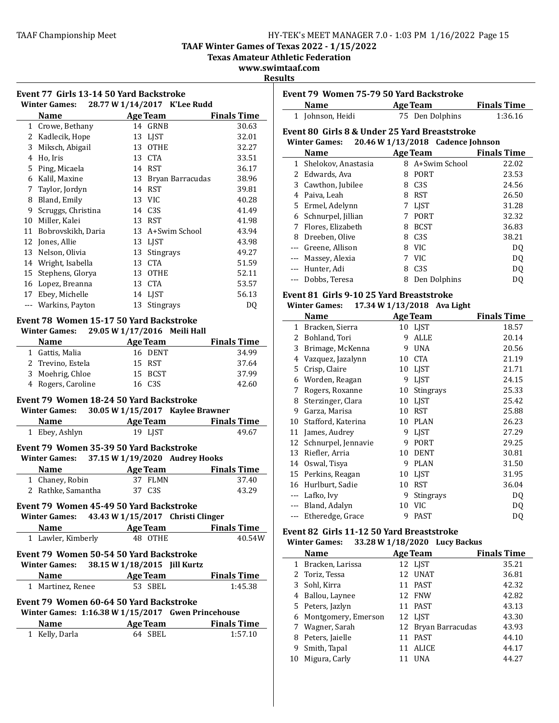**TAAF Winter Games of Texas 2022 - 1/15/2022**

**Texas Amateur Athletic Federation** 

**www.swimtaaf.com**

**Results**

|   | Winter Games: 28.77 W 1/14/2017 K'Lee Rudd                                                    | Event 77 Girls 13-14 50 Yard Backstroke |                                                         |
|---|-----------------------------------------------------------------------------------------------|-----------------------------------------|---------------------------------------------------------|
|   | Name                                                                                          |                                         | <b>Age Team</b> Finals Time                             |
|   | 1 Crowe, Bethany                                                                              | 14 GRNB                                 | 30.63                                                   |
|   | 2 Kadlecik, Hope                                                                              | 13 LJST                                 | 32.01                                                   |
| 3 | Miksch, Abigail                                                                               | 13 OTHE                                 | 32.27                                                   |
|   | 4 Ho, Iris                                                                                    | 13 CTA                                  | 33.51                                                   |
|   | 5 Ping, Micaela                                                                               | 14 RST                                  | 36.17                                                   |
|   | 6 Kalil, Maxine                                                                               |                                         | 13 Bryan Barracudas<br>38.96                            |
|   | 7 Taylor, Jordyn                                                                              | 14 RST                                  | 39.81                                                   |
|   | 8 Bland, Emily                                                                                | 13 VIC                                  | 40.28                                                   |
|   | 9 Scruggs, Christina                                                                          | 14 C3S                                  | 41.49                                                   |
|   | 10 Miller, Kalei                                                                              | 13 RST                                  | 41.98                                                   |
|   | 11 Bobrovskikh, Daria                                                                         | 13 A+Swim School                        | 43.94                                                   |
|   | 12 Jones, Allie                                                                               | 13 LJST                                 | 43.98                                                   |
|   | 13 Nelson, Olivia                                                                             | 13 Stingrays                            | 49.27                                                   |
|   | 14 Wright, Isabella                                                                           | 13 CTA                                  | 51.59                                                   |
|   | 15 Stephens, Glorya                                                                           | 13 OTHE                                 | 52.11                                                   |
|   | 16 Lopez, Breanna                                                                             | 13 CTA                                  | 53.57                                                   |
|   | 17 Ebey, Michelle                                                                             | 14 LJST                                 | 56.13                                                   |
|   | --- Warkins, Payton                                                                           | 13 Stingrays                            | DQ                                                      |
|   | 1 Gattis, Malia                                                                               | Age Team<br>16 DENT                     | <b>Finals Time</b>                                      |
|   |                                                                                               |                                         |                                                         |
|   | 2 Trevino, Estela                                                                             | 15 RST                                  | 34.99<br>37.64                                          |
|   | 3 Moehrig, Chloe                                                                              | 15 BCST                                 | 37.99                                                   |
|   | 4 Rogers, Caroline                                                                            | 16 C3S                                  | 42.60                                                   |
|   | Event 79 Women 18-24 50 Yard Backstroke<br><b>Winter Games:</b>                               |                                         | 30.05 W 1/15/2017 Kaylee Brawner                        |
|   | <b>Name</b>                                                                                   |                                         |                                                         |
|   | 1 Ebey, Ashlyn                                                                                | <b>Example 2</b> Age Team<br>19 LJST    | <b>Finals Time</b><br>49.67                             |
|   | Event 79 Women 35-39 50 Yard Backstroke<br><b>Winter Games:</b>                               |                                         | 37.15 W 1/19/2020 Audrey Hooks                          |
|   | <b>Name</b>                                                                                   | <b>Age Team</b><br>37 FLMN              | <b>Finals Time</b>                                      |
|   | 1 Chaney, Robin<br>2 Rathke, Samantha                                                         | 37 C3S                                  | 37.40<br>43.29                                          |
|   | Event 79 Women 45-49 50 Yard Backstroke<br><b>Winter Games:</b><br>Name                       | <b>Age Team</b>                         | 43.43 W 1/15/2017 Christi Clinger<br><b>Finals Time</b> |
|   | 1 Lawler, Kimberly                                                                            | 48 OTHE                                 |                                                         |
|   | Event 79 Women 50-54 50 Yard Backstroke<br>Winter Games: 38.15 W 1/18/2015 Jill Kurtz         |                                         |                                                         |
|   | <b>Name</b>                                                                                   | Age Team                                | 40.54W<br><b>Finals Time</b>                            |
|   | 1 Martinez, Renee                                                                             | 53 SBEL                                 | 1:45.38                                                 |
|   | Event 79 Women 60-64 50 Yard Backstroke<br>Winter Games: 1:16.38 W 1/15/2017 Gwen Princehouse |                                         |                                                         |
|   | <b>Name</b>                                                                                   | <b>Age Team</b>                         | <b>Finals Time</b>                                      |

|              | Name                                          |                 | <b>Age Team</b>                   | <b>Finals Time</b> |
|--------------|-----------------------------------------------|-----------------|-----------------------------------|--------------------|
|              | 1 Johnson, Heidi                              |                 | 75 Den Dolphins                   | 1:36.16            |
|              | Event 80 Girls 8 & Under 25 Yard Breaststroke |                 |                                   |                    |
|              | <b>Winter Games:</b>                          |                 | 20.46 W 1/13/2018 Cadence Johnson |                    |
|              | <b>Name</b>                                   |                 | <b>Age Team</b>                   | <b>Finals Time</b> |
| $\mathbf{1}$ | Shelokov, Anastasia                           |                 | 8 A+Swim School                   | 22.02              |
|              | 2 Edwards, Ava                                | 8               | <b>PORT</b>                       | 23.53              |
|              | 3 Cawthon, Jubilee                            | 8               | C <sub>3S</sub>                   | 24.56              |
|              | 4 Paiva. Leah                                 |                 | 8 RST                             | 26.50              |
|              | 5 Ermel, Adelynn                              |                 | 7 LJST                            | 31.28              |
|              | 6 Schnurpel, Jillian                          |                 | 7 PORT                            | 32.32              |
|              | 7 Flores, Elizabeth                           |                 | 8 BCST                            | 36.83              |
| 8            | Dreeben, Olive                                |                 | 8 C3S                             | 38.21              |
| ---          | Greene, Allison                               | 8               | VIC                               | DQ                 |
|              | --- Massey, Alexia                            | 7               | <b>VIC</b>                        | DQ                 |
|              | --- Hunter, Adi                               | 8.              | C <sub>3S</sub>                   | DQ                 |
|              | --- Dobbs, Teresa                             | 8               | Den Dolphins                      | DQ                 |
|              | Event 81 Girls 9-10 25 Yard Breaststroke      |                 |                                   |                    |
|              | <b>Winter Games:</b>                          |                 | 17.34 W 1/13/2018 Ava Light       |                    |
|              | <b>Name</b>                                   |                 | <b>Age Team</b>                   | <b>Finals Time</b> |
|              | 1 Bracken, Sierra                             | 10 <sup>1</sup> | LJST                              | 18.57              |
|              | 2 Bohland, Tori                               | 9               | <b>ALLE</b>                       | 20.14              |
|              | 3 Brimage, McKenna                            |                 | 9 UNA                             | 20.56              |
|              | 4 Vazquez, Jazalynn                           |                 | 10 CTA                            | 21.19              |
|              | 5 Crisp, Claire                               | 10              | LJST                              | 21.71              |
|              | 6 Worden, Reagan                              | 9               | LJST                              | 24.15              |
| 7            | Rogers, Roxanne                               | 10              | Stingrays                         | 25.33              |
|              | 8 Sterzinger, Clara                           | 10              | LJST                              | 25.42              |
|              | 9 Garza, Marisa                               |                 | 10 RST                            | 25.88              |
|              | 10 Stafford, Katerina                         |                 | 10 PLAN                           | 26.23              |
|              | 11 James, Audrey                              |                 | 9 LJST                            | 27.29              |
|              |                                               |                 |                                   |                    |
|              | 12 Schnurpel, Jennavie                        |                 | 9 PORT                            | 29.25              |

| 13 Riefler, Arria    | 10 DENT     | 30.81          |
|----------------------|-------------|----------------|
| 14 Oswal, Tisya      | 9 PLAN      | 31.50          |
| 15 Perkins, Reagan   | 10 LJST     | 31.95          |
| 16 Hurlburt, Sadie   | 10 RST      | 36.04          |
| --- Lafko, Ivy       | 9 Stingrays | DO.            |
| --- Bland, Adalyn    | 10 VIC      | D <sub>0</sub> |
| --- Etheredge, Grace | 9 PAST      | DO             |

## Event 82 Girls 11-12 50 Yard Breaststroke

**Winter Games: 33.28 W 1/18/2020 Lucy Backus**

|    | <b>Name</b>           |    | <b>Age Team</b>     | <b>Finals Time</b> |
|----|-----------------------|----|---------------------|--------------------|
|    | 1 Bracken, Larissa    |    | 12 LIST             | 35.21              |
|    | 2 Toriz, Tessa        |    | 12 UNAT             | 36.81              |
|    | 3 Sohl, Kirra         |    | 11 PAST             | 42.32              |
|    | 4 Ballou, Laynee      |    | 12 FNW              | 42.82              |
|    | 5 Peters, Jazlyn      |    | 11 PAST             | 43.13              |
|    | 6 Montgomery, Emerson |    | 12 LIST             | 43.30              |
|    | 7 Wagner, Sarah       |    | 12 Bryan Barracudas | 43.93              |
| 8  | Peters, Jaielle       | 11 | PAST                | 44.10              |
| 9  | Smith, Tapal          |    | 11 ALICE            | 44.17              |
| 10 | Migura, Carly         |    | <b>UNA</b>          | 44.27              |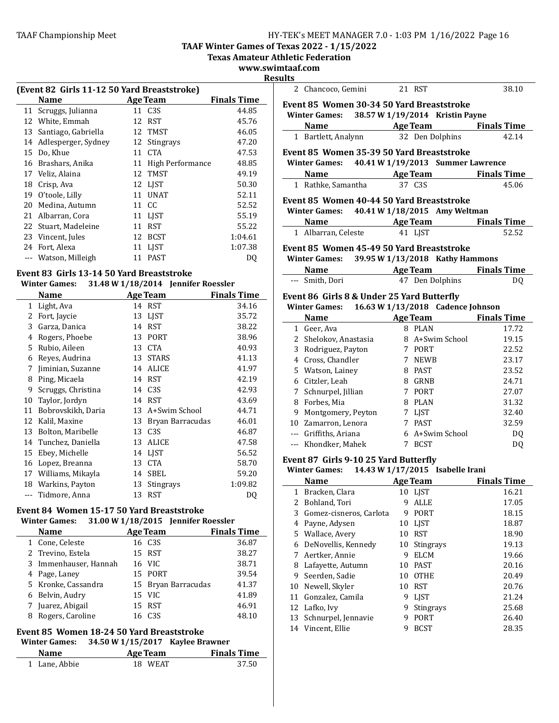**TAAF Winter Games of Texas 2022 - 1/15/2022**

**Texas Amateur Athletic Federation** 

**www.swimtaaf.com**

|    | (Event 82 Girls 11-12 50 Yard Breaststroke) |    |                  |                    |  |
|----|---------------------------------------------|----|------------------|--------------------|--|
|    | Name                                        |    | <b>Age Team</b>  | <b>Finals Time</b> |  |
|    | 11 Scruggs, Julianna                        |    | 11 C3S           | 44.85              |  |
| 12 | White, Emmah                                | 12 | RST              | 45.76              |  |
| 13 | Santiago, Gabriella                         |    | 12 TMST          | 46.05              |  |
| 14 | Adlesperger, Sydney                         |    | 12 Stingrays     | 47.20              |  |
| 15 | Do, Khue                                    | 11 | <b>CTA</b>       | 47.53              |  |
| 16 | Brashars, Anika                             | 11 | High Performance | 48.85              |  |
| 17 | Veliz, Alaina                               |    | 12 TMST          | 49.19              |  |
| 18 | Crisp, Ava                                  |    | 12 LIST          | 50.30              |  |
| 19 | O'toole, Lilly                              | 11 | <b>UNAT</b>      | 52.11              |  |
| 20 | Medina, Autumn                              |    | 11 CC            | 52.52              |  |
| 21 | Albarran, Cora                              |    | 11 LJST          | 55.19              |  |
|    | 22 Stuart, Madeleine                        | 11 | <b>RST</b>       | 55.22              |  |
| 23 | Vincent, Jules                              | 12 | <b>BCST</b>      | 1:04.61            |  |
| 24 | Fort, Alexa                                 |    | 11 LJST          | 1:07.38            |  |
|    | Watson, Milleigh                            | 11 | <b>PAST</b>      | D0                 |  |
|    |                                             |    |                  |                    |  |

# Event 83 Girls 13-14 50 Yard Breaststroke

## **Winter Games: 31.48 W 1/18/2014 Jennifer Roessler**

|    | Name                 |    | Age Team         | <b>Finals Time</b> |
|----|----------------------|----|------------------|--------------------|
| 1  | Light, Ava           |    | 14 RST           | 34.16              |
| 2  | Fort, Jaycie         | 13 | LIST             | 35.72              |
| 3  | Garza, Danica        | 14 | <b>RST</b>       | 38.22              |
| 4  | Rogers, Phoebe       | 13 | <b>PORT</b>      | 38.96              |
| 5  | Rubio, Aileen        | 13 | <b>CTA</b>       | 40.93              |
| 6  | Reyes, Audrina       | 13 | <b>STARS</b>     | 41.13              |
| 7  | Jiminian, Suzanne    | 14 | <b>ALICE</b>     | 41.97              |
| 8  | Ping, Micaela        | 14 | <b>RST</b>       | 42.19              |
| 9  | Scruggs, Christina   |    | 14 C3S           | 42.93              |
| 10 | Taylor, Jordyn       | 14 | <b>RST</b>       | 43.69              |
| 11 | Bobrovskikh, Daria   | 13 | A+Swim School    | 44.71              |
| 12 | Kalil, Maxine        | 13 | Bryan Barracudas | 46.01              |
| 13 | Bolton, Maribelle    | 13 | C <sub>3</sub> S | 46.87              |
| 14 | Tunchez, Daniella    | 13 | ALICE            | 47.58              |
| 15 | Ebey, Michelle       | 14 | <b>LIST</b>      | 56.52              |
| 16 | Lopez, Breanna       | 13 | <b>CTA</b>       | 58.70              |
|    | 17 Williams, Mikayla | 14 | SBEL             | 59.20              |
|    | 18 Warkins, Payton   | 13 | Stingrays        | 1:09.82            |
|    | --- Tidmore, Anna    | 13 | <b>RST</b>       | DQ                 |

# Event 84 Women 15-17 50 Yard Breaststroke

# **Winter Games:** 31.00 W 1/18/2015 Jennifer Roessler

|   | <b>Name</b>           | <b>Age Team</b>     | <b>Finals Time</b> |
|---|-----------------------|---------------------|--------------------|
|   | 1 Cone, Celeste       | 16 C3S              | 36.87              |
|   | 2 Trevino, Estela     | 15 RST              | 38.27              |
|   | 3 Immenhauser, Hannah | 16 VIC              | 38.71              |
|   | 4 Page, Laney         | 15 PORT             | 39.54              |
|   | 5 Kronke, Cassandra   | 15 Bryan Barracudas | 41.37              |
|   | 6 Belvin, Audry       | 15 VIC              | 41.89              |
|   | Juarez, Abigail       | 15 RST              | 46.91              |
| 8 | Rogers, Caroline      | 16 C3S              | 48.10              |

# Event 85 Women 18-24 50 Yard Breaststroke

# **Winter Games:** 34.50 **W**  $1/15/2017$  **Kaylee Brawner**

| <b>Name</b>   | Age Team | <b>Finals Time</b> |
|---------------|----------|--------------------|
| 1 Lane, Abbie | 18 WEAT  | 37.50              |

|     | 2 Chancoco, Gemini                                                 |   | 21 RST                                | 38.10              |
|-----|--------------------------------------------------------------------|---|---------------------------------------|--------------------|
|     | Event 85 Women 30-34 50 Yard Breaststroke<br><b>Winter Games:</b>  |   | 38.57 W 1/19/2014 Kristin Payne       |                    |
|     | <b>Example 2 Age Team</b><br><b>Name</b>                           |   |                                       | <b>Finals Time</b> |
|     | 1 Bartlett, Analynn                                                |   | 32 Den Dolphins                       | 42.14              |
|     | Event 85 Women 35-39 50 Yard Breaststroke                          |   |                                       |                    |
|     | <b>Winter Games:</b>                                               |   | 40.41 W 1/19/2013 Summer Lawrence     |                    |
|     | Name Age Team                                                      |   |                                       | <b>Finals Time</b> |
|     | 1 Rathke, Samantha                                                 |   | 37 C <sub>3</sub> S                   | 45.06              |
|     | Event 85 Women 40-44 50 Yard Breaststroke                          |   |                                       |                    |
|     | Winter Games: 40.41 W 1/18/2015 Amy Weltman                        |   |                                       |                    |
|     | Name Age Team Finals Time                                          |   |                                       |                    |
|     | 1 Albarran, Celeste                                                |   | 41 LIST                               | 52.52              |
|     | Event 85 Women 45-49 50 Yard Breaststroke                          |   |                                       |                    |
|     | <b>Winter Games:</b>                                               |   | 39.95 W 1/13/2018 Kathy Hammons       |                    |
|     | <b>Name</b>                                                        |   | <b>Example 2 Age Team</b> Finals Time |                    |
|     | --- Smith, Dori                                                    |   | 47 Den Dolphins                       | DQ                 |
|     |                                                                    |   |                                       |                    |
|     | Event 86 Girls 8 & Under 25 Yard Butterfly<br><b>Winter Games:</b> |   | 16.63 W 1/13/2018 Cadence Johnson     |                    |
|     | Name                                                               |   | <b>Age Team</b> Finals Time           |                    |
|     | 1 Geer, Ava                                                        |   | 8 PLAN                                | 17.72              |
|     | 2 Shelokov, Anastasia                                              |   | 8 A+Swim School                       | 19.15              |
|     | 3 Rodriguez, Payton                                                |   | 7 PORT                                | 22.52              |
|     | 4 Cross, Chandler                                                  |   | 7 NEWB                                | 23.17              |
|     | 5 Watson, Lainey                                                   |   | 8 PAST                                | 23.52              |
|     | 6 Citzler, Leah                                                    |   | 8 GRNB                                | 24.71              |
|     | 7 Schnurpel, Jillian                                               |   | 7 PORT                                | 27.07              |
|     | 8 Forbes, Mia                                                      |   | 8 PLAN                                | 31.32              |
|     | 9 Montgomery, Peyton                                               |   | 7 LJST                                | 32.40              |
|     | 10 Zamarron, Lenora                                                |   | 7 PAST                                | 32.59              |
|     | --- Griffiths, Ariana                                              |   | 6 A+Swim School                       | <b>DQ</b>          |
| --- | Khondker, Mahek                                                    | 7 | <b>BCST</b>                           | DQ                 |
|     |                                                                    |   |                                       |                    |

#### Event 87 Girls 9-10 25 Yard Butterfly

#### **Winter Games: 14.43 W 1/17/2015 Isabelle Irani**

|    | <b>Name</b>             |    | <b>Age Team</b>  | <b>Finals Time</b> |
|----|-------------------------|----|------------------|--------------------|
| 1  | Bracken, Clara          |    | 10 LJST          | 16.21              |
|    | Bohland, Tori           | 9  | <b>ALLE</b>      | 17.05              |
| 3  | Gomez-cisneros, Carlota | 9  | <b>PORT</b>      | 18.15              |
| 4  | Payne, Adysen           | 10 | <b>LIST</b>      | 18.87              |
|    | 5 Wallace, Avery        | 10 | <b>RST</b>       | 18.90              |
| 6  | DeNovellis, Kennedy     | 10 | <b>Stingrays</b> | 19.13              |
| 7  | Aertker, Annie          | 9  | <b>ELCM</b>      | 19.66              |
| 8  | Lafayette, Autumn       | 10 | <b>PAST</b>      | 20.16              |
| 9  | Seerden, Sadie          | 10 | <b>OTHE</b>      | 20.49              |
| 10 | Newell, Skyler          | 10 | <b>RST</b>       | 20.76              |
| 11 | Gonzalez, Camila        | 9  | <b>LIST</b>      | 21.24              |
| 12 | Lafko, Ivv              | 9  | <b>Stingrays</b> | 25.68              |
|    | 13 Schnurpel, Jennavie  | 9  | PORT             | 26.40              |
| 14 | Vincent, Ellie          | 9  | <b>BCST</b>      | 28.35              |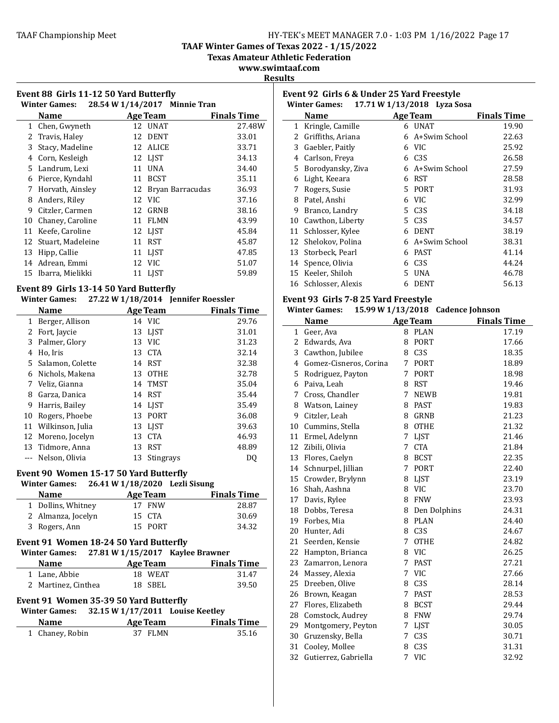#### **TAAF Winter Games of Texas 2022 - 1/15/2022**

**Texas Amateur Athletic Federation**

**www.swimtaaf.com**

## **Results**

| Event 88 Girls 11-12 50 Yard Butterfly<br>28.54 W 1/14/2017 Minnie Tran<br><b>Winter Games:</b> |                   |    |                  |                    |
|-------------------------------------------------------------------------------------------------|-------------------|----|------------------|--------------------|
|                                                                                                 | <b>Name</b>       |    | Age Team         | <b>Finals Time</b> |
| 1                                                                                               | Chen, Gwyneth     | 12 | <b>UNAT</b>      | 27.48W             |
| 2                                                                                               | Travis, Haley     | 12 | <b>DENT</b>      | 33.01              |
| 3                                                                                               | Stacy, Madeline   | 12 | <b>ALICE</b>     | 33.71              |
| 4                                                                                               | Corn, Kesleigh    |    | 12 LIST          | 34.13              |
|                                                                                                 | 5 Landrum, Lexi   | 11 | <b>UNA</b>       | 34.40              |
| 6                                                                                               | Pierce, Kyndahl   | 11 | <b>BCST</b>      | 35.11              |
| 7                                                                                               | Horvath, Ainsley  | 12 | Bryan Barracudas | 36.93              |
| 8                                                                                               | Anders, Riley     |    | 12 VIC           | 37.16              |
| 9                                                                                               | Citzler, Carmen   | 12 | GRNB             | 38.16              |
| 10                                                                                              | Chaney, Caroline  | 11 | <b>FLMN</b>      | 43.99              |
| 11                                                                                              | Keefe, Caroline   |    | 12 LIST          | 45.84              |
| 12                                                                                              | Stuart, Madeleine | 11 | <b>RST</b>       | 45.87              |
| 13                                                                                              | Hipp, Callie      | 11 | <b>LIST</b>      | 47.85              |
| 14                                                                                              | Adrean, Emmi      | 12 | <b>VIC</b>       | 51.07              |
| 15                                                                                              | Ibarra, Mielikki  | 11 | <b>LIST</b>      | 59.89              |

#### Event 89 Girls 13-14 50 Yard Butterfly **Winter Games: 27.22 W 1/18/2014 Jennifer Roessler**

|       | $\frac{1}{2}$       |    |                  |                    |
|-------|---------------------|----|------------------|--------------------|
|       | <b>Name</b>         |    | <b>Age Team</b>  | <b>Finals Time</b> |
| $1\,$ | Berger, Allison     |    | 14 VIC           | 29.76              |
| 2     | Fort, Jaycie        |    | 13 LJST          | 31.01              |
| 3     | Palmer, Glory       |    | 13 VIC           | 31.23              |
| 4     | Ho, Iris            |    | 13 CTA           | 32.14              |
|       | 5 Salamon, Colette  |    | 14 RST           | 32.38              |
| 6.    | Nichols, Makena     |    | 13 OTHE          | 32.78              |
| 7     | Veliz, Gianna       |    | 14 TMST          | 35.04              |
| 8     | Garza, Danica       |    | 14 RST           | 35.44              |
| 9     | Harris, Bailey      |    | 14 LIST          | 35.49              |
| 10    | Rogers, Phoebe      | 13 | PORT             | 36.08              |
|       | 11 Wilkinson, Julia |    | 13 LIST          | 39.63              |
|       | 12 Moreno, Jocelyn  | 13 | <b>CTA</b>       | 46.93              |
|       | 13 Tidmore, Anna    |    | 13 RST           | 48.89              |
|       | Nelson, Olivia      | 13 | <b>Stingrays</b> | DO                 |

#### **Event 90 Women 15-17 50 Yard Butterfly**

# **Winter Games: 26.41 W 1/18/2020 Lezli Sisung**

| <b>Name</b>        | Age Team | <b>Finals Time</b> |
|--------------------|----------|--------------------|
| 1 Dollins, Whitney | 17 FNW   | 28.87              |
| 2 Almanza, Jocelyn | 15 CTA   | 30.69              |
| 3 Rogers, Ann      | 15 PORT  | 34.32              |

# **Event 91 Women 18-24 50 Yard Butterfly**

| <b>Winter Games:</b> | 27.81 W 1/15/2017 Kaylee Brawner |                    |
|----------------------|----------------------------------|--------------------|
| <b>Name</b>          | Age Team                         | <b>Finals Time</b> |

| 1 Lane, Abbie<br>18 WEAT<br>18 SBEL | машс                | лес теаш | тшаю тше |       |
|-------------------------------------|---------------------|----------|----------|-------|
|                                     |                     |          |          | 31.47 |
|                                     | 2 Martinez, Cinthea |          |          | 39.50 |

# Event 91 Women 35-39 50 Yard Butterfly

# **Winter Games: 32.15 W 1/17/2011 Louise Keetley**

| <b>Name</b>     | Age Team | <b>Finals Time</b> |
|-----------------|----------|--------------------|
| 1 Chaney, Robin | 37 FLMN  | 35.16              |

|    | Event 92 Girls 6 & Under 25 Yard Freestyle<br>17.71 W 1/13/2018 Lyza Sosa<br><b>Winter Games:</b> |    |                  |                    |  |
|----|---------------------------------------------------------------------------------------------------|----|------------------|--------------------|--|
|    | Name                                                                                              |    | <b>Age Team</b>  | <b>Finals Time</b> |  |
| 1  | Kringle, Camille                                                                                  |    | 6 UNAT           | 19.90              |  |
| 2. | Griffiths, Ariana                                                                                 | 6. | A+Swim School    | 22.63              |  |
| 3  | Gaebler, Paitly                                                                                   | 6  | VIC.             | 25.92              |  |
| 4  | Carlson, Freya                                                                                    | 6  | C <sub>3</sub> S | 26.58              |  |
| 5. | Borodyansky, Ziva                                                                                 |    | 6 A+Swim School  | 27.59              |  |
| 6  | Light, Keeara                                                                                     | 6  | <b>RST</b>       | 28.58              |  |
| 7  | Rogers, Susie                                                                                     | 5. | PORT             | 31.93              |  |
| 8  | Patel, Anshi                                                                                      | 6  | VIC.             | 32.99              |  |
| 9  | Branco, Landry                                                                                    | 5. | C3S              | 34.18              |  |
| 10 | Cawthon, Liberty                                                                                  | 5. | C <sub>3</sub> S | 34.57              |  |
| 11 | Schlosser, Kylee                                                                                  | 6  | <b>DENT</b>      | 38.19              |  |
| 12 | Shelokov, Polina                                                                                  | 6  | A+Swim School    | 38.31              |  |
| 13 | Storbeck, Pearl                                                                                   | 6  | <b>PAST</b>      | 41.14              |  |
| 14 | Spence, Olivia                                                                                    | 6  | C <sub>3</sub> S | 44.24              |  |
| 15 | Keeler, Shiloh                                                                                    | 5  | <b>UNA</b>       | 46.78              |  |
|    | 16 Schlosser, Alexis                                                                              | 6  | <b>DENT</b>      | 56.13              |  |

# **Event 93 Girls 7-8 25 Yard Freestyle**

|    | <b>Winter Games:</b>     |             |                  | 15.99 W 1/13/2018 Cadence Johnson |
|----|--------------------------|-------------|------------------|-----------------------------------|
|    | <b>Name</b>              |             | <b>Age Team</b>  | <b>Finals Time</b>                |
| 1  | Geer, Ava                |             | 8 PLAN           | 17.19                             |
| 2  | Edwards, Ava             | 8           | <b>PORT</b>      | 17.66                             |
|    | 3 Cawthon, Jubilee       |             | 8 C3S            | 18.35                             |
|    | 4 Gomez-Cisneros, Corina |             | 7 PORT           | 18.89                             |
| 5  | Rodriguez, Payton        | 7           | PORT             | 18.98                             |
| 6  | Paiva, Leah              | 8           | <b>RST</b>       | 19.46                             |
| 7  | Cross, Chandler          | 7           | <b>NEWB</b>      | 19.81                             |
| 8  | Watson, Lainey           | 8           | <b>PAST</b>      | 19.83                             |
|    | 9 Citzler, Leah          | 8           | <b>GRNB</b>      | 21.23                             |
|    | 10 Cummins, Stella       | 8           | <b>OTHE</b>      | 21.32                             |
| 11 | Ermel, Adelynn           | $7^{\circ}$ | <b>LJST</b>      | 21.46                             |
| 12 | Zibili, Olivia           | 7           | <b>CTA</b>       | 21.84                             |
| 13 | Flores, Caelyn           | 8           | <b>BCST</b>      | 22.35                             |
| 14 | Schnurpel, Jillian       | $7^{\circ}$ | PORT             | 22.40                             |
|    | 15 Crowder, Brylynn      | 8           | LJST             | 23.19                             |
| 16 | Shah, Aashna             |             | 8 VIC            | 23.70                             |
| 17 | Davis, Rylee             | 8           | <b>FNW</b>       | 23.93                             |
| 18 | Dobbs, Teresa            | 8           | Den Dolphins     | 24.31                             |
| 19 | Forbes, Mia              |             | 8 PLAN           | 24.40                             |
| 20 | Hunter, Adi              |             | 8 C3S            | 24.67                             |
| 21 | Seerden, Kensie          | 7           | <b>OTHE</b>      | 24.82                             |
| 22 | Hampton, Brianca         | 8           | <b>VIC</b>       | 26.25                             |
| 23 | Zamarron, Lenora         | 7           | <b>PAST</b>      | 27.21                             |
| 24 | Massey, Alexia           |             | 7 VIC            | 27.66                             |
| 25 | Dreeben, Olive           | 8           | C <sub>3</sub> S | 28.14                             |
| 26 | Brown, Keagan            | 7           | <b>PAST</b>      | 28.53                             |
| 27 | Flores, Elizabeth        | 8           | <b>BCST</b>      | 29.44                             |
| 28 | Comstock, Audrey         | 8           | <b>FNW</b>       | 29.74                             |
| 29 | Montgomery, Peyton       |             | 7 LJST           | 30.05                             |
| 30 | Gruzensky, Bella         |             | 7 C3S            | 30.71                             |
| 31 | Cooley, Mollee           | 8           | C <sub>3S</sub>  | 31.31                             |
| 32 | Gutierrez, Gabriella     | 7           | <b>VIC</b>       | 32.92                             |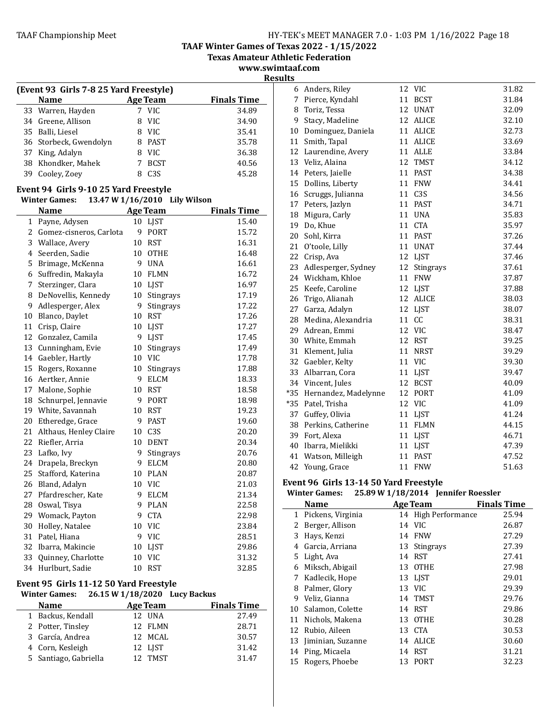**TAAF Winter Games of Texas 2022 - 1/15/2022**

**Texas Amateur Athletic Federation** 

**www.swimtaaf.com Results**

|    | (Event 93 Girls 7-8 25 Yard Freestyle) |   |                  |                    |  |
|----|----------------------------------------|---|------------------|--------------------|--|
|    | <b>Name</b>                            |   | <b>Age Team</b>  | <b>Finals Time</b> |  |
|    | 33 Warren, Hayden                      |   | 7 VIC            | 34.89              |  |
|    | 34 Greene, Allison                     | 8 | VIC.             | 34.90              |  |
|    | 35 Balli, Liesel                       | 8 | <b>VIC</b>       | 35.41              |  |
|    | 36 Storbeck, Gwendolyn                 | 8 | PAST             | 35.78              |  |
| 37 | King, Adalyn                           | я | VIC.             | 36.38              |  |
|    | 38 Khondker, Mahek                     |   | <b>BCST</b>      | 40.56              |  |
| 39 | Cooley, Zoey                           |   | C <sub>3</sub> S | 45.28              |  |
|    |                                        |   |                  |                    |  |

#### Event 94 Girls 9-10 25 Yard Freestyle

**Winter Games: 13.47 W 1/16/2010 Lily Wilson**

|    | <b>Name</b>             |    | <b>Age Team</b>  | <b>Finals Time</b> |
|----|-------------------------|----|------------------|--------------------|
| 1  | Payne, Adysen           | 10 | LJST             | 15.40              |
| 2  | Gomez-cisneros, Carlota | 9  | <b>PORT</b>      | 15.72              |
| 3  | Wallace, Avery          | 10 | <b>RST</b>       | 16.31              |
| 4  | Seerden, Sadie          | 10 | <b>OTHE</b>      | 16.48              |
| 5  | Brimage, McKenna        | 9  | <b>UNA</b>       | 16.61              |
| 6  | Suffredin, Makayla      | 10 | <b>FLMN</b>      | 16.72              |
| 7  | Sterzinger, Clara       | 10 | <b>LJST</b>      | 16.97              |
| 8  | DeNovellis, Kennedy     | 10 | <b>Stingrays</b> | 17.19              |
| 9  | Adlesperger, Alex       | 9  | Stingrays        | 17.22              |
| 10 | Blanco, Daylet          | 10 | <b>RST</b>       | 17.26              |
| 11 | Crisp, Claire           | 10 | LJST             | 17.27              |
|    | 12 Gonzalez, Camila     | 9  | LJST             | 17.45              |
| 13 | Cunningham, Evie        | 10 | Stingrays        | 17.49              |
| 14 | Gaebler, Hartly         | 10 | <b>VIC</b>       | 17.78              |
| 15 | Rogers, Roxanne         | 10 | <b>Stingrays</b> | 17.88              |
| 16 | Aertker, Annie          | 9  | <b>ELCM</b>      | 18.33              |
| 17 | Malone, Sophie          | 10 | <b>RST</b>       | 18.58              |
| 18 | Schnurpel, Jennavie     | 9  | <b>PORT</b>      | 18.98              |
|    | 19 White, Savannah      | 10 | <b>RST</b>       | 19.23              |
| 20 | Etheredge, Grace        | 9  | <b>PAST</b>      | 19.60              |
| 21 | Althaus, Henley Claire  | 10 | C3S              | 20.20              |
| 22 | Riefler, Arria          | 10 | <b>DENT</b>      | 20.34              |
| 23 | Lafko, Ivy              | 9  | Stingrays        | 20.76              |
| 24 | Drapela, Breckyn        | 9  | <b>ELCM</b>      | 20.80              |
| 25 | Stafford, Katerina      | 10 | <b>PLAN</b>      | 20.87              |
| 26 | Bland, Adalyn           | 10 | VIC              | 21.03              |
| 27 | Pfardrescher, Kate      | 9  | <b>ELCM</b>      | 21.34              |
| 28 | Oswal, Tisya            | 9  | <b>PLAN</b>      | 22.58              |
| 29 | Womack, Payton          | 9  | <b>CTA</b>       | 22.98              |
| 30 | Holley, Natalee         | 10 | <b>VIC</b>       | 23.84              |
| 31 | Patel, Hiana            | 9  | <b>VIC</b>       | 28.51              |
| 32 | Ibarra, Makincie        | 10 | <b>LJST</b>      | 29.86              |
| 33 | Quinney, Charlotte      | 10 | <b>VIC</b>       | 31.32              |
| 34 | Hurlburt, Sadie         | 10 | <b>RST</b>       | 32.85              |

## Event 95 Girls 11-12 50 Yard Freestyle

| <b>Winter Games:</b> |                       |                 | 26.15 W 1/18/2020 Lucy Backus |
|----------------------|-----------------------|-----------------|-------------------------------|
| <b>Name</b>          |                       | <b>Age Team</b> | <b>Finals Time</b>            |
|                      | 1 Backus, Kendall     | 12 UNA          | 27.49                         |
| 2 Potter, Tinsley    |                       | 12 FLMN         | 28.71                         |
| 3 García, Andrea     |                       | 12 MCAL         | 30.57                         |
| 4 Corn, Kesleigh     |                       | 12 LJST         | 31.42                         |
|                      | 5 Santiago, Gabriella | 12 TMST         | 31.47                         |

| 6     | Anders, Riley        | 12 | <b>VIC</b>       | 31.82 |
|-------|----------------------|----|------------------|-------|
| 7     | Pierce, Kyndahl      | 11 | <b>BCST</b>      | 31.84 |
| 8     | Toriz, Tessa         | 12 | <b>UNAT</b>      | 32.09 |
| 9     | Stacy, Madeline      | 12 | ALICE            | 32.10 |
| 10    | Dominguez, Daniela   |    | 11 ALICE         | 32.73 |
| 11    | Smith, Tapal         | 11 | ALICE            | 33.69 |
| 12    | Laurendine, Avery    | 11 | ALLE             | 33.84 |
| 13    | Veliz, Alaina        | 12 | <b>TMST</b>      | 34.12 |
| 14    | Peters, Jaielle      | 11 | <b>PAST</b>      | 34.38 |
| 15    | Dollins, Liberty     | 11 | <b>FNW</b>       | 34.41 |
| 16    | Scruggs, Julianna    |    | 11 C3S           | 34.56 |
| 17    | Peters, Jazlyn       | 11 | <b>PAST</b>      | 34.71 |
| 18    | Migura, Carly        | 11 | <b>UNA</b>       | 35.83 |
| 19    | Do, Khue             | 11 | <b>CTA</b>       | 35.97 |
| 20    | Sohl, Kirra          | 11 | <b>PAST</b>      | 37.26 |
| 21    | O'toole, Lilly       | 11 | <b>UNAT</b>      | 37.44 |
| 22    | Crisp, Ava           | 12 | LJST             | 37.46 |
| 23    | Adlesperger, Sydney  | 12 | <b>Stingrays</b> | 37.61 |
| 24    | Wickham, Khloe       | 11 | <b>FNW</b>       | 37.87 |
| 25    | Keefe, Caroline      | 12 | LJST             | 37.88 |
| 26    | Trigo, Alianah       | 12 | <b>ALICE</b>     | 38.03 |
| 27    | Garza, Adalyn        | 12 | LJST             | 38.07 |
| 28    | Medina, Alexandria   | 11 | cc               | 38.31 |
| 29    | Adrean, Emmi         | 12 | <b>VIC</b>       | 38.47 |
| 30    | White, Emmah         | 12 | <b>RST</b>       | 39.25 |
| 31    | Klement, Julia       | 11 | <b>NRST</b>      | 39.29 |
| 32    | Gaebler, Kelty       | 11 | <b>VIC</b>       | 39.30 |
| 33    | Albarran, Cora       | 11 | LJST             | 39.47 |
| 34    | Vincent, Jules       | 12 | <b>BCST</b>      | 40.09 |
| $*35$ | Hernandez, Madelynne | 12 | <b>PORT</b>      | 41.09 |
| $*35$ | Patel, Trisha        | 12 | <b>VIC</b>       | 41.09 |
| 37    | Guffey, Olivia       |    | 11 LJST          | 41.24 |
| 38    | Perkins, Catherine   |    | 11 FLMN          | 44.15 |
| 39    | Fort, Alexa          |    | 11 LJST          | 46.71 |
| 40    | Ibarra, Mielikki     |    | 11 LJST          | 47.39 |
| 41    | Watson, Milleigh     | 11 | <b>PAST</b>      | 47.52 |
| 42    | Young, Grace         | 11 | <b>FNW</b>       | 51.63 |

# Event 96 Girls 13-14 50 Yard Freestyle

# **Winter Games:** 25.89 W 1/18/2014 Jennifer Roessler

|    | <b>Name</b>       |    | <b>Age Team</b>     | <b>Finals Time</b> |
|----|-------------------|----|---------------------|--------------------|
| 1  | Pickens, Virginia |    | 14 High Performance | 25.94              |
| 2  | Berger, Allison   |    | 14 VIC              | 26.87              |
| 3  | Hays, Kenzi       | 14 | <b>FNW</b>          | 27.29              |
| 4  | Garcia, Arriana   |    | 13 Stingrays        | 27.39              |
|    | 5 Light, Ava      | 14 | <b>RST</b>          | 27.41              |
| 6  | Miksch, Abigail   | 13 | <b>OTHE</b>         | 27.98              |
| 7  | Kadlecik, Hope    | 13 | LIST                | 29.01              |
| 8  | Palmer, Glory     | 13 | VIC.                | 29.39              |
| 9  | Veliz, Gianna     |    | 14 TMST             | 29.76              |
| 10 | Salamon, Colette  | 14 | RST                 | 29.86              |
| 11 | Nichols, Makena   | 13 | <b>OTHE</b>         | 30.28              |
| 12 | Rubio, Aileen     | 13 | <b>CTA</b>          | 30.53              |
| 13 | Jiminian, Suzanne | 14 | ALICE               | 30.60              |
|    | 14 Ping, Micaela  | 14 | RST                 | 31.21              |
| 15 | Rogers, Phoebe    | 13 | PORT                | 32.23              |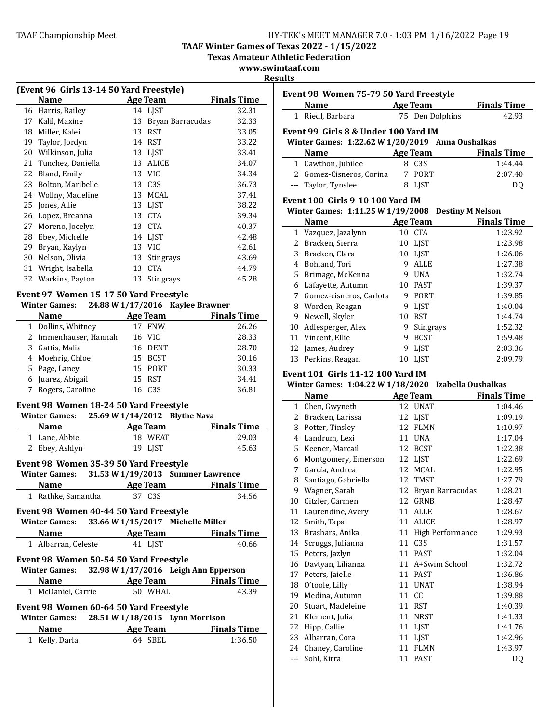**TAAF Winter Games of Texas 2022 - 1/15/2022**

**Texas Amateur Athletic Federation** 

# **www.swimtaaf.com**

**Results**

| (Event 96 Girls 13-14 50 Yard Freestyle)                 |                    |    |                  |                    |  |
|----------------------------------------------------------|--------------------|----|------------------|--------------------|--|
|                                                          | Name               |    | Age Team         | <b>Finals Time</b> |  |
|                                                          | 16 Harris, Bailey  |    | 14 LJST          | 32.31              |  |
| 17                                                       | Kalil, Maxine      | 13 | Bryan Barracudas | 32.33              |  |
| 18                                                       | Miller, Kalei      | 13 | <b>RST</b>       | 33.05              |  |
| 19                                                       | Taylor, Jordyn     | 14 | <b>RST</b>       | 33.22              |  |
| 20                                                       | Wilkinson, Julia   | 13 | <b>LIST</b>      | 33.41              |  |
| 21                                                       | Tunchez, Daniella  | 13 | <b>ALICE</b>     | 34.07              |  |
| 22                                                       | Bland, Emily       | 13 | <b>VIC</b>       | 34.34              |  |
| 23                                                       | Bolton, Maribelle  |    | 13 C3S           | 36.73              |  |
| 24                                                       | Wollny, Madeline   | 13 | MCAL             | 37.41              |  |
| 25                                                       | Jones, Allie       | 13 | <b>LJST</b>      | 38.22              |  |
| 26                                                       | Lopez, Breanna     | 13 | CTA              | 39.34              |  |
| 27                                                       | Moreno, Jocelyn    |    | 13 CTA           | 40.37              |  |
| 28                                                       | Ebey, Michelle     |    | 14 LJST          | 42.48              |  |
| 29                                                       | Bryan, Kaylyn      | 13 | <b>VIC</b>       | 42.61              |  |
| 30                                                       | Nelson, Olivia     | 13 | Stingrays        | 43.69              |  |
| 31                                                       | Wright, Isabella   | 13 | <b>CTA</b>       | 44.79              |  |
|                                                          | 32 Warkins, Payton | 13 | <b>Stingrays</b> | 45.28              |  |
| Event 97 Women 15-17 50 Yard Freestyle                   |                    |    |                  |                    |  |
| 24.88 W 1/17/2016 Kaylee Brawner<br><b>Winter Games:</b> |                    |    |                  |                    |  |
| Ago Toam<br>Finale Timo<br>Namo                          |                    |    |                  |                    |  |

| <b>Name</b>   |                       | <b>Age Team</b> | <b>Finals Time</b> |  |
|---------------|-----------------------|-----------------|--------------------|--|
|               | 1 Dollins, Whitney    | 17 FNW          | 26.26              |  |
|               | 2 Immenhauser, Hannah | 16 VIC          | 28.33              |  |
|               | 3 Gattis, Malia       | 16 DENT         | 28.70              |  |
|               | 4 Moehrig, Chloe      | 15 BCST         | 30.16              |  |
| 5 Page, Laney |                       | 15 PORT         | 30.33              |  |
|               | 6 Juarez, Abigail     | 15 RST          | 34.41              |  |
|               | 7 Rogers, Caroline    | 16 C3S          | 36.81              |  |
|               |                       |                 |                    |  |

## Event 98 Women 18-24 50 Yard Freestyle

**Winter Games:** 25.69 **W**  $1/14/2012$  **Blythe Nava** 

| <b>Name</b>    | Age Team | <b>Finals Time</b> |
|----------------|----------|--------------------|
| 1 Lane, Abbie  | 18 WEAT  | 29.03              |
| 2 Ebey, Ashlyn | 19 LIST  | 45.63              |

#### Event 98 Women 35-39 50 Yard Freestyle

| <b>Winter Games:</b> |                 | 31.53 W 1/19/2013 Summer Lawrence |       |
|----------------------|-----------------|-----------------------------------|-------|
| <b>Name</b>          | <b>Age Team</b> | <b>Finals Time</b>                |       |
| 1 Rathke, Samantha   | 37 C3S          |                                   | 34.56 |

#### Event 98 Women 40-44 50 Yard Freestyle **Winter Games: 33.66 W 1/15/2017 Michelle Miller**

| winter Games:       | 33.66 W 1/15/2017 Michelle Miller |                    |
|---------------------|-----------------------------------|--------------------|
| <b>Name</b>         | Age Team                          | <b>Finals Time</b> |
| 1 Albarran, Celeste | 41 LIST                           | 40.66              |

## Event 98 Women 50-54 50 Yard Freestyle **Winter Games: 32.98 W 1/17/2016 Leigh Ann Epperson**

| williel gailles.   | $32.50$ W $1/17/2010$ Leigh Allii Epperson |                    |
|--------------------|--------------------------------------------|--------------------|
| <b>Name</b>        | <b>Age Team</b>                            | <b>Finals Time</b> |
| 1 McDaniel, Carrie | 50 WHAL                                    | 43.39              |

# Event 98 Women 60-64 50 Yard Freestyle

| <b>Winter Games:</b> | 28.51 W 1/18/2015 Lynn Morrison |                    |
|----------------------|---------------------------------|--------------------|
| <b>Name</b>          | Age Team                        | <b>Finals Time</b> |
| 1 Kelly, Darla       | 64 SBEL                         | 1:36.50            |

| Event 98 Women 75-79 50 Yard Freestyle |                                                                                                                                                                                                                               |    |                         |                    |
|----------------------------------------|-------------------------------------------------------------------------------------------------------------------------------------------------------------------------------------------------------------------------------|----|-------------------------|--------------------|
|                                        | Name and the same state of the state of the state of the state of the state of the state of the state of the state of the state of the state of the state of the state of the state of the state of the state of the state of |    | Age Team                | <b>Finals Time</b> |
|                                        | 1 Riedl, Barbara                                                                                                                                                                                                              |    | 75 Den Dolphins         | 42.93              |
|                                        | Event 99 Girls 8 & Under 100 Yard IM                                                                                                                                                                                          |    |                         |                    |
|                                        | Winter Games: 1:22.62 W 1/20/2019 Anna Oushalkas                                                                                                                                                                              |    |                         |                    |
|                                        | <b>Name</b>                                                                                                                                                                                                                   |    | <b>Age Team</b>         | <b>Finals Time</b> |
|                                        | 1 Cawthon, Jubilee                                                                                                                                                                                                            |    | 8 C3S                   | 1:44.44            |
|                                        | 2 Gomez-Cisneros, Corina                                                                                                                                                                                                      |    | 7 PORT                  | 2:07.40            |
|                                        | --- Taylor, Tynslee                                                                                                                                                                                                           |    | 8 LJST                  | DQ                 |
|                                        | <b>Event 100 Girls 9-10 100 Yard IM</b>                                                                                                                                                                                       |    |                         |                    |
|                                        | Winter Games: 1:11.25 W 1/19/2008                                                                                                                                                                                             |    | <b>Destiny M Nelson</b> |                    |
|                                        | <b>Name</b>                                                                                                                                                                                                                   |    | <b>Age Team</b>         | <b>Finals Time</b> |
|                                        | 1 Vazquez, Jazalynn                                                                                                                                                                                                           |    | 10 CTA                  | 1:23.92            |
|                                        | 2 Bracken, Sierra                                                                                                                                                                                                             |    | 10 LJST                 | 1:23.98            |
|                                        | 3 Bracken, Clara                                                                                                                                                                                                              |    | 10 LJST                 | 1:26.06            |
|                                        | 4 Bohland, Tori                                                                                                                                                                                                               |    | 9 ALLE                  | 1:27.38            |
|                                        | 5 Brimage, McKenna                                                                                                                                                                                                            |    | 9 UNA                   | 1:32.74            |
|                                        | 6 Lafayette, Autumn                                                                                                                                                                                                           |    | 10 PAST                 | 1:39.37            |
|                                        | 7 Gomez-cisneros, Carlota                                                                                                                                                                                                     |    | 9 PORT                  | 1:39.85            |
|                                        | 8 Worden, Reagan                                                                                                                                                                                                              |    | 9 LJST                  | 1:40.04            |
|                                        | 9 Newell, Skyler                                                                                                                                                                                                              |    | 10 RST                  | 1:44.74            |
|                                        | 10 Adlesperger, Alex                                                                                                                                                                                                          |    | 9 Stingrays             | 1:52.32            |
|                                        | 11 Vincent, Ellie                                                                                                                                                                                                             |    | 9 BCST                  | 1:59.48            |
|                                        | 12 James, Audrey                                                                                                                                                                                                              |    | 9 LJST                  | 2:03.36            |
|                                        | 13 Perkins, Reagan                                                                                                                                                                                                            |    | 10 LJST                 | 2:09.79            |
|                                        | <b>Event 101 Girls 11-12 100 Yard IM</b>                                                                                                                                                                                      |    |                         |                    |
|                                        | Winter Games: 1:04.22 W 1/18/2020                                                                                                                                                                                             |    | Izabella Oushalkas      |                    |
|                                        | <b>Name</b>                                                                                                                                                                                                                   |    | <b>Age Team</b>         | <b>Finals Time</b> |
|                                        | 1 Chen, Gwyneth                                                                                                                                                                                                               |    | 12 UNAT                 | 1:04.46            |
|                                        | 2 Bracken, Larissa                                                                                                                                                                                                            |    | 12 LJST                 | 1:09.19            |
|                                        | 3 Potter, Tinsley                                                                                                                                                                                                             |    | 12 FLMN                 | 1:10.97            |
|                                        | 4 Landrum, Lexi                                                                                                                                                                                                               |    | 11 UNA                  | 1:17.04            |
|                                        | 5 Keener, Marcail                                                                                                                                                                                                             |    | 12 BCST                 | 1:22.38            |
|                                        | 6 Montgomery, Emerson                                                                                                                                                                                                         |    | 12 LJST                 | 1:22.69            |
|                                        | 7 García, Andrea                                                                                                                                                                                                              |    | 12 MCAL                 | 1:22.95            |
|                                        | 8 Santiago, Gabriella                                                                                                                                                                                                         |    | 12 TMST                 | 1:27.79            |
|                                        | 9 Wagner, Sarah                                                                                                                                                                                                               | 12 | Bryan Barracudas        | 1:28.21            |
| 10                                     | Citzler, Carmen                                                                                                                                                                                                               | 12 | GRNB                    | 1:28.47            |
| 11                                     | Laurendine, Avery                                                                                                                                                                                                             | 11 | ALLE                    | 1:28.67            |
| 12                                     | Smith, Tapal                                                                                                                                                                                                                  | 11 | ALICE                   | 1:28.97            |
|                                        | 13 Brashars, Anika                                                                                                                                                                                                            | 11 | High Performance        | 1:29.93            |
|                                        | 14 Scruggs, Julianna                                                                                                                                                                                                          | 11 | C3S                     | 1:31.57            |
|                                        | 15 Peters, Jazlyn                                                                                                                                                                                                             | 11 | PAST                    | 1:32.04            |
|                                        | 16 Davtyan, Lilianna                                                                                                                                                                                                          | 11 | A+Swim School           | 1:32.72            |
| 17                                     | Peters, Jaielle                                                                                                                                                                                                               |    | 11 PAST                 | 1:36.86            |
| 18                                     | O'toole, Lilly                                                                                                                                                                                                                |    | 11 UNAT                 | 1:38.94            |
| 19                                     | Medina, Autumn                                                                                                                                                                                                                | 11 | CC                      | 1:39.88            |
|                                        | 20 Stuart, Madeleine                                                                                                                                                                                                          |    | 11 RST                  | 1:40.39            |
|                                        | 21 Klement, Julia                                                                                                                                                                                                             | 11 | NRST                    | 1:41.33            |
|                                        | 22 Hipp, Callie                                                                                                                                                                                                               | 11 | LJST                    | 1:41.76            |
| 23                                     | Albarran, Cora                                                                                                                                                                                                                | 11 | LJST                    | 1:42.96            |
|                                        | 24 Chaney, Caroline                                                                                                                                                                                                           | 11 | <b>FLMN</b>             | 1:43.97            |
| ---                                    | Sohl, Kirra                                                                                                                                                                                                                   |    | 11 PAST                 | DQ                 |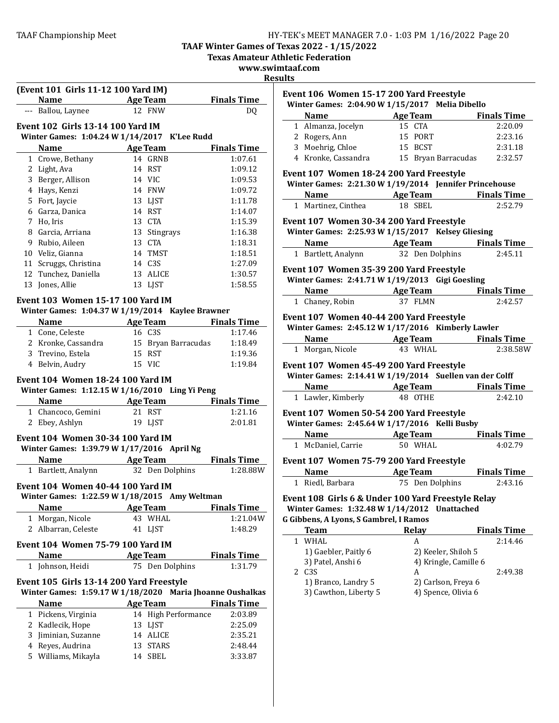**TAAF Winter Games of Texas 2022 - 1/15/2022**

**Texas Amateur Athletic Federation** 

**www.swimtaaf.com**

## **Results**

| (Event 101 Girls 11-12 100 Yard IM) |                                          |                                                                                                   |                    |  |
|-------------------------------------|------------------------------------------|---------------------------------------------------------------------------------------------------|--------------------|--|
|                                     |                                          | Name Age Team                                                                                     | <b>Finals Time</b> |  |
|                                     | --- Ballou, Laynee                       | 12 FNW                                                                                            | DQ.                |  |
|                                     | <b>Event 102 Girls 13-14 100 Yard IM</b> |                                                                                                   |                    |  |
|                                     |                                          | Winter Games: 1:04.24 W 1/14/2017 K'Lee Rudd                                                      |                    |  |
|                                     | Name                                     | <b>Age Team</b>                                                                                   | <b>Finals Time</b> |  |
|                                     | 1 Crowe, Bethany                         | 14 GRNB                                                                                           | 1:07.61            |  |
|                                     | 2 Light, Ava                             | 14 RST                                                                                            | 1:09.12            |  |
|                                     | 3 Berger, Allison                        | 14 VIC                                                                                            | 1:09.53            |  |
|                                     | 4 Hays, Kenzi                            | 14 FNW                                                                                            | 1:09.72            |  |
|                                     | 5 Fort, Jaycie                           | 13 LJST                                                                                           | 1:11.78            |  |
|                                     | 6 Garza, Danica                          | 14 RST                                                                                            | 1:14.07            |  |
|                                     | 7 Ho, Iris                               | 13 CTA                                                                                            | 1:15.39            |  |
|                                     | 8 Garcia, Arriana                        | 13 Stingrays                                                                                      | 1:16.38            |  |
|                                     | 9 Rubio, Aileen                          | 13 CTA                                                                                            | 1:18.31            |  |
|                                     | 10 Veliz, Gianna                         | 14 TMST                                                                                           | 1:18.51            |  |
|                                     | 11 Scruggs, Christina                    | 14 C3S                                                                                            | 1:27.09            |  |
|                                     | 12 Tunchez, Daniella                     | 13 ALICE                                                                                          | 1:30.57            |  |
|                                     | 13 Jones, Allie                          | 13 LJST                                                                                           | 1:58.55            |  |
|                                     |                                          |                                                                                                   |                    |  |
|                                     | Event 103 Women 15-17 100 Yard IM        |                                                                                                   |                    |  |
|                                     |                                          | Winter Games: 1:04.37 W 1/19/2014 Kaylee Brawner                                                  |                    |  |
|                                     |                                          | Name Age Team Finals Time                                                                         |                    |  |
|                                     | 1 Cone, Celeste                          | 16 C3S                                                                                            | 1:17.46            |  |
|                                     | 2 Kronke, Cassandra                      | 15 Bryan Barracudas                                                                               | 1:18.49            |  |
|                                     | 3 Trevino, Estela                        | 15 RST                                                                                            | 1:19.36            |  |
|                                     | 4 Belvin, Audry                          | 15 VIC                                                                                            | 1:19.84            |  |
|                                     | Name<br>1 Chancoco, Gemini               | Winter Games: 1:12.15 W 1/16/2010 Ling Yi Peng<br><b>Example 2 Age Team</b> Finals Time<br>21 RST | 1:21.16            |  |
|                                     | 2 Ebey, Ashlyn                           | 19 LJST                                                                                           | 2:01.81            |  |
|                                     |                                          |                                                                                                   |                    |  |
|                                     | Event 104 Women 30-34 100 Yard IM        |                                                                                                   |                    |  |
|                                     |                                          | Winter Games: 1:39.79 W 1/17/2016 April Ng                                                        |                    |  |
|                                     |                                          | Name Age Team                                                                                     | <b>Finals Time</b> |  |
|                                     | 1 Bartlett, Analynn                      | 32 Den Dolphins                                                                                   | 1:28.88W           |  |
|                                     | Event 104 Women 40-44 100 Yard IM        |                                                                                                   |                    |  |
|                                     |                                          | Winter Games: 1:22.59 W 1/18/2015 Amy Weltman                                                     |                    |  |
|                                     | <b>Name</b>                              | <b>Age Team</b>                                                                                   | <b>Finals Time</b> |  |
|                                     | 1 Morgan, Nicole                         | 43 WHAL                                                                                           | 1:21.04W           |  |
|                                     | 2 Albarran, Celeste                      | 41 LJST                                                                                           | 1:48.29            |  |
|                                     | <b>Event 104 Women 75-79 100 Yard IM</b> |                                                                                                   |                    |  |
|                                     | <b>Name</b>                              | <b>Age Team</b>                                                                                   | <b>Finals Time</b> |  |
|                                     | 1 Johnson, Heidi                         | 75 Den Dolphins                                                                                   | 1:31.79            |  |
|                                     |                                          |                                                                                                   |                    |  |
|                                     |                                          | Event 105 Girls 13-14 200 Yard Freestyle                                                          |                    |  |
|                                     |                                          | Winter Games: 1:59.17 W 1/18/2020 Maria Jhoanne Oushalkas                                         |                    |  |
|                                     | Name                                     | <b>Age Team</b>                                                                                   | <b>Finals Time</b> |  |
|                                     | 1 Pickens, Virginia                      | 14 High Performance                                                                               | 2:03.89            |  |
|                                     | 2 Kadlecik, Hope                         | 13 LJST                                                                                           | 2:25.09            |  |
|                                     | 3 Jiminian, Suzanne                      | 14 ALICE                                                                                          | 2:35.21            |  |
|                                     | 4 Reyes, Audrina                         | 13 STARS                                                                                          | 2:48.44            |  |
|                                     | 5 Williams, Mikayla                      | 14 SBEL                                                                                           | 3:33.87            |  |
|                                     |                                          |                                                                                                   |                    |  |

| Event 106 Women 15-17 200 Yard Freestyle<br>Winter Games: 2:04.90 W 1/15/2017 Melia Dibello   |                     |          |
|-----------------------------------------------------------------------------------------------|---------------------|----------|
| Name Age Team Finals Time                                                                     |                     |          |
|                                                                                               |                     | 2:20.09  |
| 1 Almanza, Jocelyn<br>2 Rogers, Ann 15 PORT<br>3 Moehrig, Chloe 15 BCST                       | 15 PORT             | 2:23.16  |
|                                                                                               |                     | 2:31.18  |
| 4 Kronke, Cassandra                                                                           | 15 Bryan Barracudas | 2:32.57  |
| Event 107 Women 18-24 200 Yard Freestyle                                                      |                     |          |
| Winter Games: 2:21.30 W 1/19/2014 Jennifer Princehouse                                        |                     |          |
|                                                                                               |                     |          |
| <b>Name Age Team Finals Time</b><br>1 Martinez, Cinthea <b>18 SBEL 2:52.79</b>                |                     |          |
| Event 107 Women 30-34 200 Yard Freestyle                                                      |                     |          |
| Winter Games: 2:25.93 W 1/15/2017 Kelsey Gliesing                                             |                     |          |
| Name Age Team Finals Time                                                                     |                     |          |
| 1 Bartlett, Analynn 32 Den Dolphins                                                           |                     | 2:45.11  |
| Event 107 Women 35-39 200 Yard Freestyle                                                      |                     |          |
| Winter Games: 2:41.71 W 1/19/2013 Gigi Goesling                                               |                     |          |
|                                                                                               |                     |          |
| <b>Name Age Team Finals Time</b><br>1 Chaney, Robin <b>37 FLMN 2:42.57</b>                    |                     |          |
|                                                                                               |                     |          |
| Event 107 Women 40-44 200 Yard Freestyle<br>Winter Games: 2:45.12 W 1/17/2016 Kimberly Lawler |                     |          |
|                                                                                               |                     |          |
| <b>Name Age Team</b> Finals Time<br>1 Morgan, Nicole 43 WHAL                                  |                     | 2:38.58W |
|                                                                                               |                     |          |
| Event 107 Women 45-49 200 Yard Freestyle                                                      |                     |          |
| Winter Games: 2:14.41 W 1/19/2014 Suellen van der Colff                                       |                     |          |
| <b>Name Age Team</b> Finals Time                                                              |                     |          |
| 1 Lawler, Kimberly 48 OTHE                                                                    |                     | 2:42.10  |
| Event 107 Women 50-54 200 Yard Freestyle                                                      |                     |          |
| Winter Games: 2:45.64 W 1/17/2016 Kelli Busby                                                 |                     |          |
|                                                                                               |                     |          |
| <b>Name Age Team Finals Time</b><br>1 McDaniel, Carrie <b>50 WHAL 4:02.79</b>                 |                     |          |
| Event 107 Women 75-79 200 Yard Freestyle                                                      |                     |          |
| Name Age Team Finals Time                                                                     |                     |          |
| 1 Riedl, Barbara                                                                              | 75 Den Dolphins     | 2:43.16  |
| Event 108 Cirls 6 8 Under 100 Vard Erectvle Polar                                             |                     |          |

#### **Event 108 Girls 6 & Under 100 Yard Freestyle Relay Winter Games: 1:32.48 W 1/14/2012 Unattached G Gibbens, A Lyons, S Gambrel, I Ramos**

| <b>Team</b>           | Relay                 | <b>Finals Time</b> |
|-----------------------|-----------------------|--------------------|
| WHAL                  | А                     | 2:14.46            |
| 1) Gaebler, Paitly 6  | 2) Keeler, Shiloh 5   |                    |
| 3) Patel, Anshi 6     | 4) Kringle, Camille 6 |                    |
| 2 C <sub>3</sub> S    | А                     | 2:49.38            |
| 1) Branco, Landry 5   | 2) Carlson, Freya 6   |                    |
| 3) Cawthon, Liberty 5 | 4) Spence, Olivia 6   |                    |